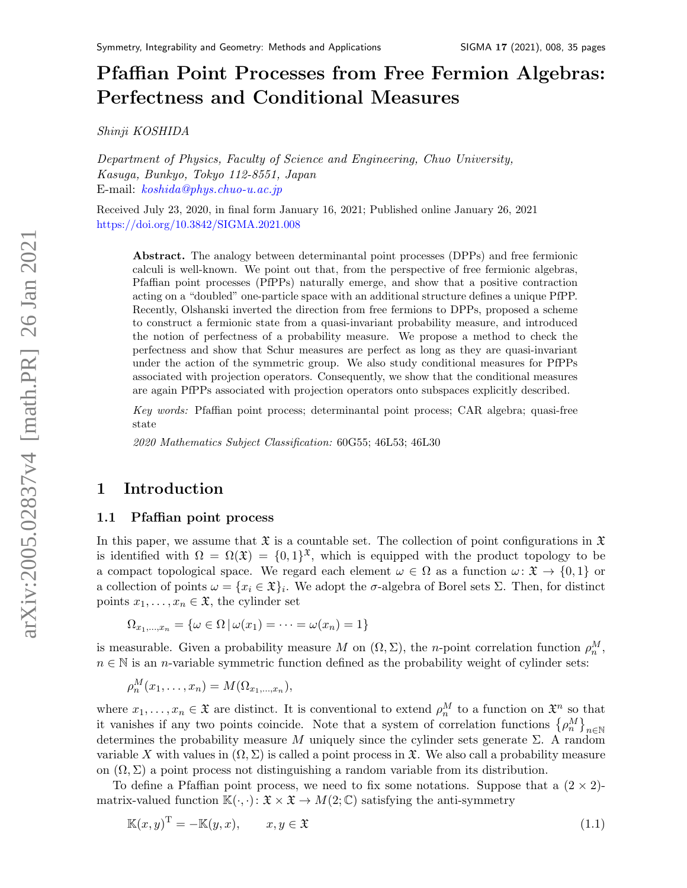# Pfaffian Point Processes from Free Fermion Algebras: Perfectness and Conditional Measures

Shinji KOSHIDA

Department of Physics, Faculty of Science and Engineering, Chuo University, Kasuga, Bunkyo, Tokyo 112-8551, Japan E-mail: [koshida@phys.chuo-u.ac.jp](mailto:koshida@phys.chuo-u.ac.jp)

Received July 23, 2020, in final form January 16, 2021; Published online January 26, 2021 <https://doi.org/10.3842/SIGMA.2021.008>

Abstract. The analogy between determinantal point processes (DPPs) and free fermionic calculi is well-known. We point out that, from the perspective of free fermionic algebras, Pfaffian point processes (PfPPs) naturally emerge, and show that a positive contraction acting on a "doubled" one-particle space with an additional structure defines a unique PfPP. Recently, Olshanski inverted the direction from free fermions to DPPs, proposed a scheme to construct a fermionic state from a quasi-invariant probability measure, and introduced the notion of perfectness of a probability measure. We propose a method to check the perfectness and show that Schur measures are perfect as long as they are quasi-invariant under the action of the symmetric group. We also study conditional measures for PfPPs associated with projection operators. Consequently, we show that the conditional measures are again PfPPs associated with projection operators onto subspaces explicitly described.

Key words: Pfaffian point process; determinantal point process; CAR algebra; quasi-free state

2020 Mathematics Subject Classification: 60G55; 46L53; 46L30

# 1 Introduction

#### 1.1 Pfaffian point process

In this paper, we assume that  $\mathfrak X$  is a countable set. The collection of point configurations in  $\mathfrak X$ is identified with  $\Omega = \Omega(\mathfrak{X}) = \{0,1\}^{\mathfrak{X}}$ , which is equipped with the product topology to be a compact topological space. We regard each element  $\omega \in \Omega$  as a function  $\omega \colon \mathfrak{X} \to \{0,1\}$  or a collection of points  $\omega = \{x_i \in \mathfrak{X}\}\$ . We adopt the  $\sigma$ -algebra of Borel sets  $\Sigma$ . Then, for distinct points  $x_1, \ldots, x_n \in \mathfrak{X}$ , the cylinder set

 $\Omega_{x_1,...,x_n} = {\omega \in \Omega | \omega(x_1) = \cdots = \omega(x_n) = 1}$ 

is measurable. Given a probability measure M on  $(\Omega, \Sigma)$ , the n-point correlation function  $\rho_n^M$ ,  $n \in \mathbb{N}$  is an *n*-variable symmetric function defined as the probability weight of cylinder sets:

$$
\rho_n^M(x_1,\ldots,x_n)=M(\Omega_{x_1,\ldots,x_n}),
$$

where  $x_1, \ldots, x_n \in \mathfrak{X}$  are distinct. It is conventional to extend  $\rho_n^M$  to a function on  $\mathfrak{X}^n$  so that it vanishes if any two points coincide. Note that a system of correlation functions  $\{\rho_n^M\}_{n\in\mathbb{N}}$ determines the probability measure M uniquely since the cylinder sets generate  $\Sigma$ . A random variable X with values in  $(\Omega, \Sigma)$  is called a point process in  $\mathfrak{X}$ . We also call a probability measure on  $(\Omega, \Sigma)$  a point process not distinguishing a random variable from its distribution.

To define a Pfaffian point process, we need to fix some notations. Suppose that a  $(2 \times 2)$ matrix-valued function  $\mathbb{K}(\cdot, \cdot): \mathfrak{X} \times \mathfrak{X} \to M(2;\mathbb{C})$  satisfying the anti-symmetry

<span id="page-0-0"></span>
$$
\mathbb{K}(x,y)^{\mathrm{T}} = -\mathbb{K}(y,x), \qquad x, y \in \mathfrak{X} \tag{1.1}
$$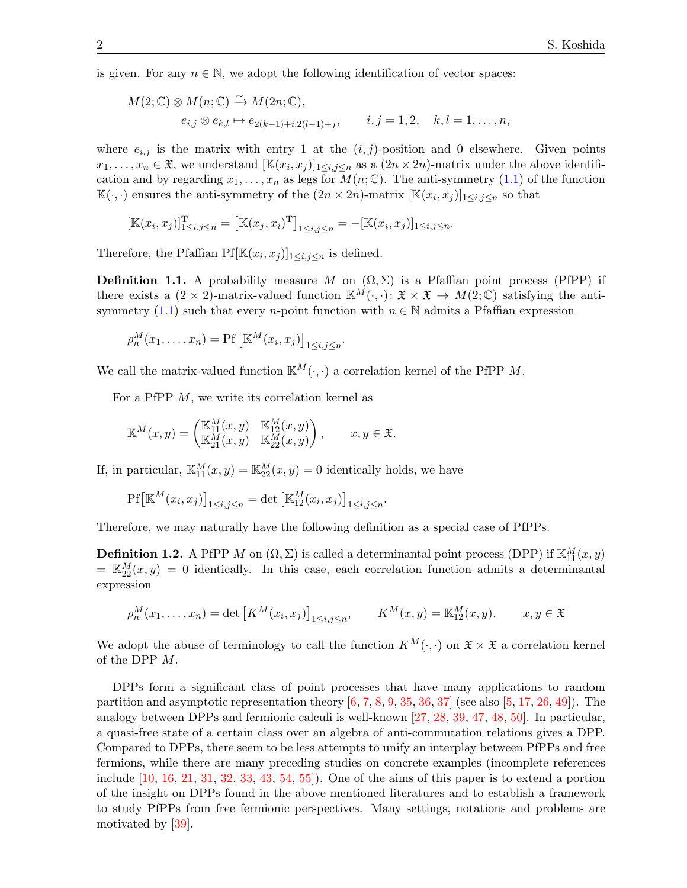is given. For any  $n \in \mathbb{N}$ , we adopt the following identification of vector spaces:

$$
M(2; \mathbb{C}) \otimes M(n; \mathbb{C}) \xrightarrow{\sim} M(2n; \mathbb{C}),
$$
  
\n
$$
e_{i,j} \otimes e_{k,l} \mapsto e_{2(k-1)+i,2(l-1)+j}, \qquad i,j = 1,2, \quad k,l = 1,\ldots,n,
$$

where  $e_{i,j}$  is the matrix with entry 1 at the  $(i,j)$ -position and 0 elsewhere. Given points  $x_1,\ldots,x_n \in \mathfrak{X}$ , we understand  $[\mathbb{K}(x_i,x_j)]_{1\leq i,j\leq n}$  as a  $(2n \times 2n)$ -matrix under the above identification and by regarding  $x_1, \ldots, x_n$  as legs for  $M(n; \mathbb{C})$ . The anti-symmetry [\(1.1\)](#page-0-0) of the function  $\mathbb{K}(\cdot, \cdot)$  ensures the anti-symmetry of the  $(2n \times 2n)$ -matrix  $[\mathbb{K}(x_i, x_j)]_{1 \le i,j \le n}$  so that

$$
[\mathbb{K}(x_i, x_j)]_{1 \le i,j \le n}^{\mathrm{T}} = [\mathbb{K}(x_j, x_i)^{\mathrm{T}}]_{1 \le i,j \le n} = -[\mathbb{K}(x_i, x_j)]_{1 \le i,j \le n}.
$$

Therefore, the Pfaffian  $Pf[\mathbb{K}(x_i, x_j)]_{1 \leq i,j \leq n}$  is defined.

**Definition 1.1.** A probability measure M on  $(\Omega, \Sigma)$  is a Pfaffian point process (PfPP) if there exists a  $(2 \times 2)$ -matrix-valued function  $\mathbb{K}^M(\cdot, \cdot)$ :  $\mathfrak{X} \times \mathfrak{X} \to M(2;\mathbb{C})$  satisfying the anti-symmetry [\(1.1\)](#page-0-0) such that every n-point function with  $n \in \mathbb{N}$  admits a Pfaffian expression

$$
\rho_n^M(x_1,\ldots,x_n) = \Pr\left[\mathbb{K}^M(x_i,x_j)\right]_{1\leq i,j\leq n}.
$$

We call the matrix-valued function  $\mathbb{K}^M(\cdot, \cdot)$  a correlation kernel of the PfPP M.

For a PfPP M, we write its correlation kernel as

$$
\mathbb{K}^M(x,y) = \begin{pmatrix} \mathbb{K}_{11}^M(x,y) & \mathbb{K}_{12}^M(x,y) \\ \mathbb{K}_{21}^M(x,y) & \mathbb{K}_{22}^M(x,y) \end{pmatrix}, \qquad x, y \in \mathfrak{X}.
$$

If, in particular,  $\mathbb{K}_{11}^{M}(x, y) = \mathbb{K}_{22}^{M}(x, y) = 0$  identically holds, we have

$$
\mathrm{Pf}\left[\mathbb{K}^M(x_i, x_j)\right]_{1 \le i,j \le n} = \det \left[\mathbb{K}_{12}^M(x_i, x_j)\right]_{1 \le i,j \le n}.
$$

Therefore, we may naturally have the following definition as a special case of PfPPs.

**Definition 1.2.** A PfPP M on  $(\Omega, \Sigma)$  is called a determinantal point process (DPP) if  $\mathbb{K}_{11}^M(x, y)$  $=\mathbb{K}_{22}^M(x,y) = 0$  identically. In this case, each correlation function admits a determinantal expression

$$
\rho_n^M(x_1, ..., x_n) = \det \left[ K^M(x_i, x_j) \right]_{1 \le i, j \le n}, \qquad K^M(x, y) = \mathbb{K}_{12}^M(x, y), \qquad x, y \in \mathfrak{X}
$$

We adopt the abuse of terminology to call the function  $K^M(\cdot, \cdot)$  on  $\mathfrak{X} \times \mathfrak{X}$  a correlation kernel of the DPP M.

DPPs form a significant class of point processes that have many applications to random partition and asymptotic representation theory  $[6, 7, 8, 9, 35, 36, 37]$  $[6, 7, 8, 9, 35, 36, 37]$  $[6, 7, 8, 9, 35, 36, 37]$  $[6, 7, 8, 9, 35, 36, 37]$  $[6, 7, 8, 9, 35, 36, 37]$  $[6, 7, 8, 9, 35, 36, 37]$  $[6, 7, 8, 9, 35, 36, 37]$  $[6, 7, 8, 9, 35, 36, 37]$  $[6, 7, 8, 9, 35, 36, 37]$  $[6, 7, 8, 9, 35, 36, 37]$  $[6, 7, 8, 9, 35, 36, 37]$  $[6, 7, 8, 9, 35, 36, 37]$  (see also  $[5, 17, 26, 49]$  $[5, 17, 26, 49]$  $[5, 17, 26, 49]$  $[5, 17, 26, 49]$  $[5, 17, 26, 49]$  $[5, 17, 26, 49]$ ). The analogy between DPPs and fermionic calculi is well-known [\[27,](#page-33-5) [28,](#page-33-6) [39,](#page-33-7) [47,](#page-34-1) [48,](#page-34-2) [50\]](#page-34-3). In particular, a quasi-free state of a certain class over an algebra of anti-commutation relations gives a DPP. Compared to DPPs, there seem to be less attempts to unify an interplay between PfPPs and free fermions, while there are many preceding studies on concrete examples (incomplete references include  $[10, 16, 21, 31, 32, 33, 43, 54, 55]$  $[10, 16, 21, 31, 32, 33, 43, 54, 55]$  $[10, 16, 21, 31, 32, 33, 43, 54, 55]$  $[10, 16, 21, 31, 32, 33, 43, 54, 55]$  $[10, 16, 21, 31, 32, 33, 43, 54, 55]$  $[10, 16, 21, 31, 32, 33, 43, 54, 55]$  $[10, 16, 21, 31, 32, 33, 43, 54, 55]$  $[10, 16, 21, 31, 32, 33, 43, 54, 55]$  $[10, 16, 21, 31, 32, 33, 43, 54, 55]$  $[10, 16, 21, 31, 32, 33, 43, 54, 55]$  $[10, 16, 21, 31, 32, 33, 43, 54, 55]$  $[10, 16, 21, 31, 32, 33, 43, 54, 55]$  $[10, 16, 21, 31, 32, 33, 43, 54, 55]$  $[10, 16, 21, 31, 32, 33, 43, 54, 55]$  $[10, 16, 21, 31, 32, 33, 43, 54, 55]$  $[10, 16, 21, 31, 32, 33, 43, 54, 55]$ . One of the aims of this paper is to extend a portion of the insight on DPPs found in the above mentioned literatures and to establish a framework to study PfPPs from free fermionic perspectives. Many settings, notations and problems are motivated by [\[39\]](#page-33-7).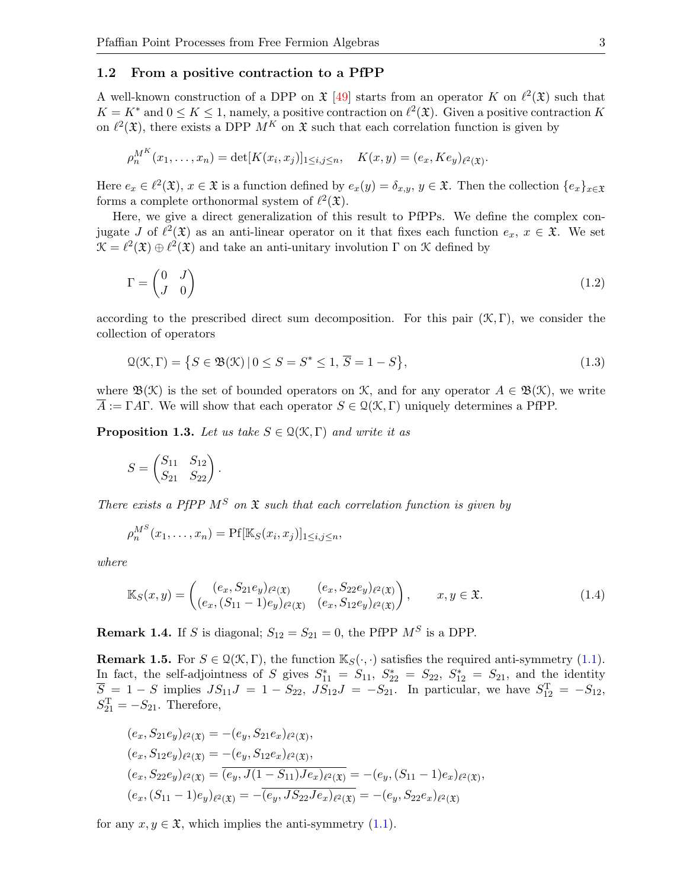#### 1.2 From a positive contraction to a PfPP

A well-known construction of a DPP on  $\mathfrak{X}$  [\[49\]](#page-34-0) starts from an operator K on  $\ell^2(\mathfrak{X})$  such that  $K = K^*$  and  $0 \leq K \leq 1$ , namely, a positive contraction on  $\ell^2(\mathfrak{X})$ . Given a positive contraction K on  $\ell^2(\mathfrak{X})$ , there exists a DPP  $M^K$  on  $\mathfrak{X}$  such that each correlation function is given by

$$
\rho_n^{MK}(x_1,\ldots,x_n) = \det[K(x_i,x_j)]_{1\leq i,j\leq n}, \quad K(x,y) = (e_x, Ke_y)_{\ell^2(\mathfrak{X})}.
$$

Here  $e_x \in \ell^2(\mathfrak{X}), x \in \mathfrak{X}$  is a function defined by  $e_x(y) = \delta_{x,y}, y \in \mathfrak{X}$ . Then the collection  $\{e_x\}_{x \in \mathfrak{X}}$ forms a complete orthonormal system of  $\ell^2(\mathfrak{X})$ .

Here, we give a direct generalization of this result to PfPPs. We define the complex conjugate J of  $\ell^2(\mathfrak{X})$  as an anti-linear operator on it that fixes each function  $e_x, x \in \mathfrak{X}$ . We set  $\mathcal{K} = \ell^2(\mathfrak{X}) \oplus \ell^2(\mathfrak{X})$  and take an anti-unitary involution  $\Gamma$  on  $\mathfrak{X}$  defined by

<span id="page-2-2"></span>
$$
\Gamma = \begin{pmatrix} 0 & J \\ J & 0 \end{pmatrix} \tag{1.2}
$$

according to the prescribed direct sum decomposition. For this pair  $(\mathcal{K}, \Gamma)$ , we consider the collection of operators

<span id="page-2-1"></span>
$$
\mathcal{Q}(\mathcal{K}, \Gamma) = \{ S \in \mathfrak{B}(\mathcal{K}) \, | \, 0 \le S = S^* \le 1, \overline{S} = 1 - S \},\tag{1.3}
$$

where  $\mathfrak{B}(\mathfrak{K})$  is the set of bounded operators on K, and for any operator  $A \in \mathfrak{B}(\mathfrak{K})$ , we write  $\overline{A} := \Gamma A \Gamma$ . We will show that each operator  $S \in \mathcal{Q}(\mathcal{K}, \Gamma)$  uniquely determines a PfPP.

<span id="page-2-0"></span>**Proposition 1.3.** Let us take  $S \in \mathcal{Q}(\mathcal{K}, \Gamma)$  and write it as

$$
S = \begin{pmatrix} S_{11} & S_{12} \\ S_{21} & S_{22} \end{pmatrix}.
$$

There exists a PfPP  $M^S$  on  $\mathfrak X$  such that each correlation function is given by

<span id="page-2-3"></span>
$$
\rho_n^{MS}(x_1,\ldots,x_n)=\Pr[\mathbb{K}_S(x_i,x_j)]_{1\leq i,j\leq n},
$$

where

$$
\mathbb{K}_{S}(x,y) = \begin{pmatrix} (e_x, S_{21}e_y)_{\ell^2(\mathfrak{X})} & (e_x, S_{22}e_y)_{\ell^2(\mathfrak{X})} \\ (e_x, (S_{11} - 1)e_y)_{\ell^2(\mathfrak{X})} & (e_x, S_{12}e_y)_{\ell^2(\mathfrak{X})} \end{pmatrix}, \qquad x, y \in \mathfrak{X}.\tag{1.4}
$$

**Remark 1.4.** If S is diagonal;  $S_{12} = S_{21} = 0$ , the PfPP  $M^S$  is a DPP.

<span id="page-2-4"></span>**Remark 1.5.** For  $S \in \mathcal{Q}(\mathcal{K}, \Gamma)$ , the function  $\mathbb{K}_{S}(\cdot, \cdot)$  satisfies the required anti-symmetry [\(1.1\)](#page-0-0). In fact, the self-adjointness of S gives  $S_{11}^* = S_{11}$ ,  $S_{22}^* = S_{22}$ ,  $S_{12}^* = S_{21}$ , and the identity  $\overline{S} = 1 - S$  implies  $JS_{11}J = 1 - S_{22}$ ,  $JS_{12}J = -S_{21}$ . In particular, we have  $S_{12}^{T} = -S_{12}$ ,  $S_{21}^{\mathrm{T}} = -S_{21}$ . Therefore,

$$
(e_x, S_{21}e_y)_{\ell^2(\mathfrak{X})} = -(e_y, S_{21}e_x)_{\ell^2(\mathfrak{X})},
$$
  
\n
$$
(e_x, S_{12}e_y)_{\ell^2(\mathfrak{X})} = -(e_y, S_{12}e_x)_{\ell^2(\mathfrak{X})},
$$
  
\n
$$
(e_x, S_{22}e_y)_{\ell^2(\mathfrak{X})} = \overline{(e_y, J(1 - S_{11})Je_x)_{\ell^2(\mathfrak{X})}} = -(e_y, (S_{11} - 1)e_x)_{\ell^2(\mathfrak{X})},
$$
  
\n
$$
(e_x, (S_{11} - 1)e_y)_{\ell^2(\mathfrak{X})} = -\overline{(e_y, JS_{22}Je_x)_{\ell^2(\mathfrak{X})}} = -(e_y, S_{22}e_x)_{\ell^2(\mathfrak{X})}
$$

for any  $x, y \in \mathfrak{X}$ , which implies the anti-symmetry [\(1.1\)](#page-0-0).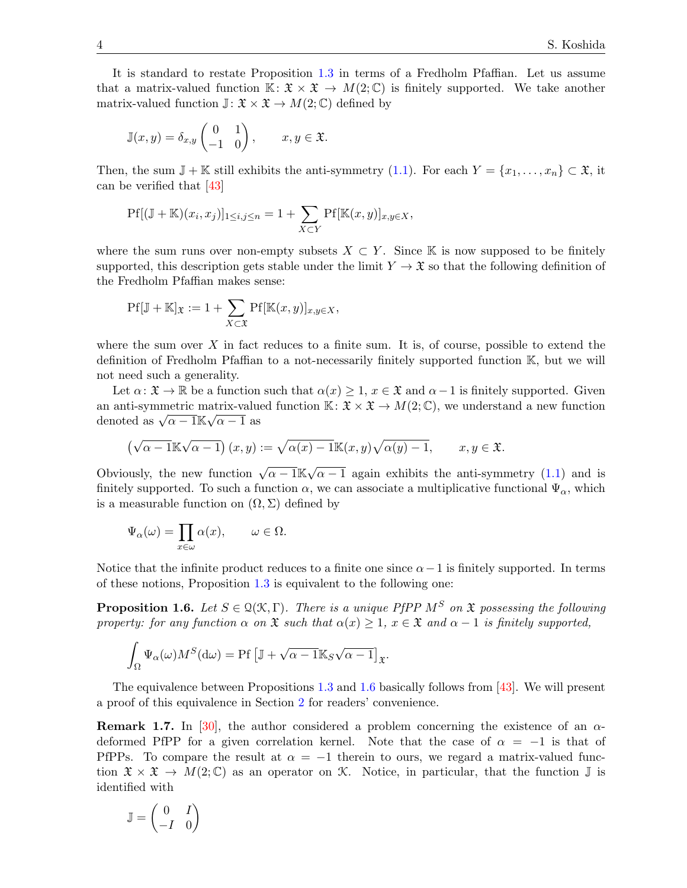It is standard to restate Proposition [1.3](#page-2-0) in terms of a Fredholm Pfaffian. Let us assume that a matrix-valued function  $\mathbb{K} \colon \mathfrak{X} \times \mathfrak{X} \to M(2;\mathbb{C})$  is finitely supported. We take another matrix-valued function  $\mathbb{J}: \mathfrak{X} \times \mathfrak{X} \to M(2;\mathbb{C})$  defined by

$$
\mathbb{J}(x,y) = \delta_{x,y} \begin{pmatrix} 0 & 1 \\ -1 & 0 \end{pmatrix}, \qquad x, y \in \mathfrak{X}.
$$

Then, the sum  $\mathbb{J} + \mathbb{K}$  still exhibits the anti-symmetry [\(1.1\)](#page-0-0). For each  $Y = \{x_1, \ldots, x_n\} \subset \mathfrak{X}$ , it can be verified that [\[43\]](#page-33-12)

$$
\Pr[(\mathbb{J} + \mathbb{K})(x_i, x_j)]_{1 \le i, j \le n} = 1 + \sum_{X \subset Y} \Pr[\mathbb{K}(x, y)]_{x, y \in X},
$$

where the sum runs over non-empty subsets  $X \subset Y$ . Since K is now supposed to be finitely supported, this description gets stable under the limit  $Y \to \mathfrak{X}$  so that the following definition of the Fredholm Pfaffian makes sense:

$$
\Pr[\mathbb{J} + \mathbb{K}]_{\mathfrak{X}} := 1 + \sum_{X \subset \mathfrak{X}} \Pr[\mathbb{K}(x, y)]_{x, y \in X},
$$

where the sum over  $X$  in fact reduces to a finite sum. It is, of course, possible to extend the definition of Fredholm Pfaffian to a not-necessarily finitely supported function K, but we will not need such a generality.

Let  $\alpha: \mathfrak{X} \to \mathbb{R}$  be a function such that  $\alpha(x) \geq 1$ ,  $x \in \mathfrak{X}$  and  $\alpha - 1$  is finitely supported. Given an anti-symmetric matrix-valued function  $\mathbb{K} : \mathfrak{X} \times \mathfrak{X} \to M(2;\mathbb{C})$ , we understand a new function an anu-symmetric matrix-value<br>denoted as  $\sqrt{\alpha-1}\mathbb{K}\sqrt{\alpha-1}$  as

$$
(\sqrt{\alpha-1}\mathbb{K}\sqrt{\alpha-1})(x,y) := \sqrt{\alpha(x)-1}\mathbb{K}(x,y)\sqrt{\alpha(y)-1}, \qquad x, y \in \mathfrak{X}.
$$

Obviously, the new function  $\sqrt{\alpha-1}\mathbb{K}\sqrt{\alpha}$  $\alpha - 1$  again exhibits the anti-symmetry [\(1.1\)](#page-0-0) and is finitely supported. To such a function  $\alpha$ , we can associate a multiplicative functional  $\Psi_{\alpha}$ , which is a measurable function on  $(\Omega, \Sigma)$  defined by

$$
\Psi_{\alpha}(\omega) = \prod_{x \in \omega} \alpha(x), \qquad \omega \in \Omega.
$$

Notice that the infinite product reduces to a finite one since  $\alpha-1$  is finitely supported. In terms of these notions, Proposition [1.3](#page-2-0) is equivalent to the following one:

<span id="page-3-0"></span>**Proposition 1.6.** Let  $S \in \mathcal{Q}(\mathcal{K}, \Gamma)$ . There is a unique PfPP  $M^S$  on  $\mathfrak{X}$  possessing the following property: for any function  $\alpha$  on  $\mathfrak X$  such that  $\alpha(x) \geq 1$ ,  $x \in \mathfrak X$  and  $\alpha - 1$  is finitely supported,

$$
\int_{\Omega} \Psi_{\alpha}(\omega) M^{S}(\mathrm{d}\omega) = \mathrm{Pf} \left[ \mathbb{J} + \sqrt{\alpha - 1} \mathbb{K}_{S} \sqrt{\alpha - 1} \right]_{\mathfrak{X}}.
$$

The equivalence between Propositions [1.3](#page-2-0) and [1.6](#page-3-0) basically follows from [\[43\]](#page-33-12). We will present a proof of this equivalence in Section [2](#page-9-0) for readers' convenience.

**Remark 1.7.** In [\[30\]](#page-33-13), the author considered a problem concerning the existence of an  $\alpha$ deformed PfPP for a given correlation kernel. Note that the case of  $\alpha = -1$  is that of PfPPs. To compare the result at  $\alpha = -1$  therein to ours, we regard a matrix-valued function  $\mathfrak{X} \times \mathfrak{X} \to M(2;\mathbb{C})$  as an operator on K. Notice, in particular, that the function  $\mathbb{J}$  is identified with

$$
\mathbb{J} = \begin{pmatrix} 0 & I \\ -I & 0 \end{pmatrix}
$$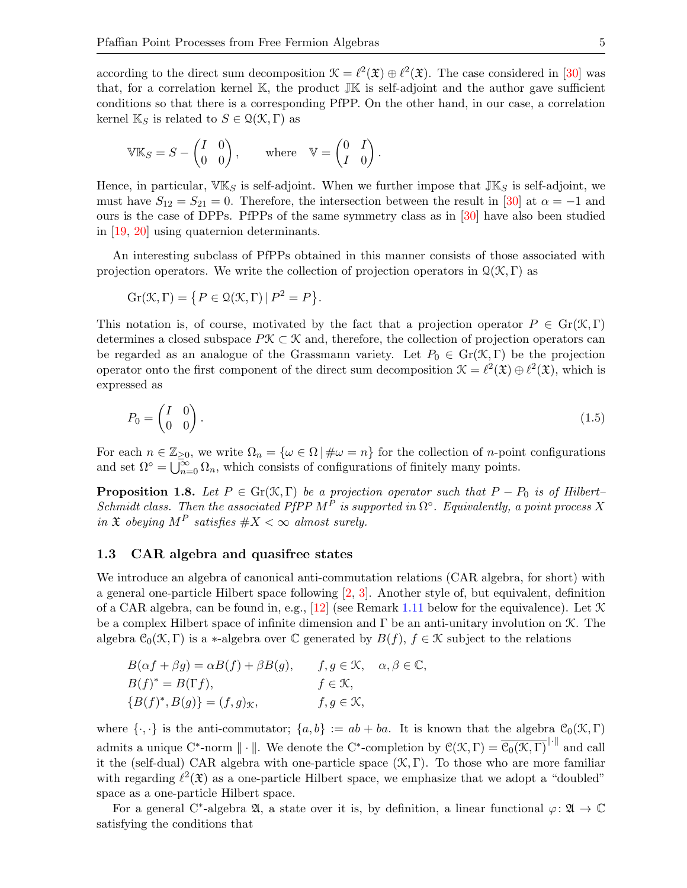according to the direct sum decomposition  $\mathcal{K} = \ell^2(\mathfrak{X}) \oplus \ell^2(\mathfrak{X})$ . The case considered in [\[30\]](#page-33-13) was that, for a correlation kernel  $\mathbb{K}$ , the product  $\mathbb{J}\mathbb{K}$  is self-adjoint and the author gave sufficient conditions so that there is a corresponding PfPP. On the other hand, in our case, a correlation kernel  $\mathbb{K}_S$  is related to  $S \in \mathcal{Q}(\mathcal{K}, \Gamma)$  as

$$
\mathbb{V}\mathbb{K}_S = S - \begin{pmatrix} I & 0 \\ 0 & 0 \end{pmatrix}, \quad \text{where} \quad \mathbb{V} = \begin{pmatrix} 0 & I \\ I & 0 \end{pmatrix}.
$$

Hence, in particular,  $\nabla K_S$  is self-adjoint. When we further impose that  $\mathbb{J} K_S$  is self-adjoint, we must have  $S_{12} = S_{21} = 0$ . Therefore, the intersection between the result in [\[30\]](#page-33-13) at  $\alpha = -1$  and ours is the case of DPPs. PfPPs of the same symmetry class as in [\[30\]](#page-33-13) have also been studied in [\[19,](#page-33-14) [20\]](#page-33-15) using quaternion determinants.

An interesting subclass of PfPPs obtained in this manner consists of those associated with projection operators. We write the collection of projection operators in  $\mathcal{Q}(\mathcal{K}, \Gamma)$  as

$$
Gr(\mathcal{K}, \Gamma) = \{ P \in \mathcal{Q}(\mathcal{K}, \Gamma) \, | \, P^2 = P \}.
$$

This notation is, of course, motivated by the fact that a projection operator  $P \in \mathrm{Gr}(\mathcal{K}, \Gamma)$ determines a closed subspace  $P\mathcal{K} \subset \mathcal{K}$  and, therefore, the collection of projection operators can be regarded as an analogue of the Grassmann variety. Let  $P_0 \in \text{Gr}(\mathcal{K}, \Gamma)$  be the projection operator onto the first component of the direct sum decomposition  $\mathcal{K} = \ell^2(\mathfrak{X}) \oplus \ell^2(\mathfrak{X})$ , which is expressed as

<span id="page-4-1"></span>
$$
P_0 = \begin{pmatrix} I & 0 \\ 0 & 0 \end{pmatrix} . \tag{1.5}
$$

For each  $n \in \mathbb{Z}_{\geq 0}$ , we write  $\Omega_n = {\omega \in \Omega | \# \omega = n}$  for the collection of *n*-point configurations and set  $\Omega^{\circ} = \bigcup_{n=0}^{\infty} \Omega_n$ , which consists of configurations of finitely many points.

<span id="page-4-0"></span>**Proposition 1.8.** Let  $P \in \text{Gr}(\mathcal{K}, \Gamma)$  be a projection operator such that  $P - P_0$  is of Hilbert– Schmidt class. Then the associated PfPP  $M^P$  is supported in  $\Omega^{\circ}$ . Equivalently, a point process X in  $\mathfrak X$  obeying  $M^P$  satisfies  $\#X < \infty$  almost surely.

#### 1.3 CAR algebra and quasifree states

We introduce an algebra of canonical anti-commutation relations (CAR algebra, for short) with a general one-particle Hilbert space following [\[2,](#page-32-7) [3\]](#page-32-8). Another style of, but equivalent, definition of a CAR algebra, can be found in, e.g., [\[12\]](#page-32-9) (see Remark [1.11](#page-6-0) below for the equivalence). Let  $\mathcal K$ be a complex Hilbert space of infinite dimension and  $\Gamma$  be an anti-unitary involution on  $\mathcal{K}$ . The algebra  $C_0(\mathcal{K}, \Gamma)$  is a \*-algebra over C generated by  $B(f)$ ,  $f \in \mathcal{K}$  subject to the relations

$$
B(\alpha f + \beta g) = \alpha B(f) + \beta B(g), \qquad f, g \in \mathcal{K}, \quad \alpha, \beta \in \mathbb{C},
$$
  
\n
$$
B(f)^* = B(\Gamma f), \qquad f \in \mathcal{K},
$$
  
\n
$$
\{B(f)^*, B(g)\} = (f, g)_{\mathcal{K}}, \qquad f, g \in \mathcal{K},
$$

where  $\{\cdot,\cdot\}$  is the anti-commutator;  $\{a,b\} := ab + ba$ . It is known that the algebra  $\mathcal{C}_0(\mathcal{K}, \Gamma)$ admits a unique C<sup>\*</sup>-norm  $\|\cdot\|$ . We denote the C<sup>\*</sup>-completion by  $\mathcal{C}(\mathcal{K}, \Gamma) = \overline{\mathcal{C}_0(\mathcal{K}, \Gamma)}^{\|\cdot\|}$  and call it the (self-dual) CAR algebra with one-particle space  $(\mathcal{K}, \Gamma)$ . To those who are more familiar with regarding  $\ell^2(\mathfrak{X})$  as a one-particle Hilbert space, we emphasize that we adopt a "doubled" space as a one-particle Hilbert space.

For a general C<sup>\*</sup>-algebra  $\mathfrak{A}$ , a state over it is, by definition, a linear functional  $\varphi \colon \mathfrak{A} \to \mathbb{C}$ satisfying the conditions that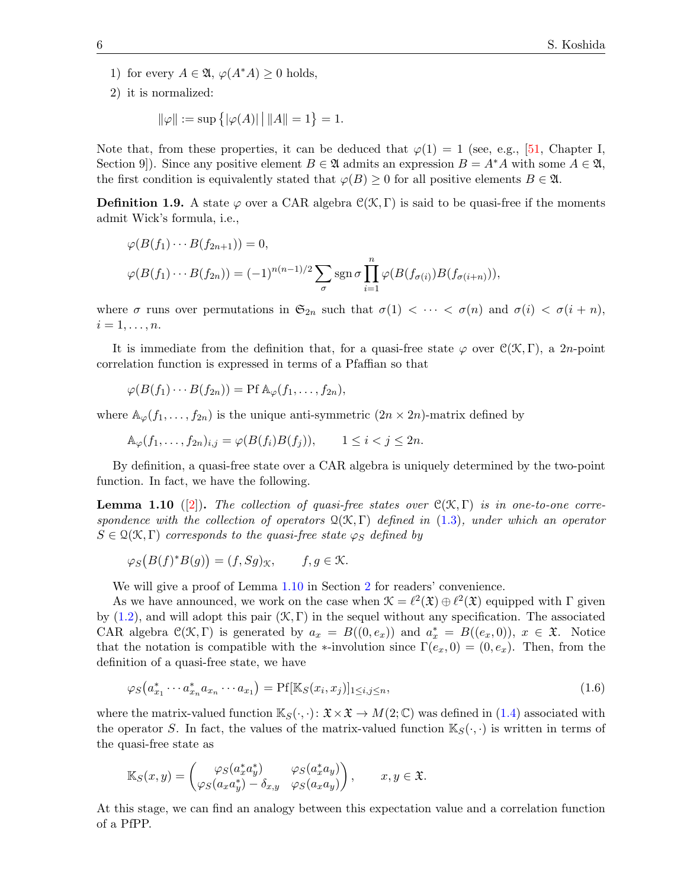- 1) for every  $A \in \mathfrak{A}, \varphi(A^*A) \geq 0$  holds,
- 2) it is normalized:

$$
\|\varphi\| := \sup \{ |\varphi(A)| \, | \, ||A|| = 1 \} = 1.
$$

Note that, from these properties, it can be deduced that  $\varphi(1) = 1$  (see, e.g., [\[51,](#page-34-6) Chapter I, Section 9. Since any positive element  $B \in \mathfrak{A}$  admits an expression  $B = A^*A$  with some  $A \in \mathfrak{A}$ , the first condition is equivalently stated that  $\varphi(B) \geq 0$  for all positive elements  $B \in \mathfrak{A}$ .

**Definition 1.9.** A state  $\varphi$  over a CAR algebra  $\mathcal{C}(\mathcal{K}, \Gamma)$  is said to be quasi-free if the moments admit Wick's formula, i.e.,

$$
\varphi(B(f_1)\cdots B(f_{2n+1})) = 0,
$$
  

$$
\varphi(B(f_1)\cdots B(f_{2n})) = (-1)^{n(n-1)/2} \sum_{\sigma} \operatorname{sgn} \sigma \prod_{i=1}^n \varphi(B(f_{\sigma(i)})B(f_{\sigma(i+n)})),
$$

where  $\sigma$  runs over permutations in  $\mathfrak{S}_{2n}$  such that  $\sigma(1) < \cdots < \sigma(n)$  and  $\sigma(i) < \sigma(i+n)$ ,  $i=1,\ldots,n$ .

It is immediate from the definition that, for a quasi-free state  $\varphi$  over  $\mathcal{C}(\mathcal{K}, \Gamma)$ , a 2n-point correlation function is expressed in terms of a Pfaffian so that

$$
\varphi(B(f_1)\cdots B(f_{2n})) = \Pr \mathbb{A}_{\varphi}(f_1,\ldots,f_{2n}),
$$

where  $\mathbb{A}_{\varphi}(f_1,\ldots,f_{2n})$  is the unique anti-symmetric  $(2n \times 2n)$ -matrix defined by

$$
\mathbb{A}_{\varphi}(f_1,\ldots,f_{2n})_{i,j} = \varphi(B(f_i)B(f_j)), \qquad 1 \le i < j \le 2n.
$$

By definition, a quasi-free state over a CAR algebra is uniquely determined by the two-point function. In fact, we have the following.

<span id="page-5-0"></span>**Lemma 1.10** ([\[2\]](#page-32-7)). The collection of quasi-free states over  $C(\mathcal{K}, \Gamma)$  is in one-to-one correspondence with the collection of operators  $\mathcal{Q}(\mathcal{K}, \Gamma)$  defined in [\(1.3\)](#page-2-1), under which an operator  $S \in \mathcal{Q}(\mathcal{K}, \Gamma)$  corresponds to the quasi-free state  $\varphi_S$  defined by

$$
\varphi_S\big(B(f)^*B(g)\big)=(f,Sg)_{\mathcal{K}},\qquad f,g\in\mathcal{K}.
$$

We will give a proof of Lemma [1.10](#page-5-0) in Section [2](#page-9-0) for readers' convenience.

As we have announced, we work on the case when  $\mathcal{K} = \ell^2(\mathfrak{X}) \oplus \ell^2(\mathfrak{X})$  equipped with  $\Gamma$  given by  $(1.2)$ , and will adopt this pair  $(\mathcal{K}, \Gamma)$  in the sequel without any specification. The associated CAR algebra  $\mathcal{C}(\mathcal{K}, \Gamma)$  is generated by  $a_x = B((0, e_x))$  and  $a_x^* = B((e_x, 0))$ ,  $x \in \mathfrak{X}$ . Notice that the notation is compatible with the ∗-involution since  $\Gamma(e_x, 0) = (0, e_x)$ . Then, from the definition of a quasi-free state, we have

<span id="page-5-1"></span>
$$
\varphi_S\big(a_{x_1}^* \cdots a_{x_n}^* a_{x_n} \cdots a_{x_1}\big) = \text{Pf}[\mathbb{K}_S(x_i, x_j)]_{1 \le i, j \le n},\tag{1.6}
$$

where the matrix-valued function  $\mathbb{K}_{S}(\cdot, \cdot): \mathfrak{X} \times \mathfrak{X} \to M(2;\mathbb{C})$  was defined in [\(1.4\)](#page-2-3) associated with the operator S. In fact, the values of the matrix-valued function  $\mathbb{K}_{S}(\cdot,\cdot)$  is written in terms of the quasi-free state as

$$
\mathbb{K}_S(x,y) = \begin{pmatrix} \varphi_S(a_x^* a_y^*) & \varphi_S(a_x^* a_y) \\ \varphi_S(a_x a_y^*) - \delta_{x,y} & \varphi_S(a_x a_y) \end{pmatrix}, \qquad x, y \in \mathfrak{X}.
$$

At this stage, we can find an analogy between this expectation value and a correlation function of a PfPP.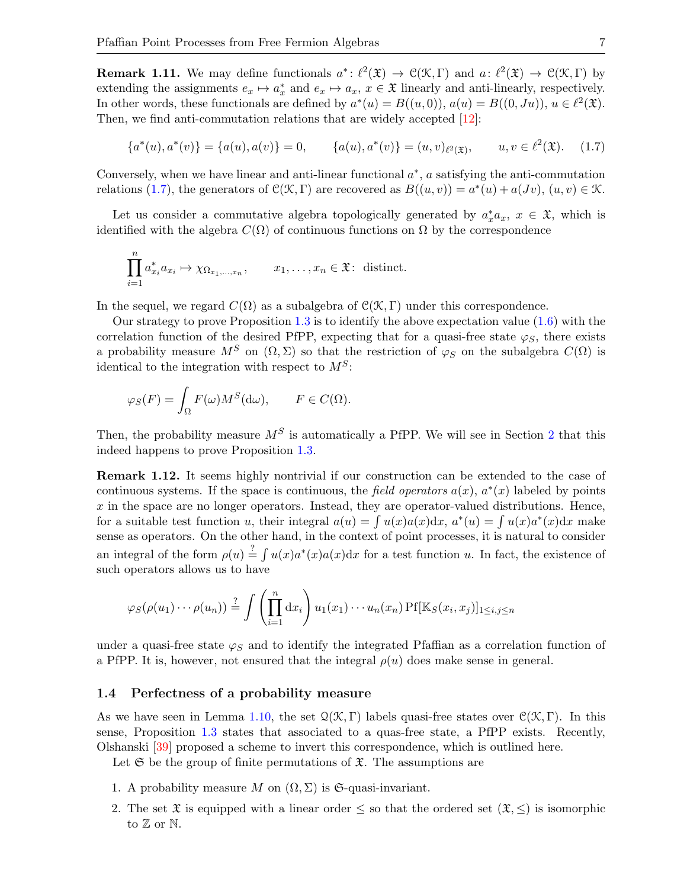<span id="page-6-0"></span>**Remark 1.11.** We may define functionals  $a^*: \ell^2(\mathfrak{X}) \to \mathfrak{C}(\mathfrak{X}, \Gamma)$  and  $a: \ell^2(\mathfrak{X}) \to \mathfrak{C}(\mathfrak{X}, \Gamma)$  by extending the assignments  $e_x \mapsto a_x^*$  and  $e_x \mapsto a_x$ ,  $x \in \mathfrak{X}$  linearly and anti-linearly, respectively. In other words, these functionals are defined by  $a^*(u) = B((u,0)), a(u) = B((0,Ju)), u \in \ell^2(\mathfrak{X})$ . Then, we find anti-commutation relations that are widely accepted [\[12\]](#page-32-9):

<span id="page-6-1"></span>
$$
\{a^*(u), a^*(v)\} = \{a(u), a(v)\} = 0, \qquad \{a(u), a^*(v)\} = (u, v)_{\ell^2(\mathfrak{X})}, \qquad u, v \in \ell^2(\mathfrak{X}). \tag{1.7}
$$

Conversely, when we have linear and anti-linear functional  $a^*$ ,  $a$  satisfying the anti-commutation relations [\(1.7\)](#page-6-1), the generators of  $\mathcal{C}(\mathcal{K}, \Gamma)$  are recovered as  $B((u, v)) = a^*(u) + a(Jv), (u, v) \in \mathcal{K}$ .

Let us consider a commutative algebra topologically generated by  $a_x^* a_x$ ,  $x \in \mathfrak{X}$ , which is identified with the algebra  $C(\Omega)$  of continuous functions on  $\Omega$  by the correspondence

$$
\prod_{i=1}^{n} a_{x_i}^* a_{x_i} \mapsto \chi_{\Omega_{x_1,\ldots,x_n}}, \qquad x_1,\ldots,x_n \in \mathfrak{X} \colon \text{ distinct.}
$$

In the sequel, we regard  $C(\Omega)$  as a subalgebra of  $C(\mathcal{K}, \Gamma)$  under this correspondence.

Our strategy to prove Proposition [1.3](#page-2-0) is to identify the above expectation value  $(1.6)$  with the correlation function of the desired PfPP, expecting that for a quasi-free state  $\varphi_{\mathcal{S}}$ , there exists a probability measure  $M^S$  on  $(\Omega, \Sigma)$  so that the restriction of  $\varphi_S$  on the subalgebra  $C(\Omega)$  is identical to the integration with respect to  $M<sup>S</sup>$ :

$$
\varphi_S(F) = \int_{\Omega} F(\omega) M^S(\mathrm{d}\omega), \qquad F \in C(\Omega).
$$

Then, the probability measure  $M^S$  is automatically a PfPP. We will see in Section [2](#page-9-0) that this indeed happens to prove Proposition [1.3.](#page-2-0)

Remark 1.12. It seems highly nontrivial if our construction can be extended to the case of continuous systems. If the space is continuous, the field operators  $a(x)$ ,  $a^*(x)$  labeled by points  $x$  in the space are no longer operators. Instead, they are operator-valued distributions. Hence, for a suitable test function u, their integral  $a(u) = \int u(x)a(x)dx$ ,  $a^*(u) = \int u(x)a^*(x)dx$  make sense as operators. On the other hand, in the context of point processes, it is natural to consider an integral of the form  $\rho(u) \stackrel{?}{=} \int u(x)a^*(x)a(x)dx$  for a test function u. In fact, the existence of such operators allows us to have

$$
\varphi_S(\rho(u_1)\cdots \rho(u_n)) \stackrel{?}{=} \int \left(\prod_{i=1}^n dx_i\right) u_1(x_1)\cdots u_n(x_n) \text{Pf}[\mathbb{K}_S(x_i,x_j)]_{1\leq i,j\leq n}
$$

under a quasi-free state  $\varphi_S$  and to identify the integrated Pfaffian as a correlation function of a PfPP. It is, however, not ensured that the integral  $\rho(u)$  does make sense in general.

#### 1.4 Perfectness of a probability measure

As we have seen in Lemma [1.10,](#page-5-0) the set  $\mathcal{Q}(\mathcal{K}, \Gamma)$  labels quasi-free states over  $\mathcal{C}(\mathcal{K}, \Gamma)$ . In this sense, Proposition [1.3](#page-2-0) states that associated to a quas-free state, a PfPP exists. Recently, Olshanski [\[39\]](#page-33-7) proposed a scheme to invert this correspondence, which is outlined here.

Let  $\mathfrak S$  be the group of finite permutations of  $\mathfrak X$ . The assumptions are

- 1. A probability measure M on  $(\Omega, \Sigma)$  is G-quasi-invariant.
- 2. The set  $\mathfrak X$  is equipped with a linear order  $\leq$  so that the ordered set  $(\mathfrak X,\leq)$  is isomorphic to  $\mathbb Z$  or  $\mathbb N$ .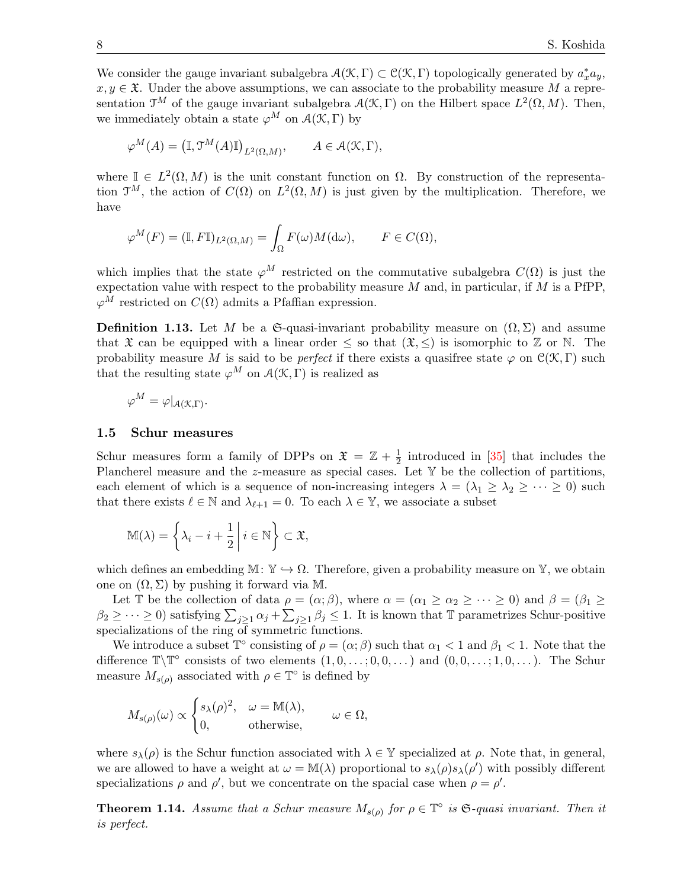We consider the gauge invariant subalgebra  $\mathcal{A}(\mathcal{K}, \Gamma) \subset \mathcal{C}(\mathcal{K}, \Gamma)$  topologically generated by  $a_x^* a_y$ ,  $x, y \in \mathfrak{X}$ . Under the above assumptions, we can associate to the probability measure M a representation  $\mathfrak{T}^M$  of the gauge invariant subalgebra  $\mathcal{A}(\mathcal{K}, \Gamma)$  on the Hilbert space  $L^2(\Omega, M)$ . Then, we immediately obtain a state  $\varphi^M$  on  $\mathcal{A}(\mathcal{K}, \Gamma)$  by

$$
\varphi^M(A) = \left(\mathbb{I}, \mathfrak{I}^M(A)\mathbb{I}\right)_{L^2(\Omega, M)}, \qquad A \in \mathcal{A}(\mathcal{K}, \Gamma),
$$

where  $\mathbb{I} \in L^2(\Omega, M)$  is the unit constant function on  $\Omega$ . By construction of the representation  $\mathfrak{I}^M$ , the action of  $C(\Omega)$  on  $L^2(\Omega, M)$  is just given by the multiplication. Therefore, we have

$$
\varphi^M(F) = (\mathbb{I}, F\mathbb{I})_{L^2(\Omega, M)} = \int_{\Omega} F(\omega) M(\mathrm{d}\omega), \qquad F \in C(\Omega),
$$

which implies that the state  $\varphi^M$  restricted on the commutative subalgebra  $C(\Omega)$  is just the expectation value with respect to the probability measure  $M$  and, in particular, if  $M$  is a PfPP,  $\varphi^M$  restricted on  $C(\Omega)$  admits a Pfaffian expression.

**Definition 1.13.** Let M be a G-quasi-invariant probability measure on  $(\Omega, \Sigma)$  and assume that  $\mathfrak X$  can be equipped with a linear order  $\leq$  so that  $(\mathfrak X,\leq)$  is isomorphic to  $\mathbb Z$  or  $\mathbb N$ . The probability measure M is said to be *perfect* if there exists a quasifree state  $\varphi$  on  $\mathcal{C}(\mathcal{K}, \Gamma)$  such that the resulting state  $\varphi^M$  on  $\mathcal{A}(\mathcal{K}, \Gamma)$  is realized as

$$
\varphi^M = \varphi|_{\mathcal{A}(\mathcal{K},\Gamma)}.
$$

#### 1.5 Schur measures

Schur measures form a family of DPPs on  $\mathfrak{X} = \mathbb{Z} + \frac{1}{2}$  $\frac{1}{2}$  introduced in [\[35\]](#page-33-0) that includes the Plancherel measure and the  $z$ -measure as special cases. Let  $\mathbb Y$  be the collection of partitions, each element of which is a sequence of non-increasing integers  $\lambda = (\lambda_1 \geq \lambda_2 \geq \cdots \geq 0)$  such that there exists  $\ell \in \mathbb{N}$  and  $\lambda_{\ell+1} = 0$ . To each  $\lambda \in \mathbb{Y}$ , we associate a subset

$$
\mathbb{M}(\lambda) = \left\{ \lambda_i - i + \frac{1}{2} \middle| i \in \mathbb{N} \right\} \subset \mathfrak{X},
$$

which defines an embedding  $\mathbb{M} \colon \mathbb{Y} \to \Omega$ . Therefore, given a probability measure on Y, we obtain one on  $(\Omega, \Sigma)$  by pushing it forward via M.

Let T be the collection of data  $\rho = (\alpha; \beta)$ , where  $\alpha = (\alpha_1 \ge \alpha_2 \ge \cdots \ge 0)$  and  $\beta = (\beta_1 \ge \cdots \ge 0)$  $\beta_2 \geq \cdots \geq 0$ ) satisfying  $\sum_{j\geq 1} \alpha_j + \sum_{j\geq 1} \beta_j \leq 1$ . It is known that  $\mathbb T$  parametrizes Schur-positive specializations of the ring of symmetric functions.

We introduce a subset  $\mathbb{T}^{\circ}$  consisting of  $\rho = (\alpha; \beta)$  such that  $\alpha_1 < 1$  and  $\beta_1 < 1$ . Note that the difference  $\mathbb{T}\backslash \mathbb{T}^{\circ}$  consists of two elements  $(1,0,\ldots,0,0,\ldots)$  and  $(0,0,\ldots,1,0,\ldots)$ . The Schur measure  $M_{s(\rho)}$  associated with  $\rho \in \mathbb{T}^{\circ}$  is defined by

$$
M_{s(\rho)}(\omega) \propto \begin{cases} s_{\lambda}(\rho)^2, & \omega = \mathbb{M}(\lambda), \\ 0, & \text{otherwise}, \end{cases} \omega \in \Omega,
$$

where  $s_{\lambda}(\rho)$  is the Schur function associated with  $\lambda \in \mathbb{Y}$  specialized at  $\rho$ . Note that, in general, we are allowed to have a weight at  $\omega = M(\lambda)$  proportional to  $s_{\lambda}(\rho)s_{\lambda}(\rho')$  with possibly different specializations  $\rho$  and  $\rho'$ , but we concentrate on the spacial case when  $\rho = \rho'$ .

<span id="page-7-0"></span>**Theorem 1.14.** Assume that a Schur measure  $M_{s(\rho)}$  for  $\rho \in \mathbb{T}^{\circ}$  is  $\mathfrak{S}\text{-quasi invariant. Then it}$ is perfect.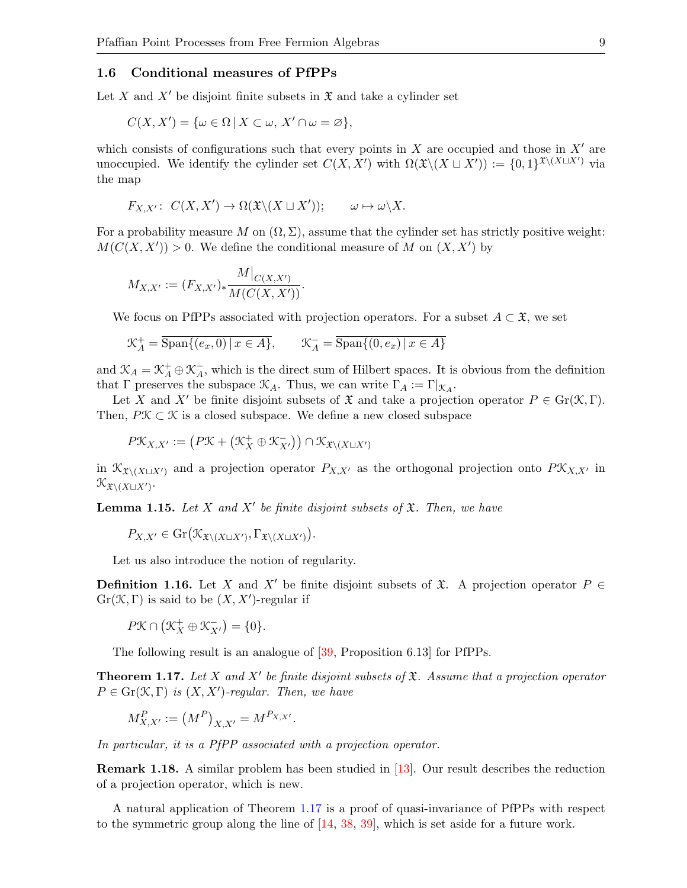#### 1.6 Conditional measures of PfPPs

Let X and X' be disjoint finite subsets in  $\mathfrak X$  and take a cylinder set

$$
C(X, X') = \{ \omega \in \Omega \mid X \subset \omega, X' \cap \omega = \varnothing \},
$$

which consists of configurations such that every points in  $X$  are occupied and those in  $X'$  are unoccupied. We identify the cylinder set  $C(X, X')$  with  $\Omega(\mathfrak{X}\backslash (X \sqcup X')) := \{0, 1\}^{\mathfrak{X}\backslash (X \sqcup X')}$  via the map

$$
F_{X,X'}\colon C(X,X')\to \Omega(\mathfrak{X}\backslash (X\sqcup X'));\qquad \omega\mapsto \omega\backslash X.
$$

For a probability measure M on  $(\Omega, \Sigma)$ , assume that the cylinder set has strictly positive weight:  $M(C(X, X')) > 0$ . We define the conditional measure of M on  $(X, X')$  by

$$
M_{X,X'} := (F_{X,X'})_* \frac{M|_{C(X,X')}}{M(C(X,X'))}.
$$

We focus on PfPPs associated with projection operators. For a subset  $A \subset \mathfrak{X}$ , we set

$$
\mathcal{K}_A^+ = \overline{\text{Span}\{(e_x, 0) \mid x \in A\}}, \qquad \mathcal{K}_A^- = \overline{\text{Span}\{(0, e_x) \mid x \in A\}}
$$

and  $\mathcal{K}_A = \mathcal{K}_A^+ \oplus \mathcal{K}_A^ A$ , which is the direct sum of Hilbert spaces. It is obvious from the definition that  $\Gamma$  preserves the subspace  $\mathcal{K}_A$ . Thus, we can write  $\Gamma_A := \Gamma|_{\mathcal{K}_A}$ .

Let X and X' be finite disjoint subsets of  $\mathfrak X$  and take a projection operator  $P \in \mathrm{Gr}(\mathfrak X,\Gamma)$ . Then,  $P\mathcal{K} \subset \mathcal{K}$  is a closed subspace. We define a new closed subspace

$$
P\mathfrak{X}_{X,X'} := \big(P\mathfrak{X} + \big(\mathfrak{X}^+_X \oplus \mathfrak{X}^-_{X'}\big)\big) \cap \mathfrak{X}_{\mathfrak{X} \setminus (X \sqcup X')}
$$

in  $\mathcal{K}_{\mathfrak{X}\setminus (X\cup X')}$  and a projection operator  $P_{X,X'}$  as the orthogonal projection onto  $P\mathcal{K}_{X,X'}$  in  $\mathcal{K}_{\mathfrak{X}\backslash(X\sqcup X')}$ .

<span id="page-8-1"></span>**Lemma 1.15.** Let X and X' be finite disjoint subsets of  $\mathfrak{X}$ . Then, we have

$$
P_{X,X'} \in \mathrm{Gr}\big(\mathcal{K}_{\mathfrak{X}\setminus (X\sqcup X')},\Gamma_{\mathfrak{X}\setminus (X\sqcup X')}\big).
$$

Let us also introduce the notion of regularity.

**Definition 1.16.** Let X and X' be finite disjoint subsets of  $\mathfrak{X}$ . A projection operator P ∈  $Gr(X, \Gamma)$  is said to be  $(X, X')$ -regular if

$$
P\mathcal K\cap\big(\mathcal K_X^+\oplus\mathcal K_{X'}^-\big)=\{0\}.
$$

The following result is an analogue of [\[39,](#page-33-7) Proposition 6.13] for PfPPs.

<span id="page-8-0"></span>**Theorem 1.17.** Let X and X' be finite disjoint subsets of  $\mathfrak{X}$ . Assume that a projection operator  $P \in \mathrm{Gr}(\mathcal{K}, \Gamma)$  is  $(X, X')$ -regular. Then, we have

$$
M_{X,X'}^P := (M^P)_{X,X'} = M^{P_{X,X'}}.
$$

In particular, it is a PfPP associated with a projection operator.

Remark 1.18. A similar problem has been studied in [\[13\]](#page-32-10). Our result describes the reduction of a projection operator, which is new.

A natural application of Theorem [1.17](#page-8-0) is a proof of quasi-invariance of PfPPs with respect to the symmetric group along the line of [\[14,](#page-32-11) [38,](#page-33-16) [39\]](#page-33-7), which is set aside for a future work.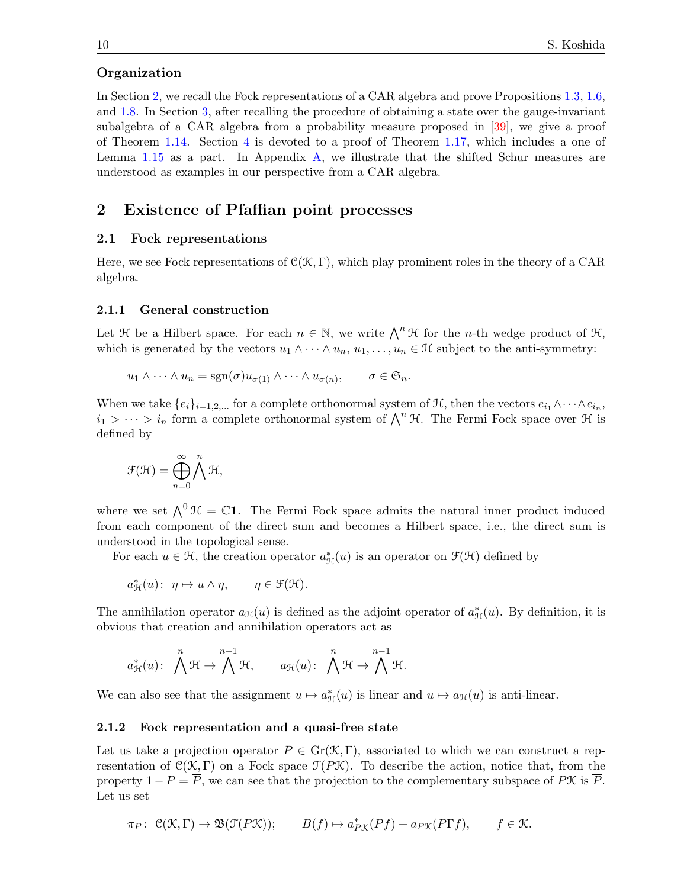#### Organization

In Section [2,](#page-9-0) we recall the Fock representations of a CAR algebra and prove Propositions [1.3,](#page-2-0) [1.6,](#page-3-0) and [1.8.](#page-4-0) In Section [3,](#page-17-0) after recalling the procedure of obtaining a state over the gauge-invariant subalgebra of a CAR algebra from a probability measure proposed in [\[39\]](#page-33-7), we give a proof of Theorem [1.14.](#page-7-0) Section [4](#page-24-0) is devoted to a proof of Theorem [1.17,](#page-8-0) which includes a one of Lemma [1.15](#page-8-1) as a part. In Appendix [A,](#page-30-0) we illustrate that the shifted Schur measures are understood as examples in our perspective from a CAR algebra.

# <span id="page-9-0"></span>2 Existence of Pfaffian point processes

## 2.1 Fock representations

Here, we see Fock representations of  $\mathcal{C}(\mathcal{K}, \Gamma)$ , which play prominent roles in the theory of a CAR algebra.

#### 2.1.1 General construction

Let H be a Hilbert space. For each  $n \in \mathbb{N}$ , we write  $\bigwedge^n \mathcal{H}$  for the *n*-th wedge product of H, which is generated by the vectors  $u_1 \wedge \cdots \wedge u_n, u_1, \ldots, u_n \in \mathcal{H}$  subject to the anti-symmetry:

$$
u_1 \wedge \cdots \wedge u_n = \text{sgn}(\sigma) u_{\sigma(1)} \wedge \cdots \wedge u_{\sigma(n)}, \qquad \sigma \in \mathfrak{S}_n.
$$

When we take  $\{e_i\}_{i=1,2,...}$  for a complete orthonormal system of  $\mathcal{H}$ , then the vectors  $e_{i_1} \wedge \cdots \wedge e_{i_n}$ ,  $i_1 > \cdots > i_n$  form a complete orthonormal system of  $\bigwedge^n \mathcal{H}$ . The Fermi Fock space over  $\mathcal{H}$  is defined by

$$
\mathcal{F}(\mathcal{H}) = \bigoplus_{n=0}^{\infty} \bigwedge^{n} \mathcal{H},
$$

where we set  $\bigwedge^0 \mathcal{H} = \mathbb{C}$ 1. The Fermi Fock space admits the natural inner product induced from each component of the direct sum and becomes a Hilbert space, i.e., the direct sum is understood in the topological sense.

For each  $u \in \mathcal{H}$ , the creation operator  $a_{\mathcal{H}}^*(u)$  is an operator on  $\mathcal{F}(\mathcal{H})$  defined by

$$
a_{\mathcal{H}}^*(u): \ \eta \mapsto u \wedge \eta, \qquad \eta \in \mathcal{F}(\mathcal{H}).
$$

The annihilation operator  $a_{\mathcal{H}}(u)$  is defined as the adjoint operator of  $a_{\mathcal{H}}^*(u)$ . By definition, it is obvious that creation and annihilation operators act as

$$
a^*_{\mathcal{H}}(u)\colon\; \bigwedge^n \mathcal{H} \to \bigwedge^{n+1} \mathcal{H}, \qquad a_{\mathcal{H}}(u)\colon \; \bigwedge^n \mathcal{H} \to \bigwedge^{n-1} \mathcal{H}.
$$

We can also see that the assignment  $u \mapsto a_{\mathcal{H}}^*(u)$  is linear and  $u \mapsto a_{\mathcal{H}}(u)$  is anti-linear.

#### 2.1.2 Fock representation and a quasi-free state

Let us take a projection operator  $P \in Gr(\mathcal{K}, \Gamma)$ , associated to which we can construct a representation of  $\mathcal{C}(\mathcal{K}, \Gamma)$  on a Fock space  $\mathcal{F}(P\mathcal{K})$ . To describe the action, notice that, from the property  $1 - P = \overline{P}$ , we can see that the projection to the complementary subspace of PX is  $\overline{P}$ . Let us set

$$
\pi_P\colon\thinspace \mathfrak C(\mathfrak K,\Gamma)\to\mathfrak B(\mathfrak F(P\mathfrak K));\qquad B(f)\mapsto a^*_{P\mathfrak K}(Pf)+a_{P\mathfrak K}(P\Gamma f),\qquad f\in\mathfrak K.
$$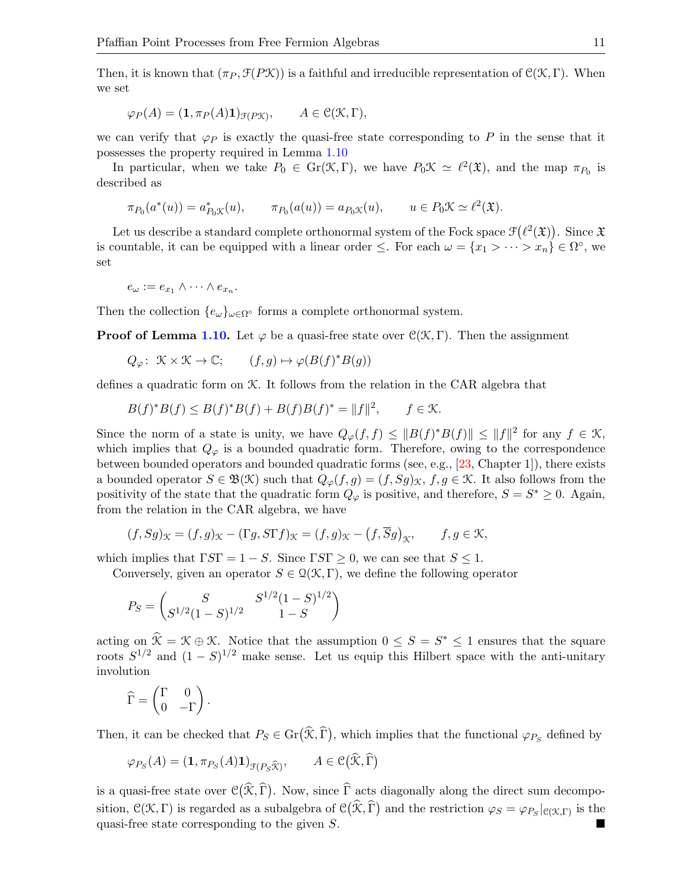Then, it is known that  $(\pi_P, \mathcal{F}(P\mathcal{K}))$  is a faithful and irreducible representation of  $\mathcal{C}(\mathcal{K}, \Gamma)$ . When we set

$$
\varphi_P(A) = (\mathbf{1}, \pi_P(A)\mathbf{1})_{\mathfrak{F}(P\mathcal{K})}, \qquad A \in \mathfrak{C}(\mathcal{K}, \Gamma),
$$

we can verify that  $\varphi_P$  is exactly the quasi-free state corresponding to P in the sense that it possesses the property required in Lemma [1.10](#page-5-0)

In particular, when we take  $P_0 \in \text{Gr}(\mathcal{K}, \Gamma)$ , we have  $P_0 \mathcal{K} \simeq \ell^2(\mathfrak{X})$ , and the map  $\pi_{P_0}$  is described as

$$
\pi_{P_0}(a^*(u)) = a_{P_0\mathcal{K}}^*(u), \qquad \pi_{P_0}(a(u)) = a_{P_0\mathcal{K}}(u), \qquad u \in P_0\mathcal{K} \simeq \ell^2(\mathfrak{X}).
$$

Let us describe a standard complete orthonormal system of the Fock space  $\mathcal{F}(\ell^2(\mathfrak{X}))$ . Since  $\mathfrak{X}$ is countable, it can be equipped with a linear order  $\leq$ . For each  $\omega = \{x_1 > \cdots > x_n\} \in \Omega^{\circ}$ , we set

$$
e_{\omega} := e_{x_1} \wedge \cdots \wedge e_{x_n}.
$$

Then the collection  $\{e_{\omega}\}_{{\omega}\in{\Omega}^{\circ}}$  forms a complete orthonormal system.

**Proof of Lemma [1.10.](#page-5-0)** Let  $\varphi$  be a quasi-free state over  $\mathcal{C}(\mathcal{K}, \Gamma)$ . Then the assignment

$$
Q_{\varphi}: \ \mathcal{K} \times \mathcal{K} \to \mathbb{C}; \qquad (f, g) \mapsto \varphi(B(f)^*B(g))
$$

defines a quadratic form on K. It follows from the relation in the CAR algebra that

$$
B(f)^*B(f) \le B(f)^*B(f) + B(f)B(f)^* = ||f||^2, \qquad f \in \mathcal{K}.
$$

Since the norm of a state is unity, we have  $Q_{\varphi}(f, f) \leq ||B(f)^*B(f)|| \leq ||f||^2$  for any  $f \in \mathcal{K}$ , which implies that  $Q_{\varphi}$  is a bounded quadratic form. Therefore, owing to the correspondence between bounded operators and bounded quadratic forms (see, e.g., [\[23,](#page-33-17) Chapter 1]), there exists a bounded operator  $S \in \mathfrak{B}(\mathfrak{K})$  such that  $Q_{\varphi}(f,g) = (f, Sg)_{\mathfrak{K}}, f, g \in \mathfrak{K}$ . It also follows from the positivity of the state that the quadratic form  $Q_{\varphi}$  is positive, and therefore,  $S = S^* \geq 0$ . Again, from the relation in the CAR algebra, we have

$$
(f, Sg)_{\mathcal{K}} = (f, g)_{\mathcal{K}} - (\Gamma g, S\Gamma f)_{\mathcal{K}} = (f, g)_{\mathcal{K}} - (f, \overline{S}g)_{\mathcal{K}}, \qquad f, g \in \mathcal{K},
$$

which implies that  $\Gamma S\Gamma = 1 - S$ . Since  $\Gamma S\Gamma \geq 0$ , we can see that  $S \leq 1$ .

Conversely, given an operator  $S \in \mathcal{Q}(\mathcal{K}, \Gamma)$ , we define the following operator

$$
P_S = \begin{pmatrix} S & S^{1/2}(1-S)^{1/2} \\ S^{1/2}(1-S)^{1/2} & 1-S \end{pmatrix}
$$

acting on  $\hat{\mathcal{K}} = \mathcal{K} \oplus \mathcal{K}$ . Notice that the assumption  $0 \leq S = S^* \leq 1$  ensures that the square roots  $S^{1/2}$  and  $(1 - S)^{1/2}$  make sense. Let us equip this Hilbert space with the anti-unitary involution

$$
\widehat{\Gamma} = \begin{pmatrix} \Gamma & 0 \\ 0 & -\Gamma \end{pmatrix}.
$$

Then, it can be checked that  $P_S \in \text{Gr}(\mathcal{K}, \Gamma)$ , which implies that the functional  $\varphi_{P_S}$  defined by

$$
\varphi_{P_S}(A) = (\mathbf{1}, \pi_{P_S}(A)\mathbf{1})_{\mathcal{F}(P_S \widehat{\mathcal{K}})}, \qquad A \in \mathcal{C}(\widehat{\mathcal{K}}, \widehat{\Gamma})
$$

is a quasi-free state over  $\mathcal{C}(\mathcal{K}, \Gamma)$ . Now, since  $\Gamma$  acts diagonally along the direct sum decomposition,  $\mathcal{C}(\mathcal{K}, \Gamma)$  is regarded as a subalgebra of  $\mathcal{C}(\mathcal{K}, \widehat{\Gamma})$  and the restriction  $\varphi_S = \varphi_{P_S}|_{\mathcal{C}(\mathcal{K}, \Gamma)}$  is the quasi-free state corresponding to the given S.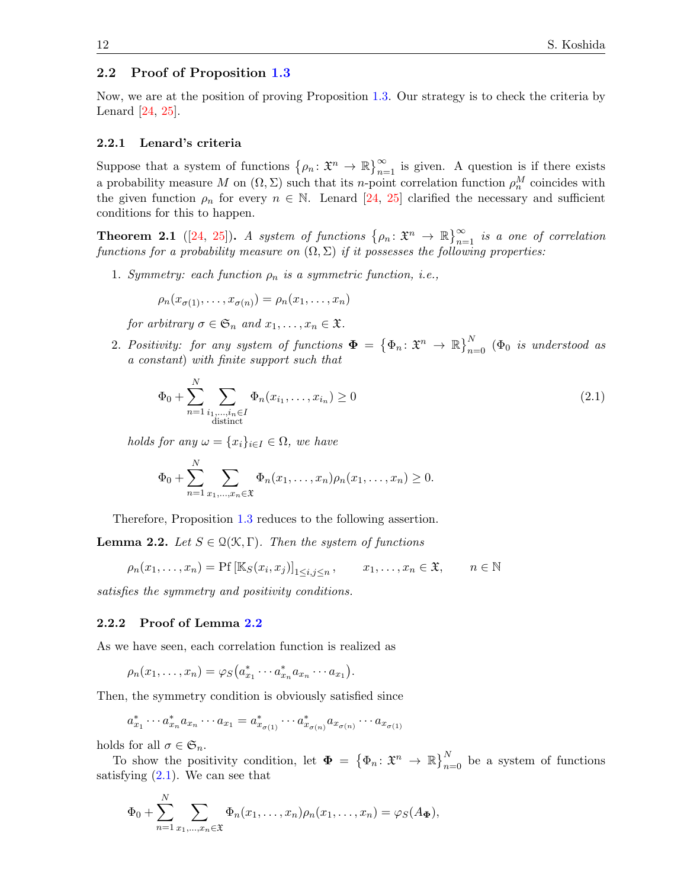#### 2.2 Proof of Proposition [1.3](#page-2-0)

Now, we are at the position of proving Proposition [1.3.](#page-2-0) Our strategy is to check the criteria by Lenard [\[24,](#page-33-18) [25\]](#page-33-19).

#### 2.2.1 Lenard's criteria

Suppose that a system of functions  $\{\rho_n: \mathfrak{X}^n \to \mathbb{R}\}_{n=1}^\infty$  is given. A question is if there exists a probability measure M on  $(\Omega, \Sigma)$  such that its n-point correlation function  $\rho_n^M$  coincides with the given function  $\rho_n$  for every  $n \in \mathbb{N}$ . Lenard [\[24,](#page-33-18) [25\]](#page-33-19) clarified the necessary and sufficient conditions for this to happen.

**Theorem 2.1** ([\[24,](#page-33-18) [25\]](#page-33-19)). A system of functions  $\{\rho_n: \mathfrak{X}^n \to \mathbb{R}\}_{n=1}^{\infty}$  is a one of correlation functions for a probability measure on  $(\Omega, \Sigma)$  if it possesses the following properties:

1. Symmetry: each function  $\rho_n$  is a symmetric function, i.e.,

$$
\rho_n(x_{\sigma(1)},\ldots,x_{\sigma(n)})=\rho_n(x_1,\ldots,x_n)
$$

for arbitrary  $\sigma \in \mathfrak{S}_n$  and  $x_1, \ldots, x_n \in \mathfrak{X}$ .

2. Positivity: for any system of functions  $\boldsymbol{\Phi} = \{\Phi_n : \mathfrak{X}^n \to \mathbb{R}\}_{n=0}^N$  ( $\Phi_0$  is understood as a constant) with finite support such that

<span id="page-11-1"></span>
$$
\Phi_0 + \sum_{n=1}^{N} \sum_{\substack{i_1, ..., i_n \in I \\ \text{distinct}}} \Phi_n(x_{i_1}, ..., x_{i_n}) \ge 0
$$
\n(2.1)

holds for any  $\omega = \{x_i\}_{i \in I} \in \Omega$ , we have

$$
\Phi_0 + \sum_{n=1}^N \sum_{x_1, ..., x_n \in \mathfrak{X}} \Phi_n(x_1, ..., x_n) \rho_n(x_1, ..., x_n) \ge 0.
$$

Therefore, Proposition [1.3](#page-2-0) reduces to the following assertion.

<span id="page-11-0"></span>**Lemma 2.2.** Let  $S \in \mathcal{Q}(\mathcal{K}, \Gamma)$ . Then the system of functions

$$
\rho_n(x_1,\ldots,x_n)=\Pr\left[\mathbb{K}_S(x_i,x_j)\right]_{1\leq i,j\leq n},\qquad x_1,\ldots,x_n\in\mathfrak{X},\qquad n\in\mathbb{N}
$$

satisfies the symmetry and positivity conditions.

#### 2.2.2 Proof of Lemma [2.2](#page-11-0)

As we have seen, each correlation function is realized as

$$
\rho_n(x_1,\ldots,x_n)=\varphi_S\big(a_{x_1}^*\cdots a_{x_n}^*a_{x_n}\cdots a_{x_1}\big).
$$

Then, the symmetry condition is obviously satisfied since

$$
a_{x_1}^* \cdots a_{x_n}^* a_{x_n} \cdots a_{x_1} = a_{x_{\sigma(1)}}^* \cdots a_{x_{\sigma(n)}}^* a_{x_{\sigma(n)}} \cdots a_{x_{\sigma(1)}}
$$

holds for all  $\sigma \in \mathfrak{S}_n$ .

 $\mathbf{v}$ 

To show the positivity condition, let  $\Phi = {\Phi_n : \mathfrak{X}^n \to \mathbb{R}}_{n=0}^N$  be a system of functions satisfying  $(2.1)$ . We can see that

$$
\Phi_0+\sum_{n=1}^N\sum_{x_1,\ldots,x_n\in\mathfrak{X}}\Phi_n(x_1,\ldots,x_n)\rho_n(x_1,\ldots,x_n)=\varphi_S(A_{\Phi}),
$$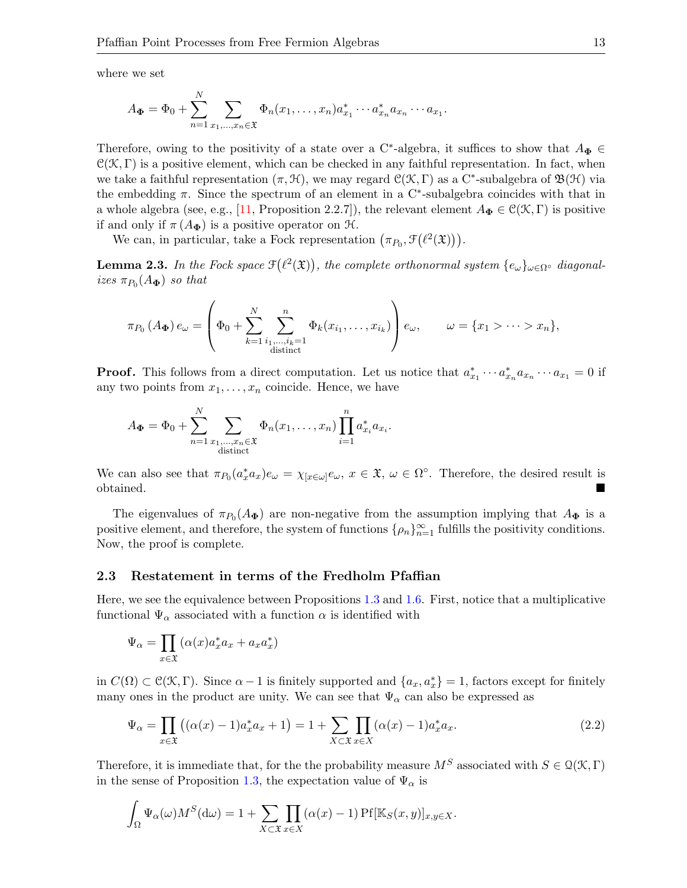where we set

$$
A_{\Phi} = \Phi_0 + \sum_{n=1}^N \sum_{x_1, \dots, x_n \in \mathfrak{X}} \Phi_n(x_1, \dots, x_n) a_{x_1}^* \cdots a_{x_n}^* a_{x_n} \cdots a_{x_1}.
$$

Therefore, owing to the positivity of a state over a C<sup>\*</sup>-algebra, it suffices to show that  $A_{\Phi} \in$  $C(\mathcal{K}, \Gamma)$  is a positive element, which can be checked in any faithful representation. In fact, when we take a faithful representation  $(\pi, \mathcal{H})$ , we may regard  $\mathcal{C}(\mathcal{K}, \Gamma)$  as a C<sup>\*</sup>-subalgebra of  $\mathfrak{B}(\mathcal{H})$  via the embedding  $\pi$ . Since the spectrum of an element in a C<sup>\*</sup>-subalgebra coincides with that in a whole algebra (see, e.g., [\[11,](#page-32-12) Proposition 2.2.7]), the relevant element  $A_{\Phi} \in \mathcal{C}(\mathcal{K}, \Gamma)$  is positive if and only if  $\pi(A_{\Phi})$  is a positive operator on  $\mathfrak{H}$ .

We can, in particular, take a Fock representation  $(\pi_{P_0}, \mathcal{F}(\ell^2(\mathfrak{X}))).$ 

**Lemma 2.3.** In the Fock space  $\mathfrak{F}(\ell^2(\mathfrak{X}))$ , the complete orthonormal system  $\{e_\omega\}_{\omega \in \Omega} \circ$  diagonalizes  $\pi_{P_0}(A_{\Phi})$  so that

$$
\pi_{P_0}(A_{\Phi})e_{\omega} = \left(\Phi_0 + \sum_{k=1}^N \sum_{\substack{i_1,\ldots,i_k=1 \ i_1,\ldots,i_k=1}}^n \Phi_k(x_{i_1},\ldots,x_{i_k})\right)e_{\omega}, \qquad \omega = \{x_1 > \cdots > x_n\},\,
$$

**Proof.** This follows from a direct computation. Let us notice that  $a_{x_1}^* \cdots a_{x_n}^* a_{x_n} \cdots a_{x_1} = 0$  if any two points from  $x_1, \ldots, x_n$  coincide. Hence, we have

$$
A_{\Phi} = \Phi_0 + \sum_{n=1}^{N} \sum_{\substack{x_1, ..., x_n \in \mathfrak{X} \\ \text{distinct}}} \Phi_n(x_1, ..., x_n) \prod_{i=1}^{n} a_{x_i}^* a_{x_i}.
$$

We can also see that  $\pi_{P_0}(a_x^*a_x)e_\omega = \chi_{[x \in \omega]}e_\omega, x \in \mathfrak{X}, \omega \in \Omega^\circ$ . Therefore, the desired result is obtained.

The eigenvalues of  $\pi_{P_0}(A_{\Phi})$  are non-negative from the assumption implying that  $A_{\Phi}$  is a positive element, and therefore, the system of functions  $\{\rho_n\}_{n=1}^{\infty}$  fulfills the positivity conditions. Now, the proof is complete.

#### 2.3 Restatement in terms of the Fredholm Pfaffian

Here, we see the equivalence between Propositions [1.3](#page-2-0) and [1.6.](#page-3-0) First, notice that a multiplicative functional  $\Psi_{\alpha}$  associated with a function  $\alpha$  is identified with

$$
\Psi_{\alpha} = \prod_{x \in \mathfrak{X}} (\alpha(x) a_x^* a_x + a_x a_x^*)
$$

in  $C(\Omega) \subset \mathcal{C}(\mathcal{K}, \Gamma)$ . Since  $\alpha - 1$  is finitely supported and  $\{a_x, a_x^*\}=1$ , factors except for finitely many ones in the product are unity. We can see that  $\Psi_{\alpha}$  can also be expressed as

<span id="page-12-0"></span>
$$
\Psi_{\alpha} = \prod_{x \in \mathfrak{X}} ((\alpha(x) - 1)a_x^* a_x + 1) = 1 + \sum_{X \subset \mathfrak{X}} \prod_{x \in X} (\alpha(x) - 1)a_x^* a_x.
$$
\n(2.2)

Therefore, it is immediate that, for the the probability measure  $M^S$  associated with  $S \in \mathcal{Q}(\mathcal{K}, \Gamma)$ in the sense of Proposition [1.3,](#page-2-0) the expectation value of  $\Psi_{\alpha}$  is

$$
\int_{\Omega} \Psi_{\alpha}(\omega) M^{S}(\mathrm{d}\omega) = 1 + \sum_{X \subset \mathfrak{X}} \prod_{x \in X} (\alpha(x) - 1) \Pr[\mathbb{K}_{S}(x, y)]_{x, y \in X}.
$$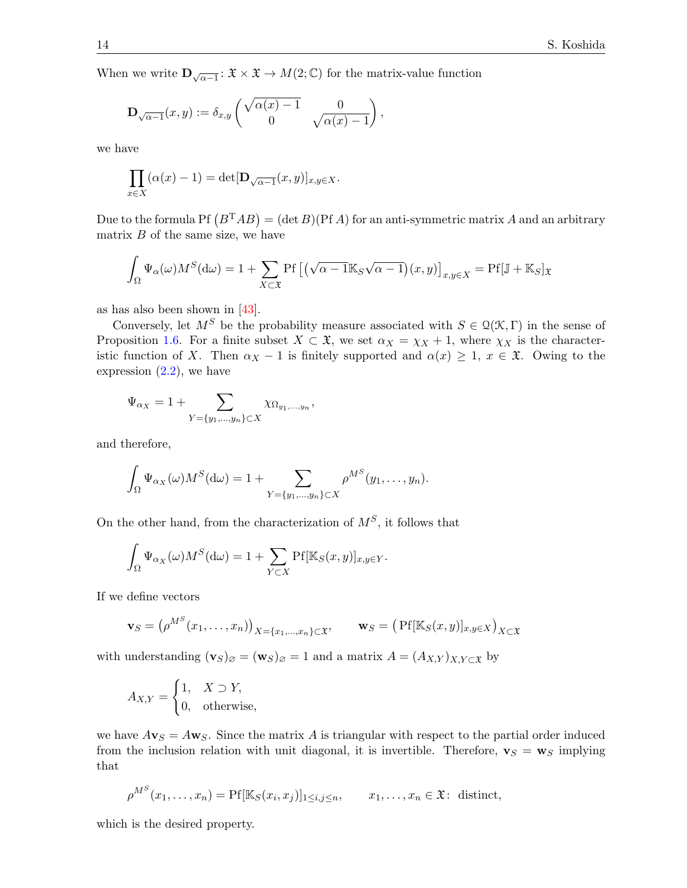When we write  $\mathbf{D}_{\sqrt{\alpha-1}}: \mathfrak{X} \times \mathfrak{X} \to M(2;\mathbb{C})$  for the matrix-value function

$$
\mathbf{D}_{\sqrt{\alpha-1}}(x,y) := \delta_{x,y} \begin{pmatrix} \sqrt{\alpha(x)-1} & 0 \\ 0 & \sqrt{\alpha(x)-1} \end{pmatrix},
$$

we have

$$
\prod_{x \in X} (\alpha(x) - 1) = \det[\mathbf{D}_{\sqrt{\alpha - 1}}(x, y)]_{x, y \in X}.
$$

Due to the formula Pf  $(B^TAB) = (\det B)(PfA)$  for an anti-symmetric matrix A and an arbitrary matrix  $B$  of the same size, we have

$$
\int_{\Omega} \Psi_{\alpha}(\omega) M^{S}(\mathrm{d}\omega) = 1 + \sum_{X \subset \mathfrak{X}} \mathrm{Pf}\left[ \left( \sqrt{\alpha - 1} \mathbb{K}_{S} \sqrt{\alpha - 1} \right) (x, y) \right]_{x, y \in X} = \mathrm{Pf}[\mathbb{J} + \mathbb{K}_{S}]_{\mathfrak{X}}
$$

as has also been shown in [\[43\]](#page-33-12).

Conversely, let  $M^S$  be the probability measure associated with  $S \in \mathcal{Q}(\mathcal{K}, \Gamma)$  in the sense of Proposition [1.6.](#page-3-0) For a finite subset  $X \subset \mathfrak{X}$ , we set  $\alpha_X = \chi_X + 1$ , where  $\chi_X$  is the characteristic function of X. Then  $\alpha_X - 1$  is finitely supported and  $\alpha(x) \geq 1$ ,  $x \in \mathfrak{X}$ . Owing to the expression  $(2.2)$ , we have

$$
\Psi_{\alpha_X} = 1 + \sum_{Y = \{y_1, \dots, y_n\} \subset X} \chi_{\Omega_{y_1, \dots, y_n}},
$$

and therefore,

$$
\int_{\Omega} \Psi_{\alpha_X}(\omega) M^S(\mathrm{d}\omega) = 1 + \sum_{Y = \{y_1, \dots, y_n\} \subset X} \rho^{M^S}(y_1, \dots, y_n).
$$

On the other hand, from the characterization of  $M^S$ , it follows that

$$
\int_{\Omega} \Psi_{\alpha_X}(\omega) M^S(\mathrm{d}\omega) = 1 + \sum_{Y \subset X} \mathrm{Pf}[\mathbb{K}_S(x, y)]_{x, y \in Y}.
$$

If we define vectors

$$
\mathbf{v}_S = \left(\rho^{M^S}(x_1,\ldots,x_n)\right)_{X=\{x_1,\ldots,x_n\}\subset \mathfrak{X}}, \qquad \mathbf{w}_S = \left(\Pr[\mathbb{K}_S(x,y)]_{x,y\in X}\right)_{X\subset \mathfrak{X}}
$$

with understanding  $(\mathbf{v}_S)_{\emptyset} = (\mathbf{w}_S)_{\emptyset} = 1$  and a matrix  $A = (A_{X,Y})_{X,Y \subset \mathfrak{X}}$  by

$$
A_{X,Y} = \begin{cases} 1, & X \supset Y, \\ 0, & \text{otherwise,} \end{cases}
$$

we have  $A\mathbf{v}_S = A\mathbf{w}_S$ . Since the matrix A is triangular with respect to the partial order induced from the inclusion relation with unit diagonal, it is invertible. Therefore,  $\mathbf{v}_S = \mathbf{w}_S$  implying that

$$
\rho^{M^S}(x_1,\ldots,x_n)=\Pr[\mathbb{K}_S(x_i,x_j)]_{1\leq i,j\leq n},\qquad x_1,\ldots,x_n\in\mathfrak{X}\colon\text{ distinct},
$$

which is the desired property.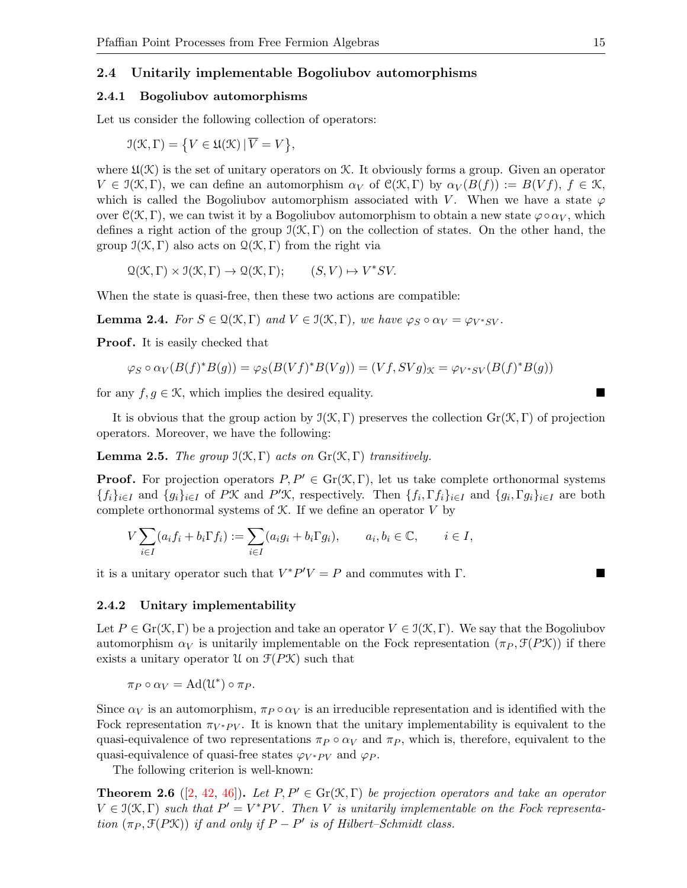#### 2.4 Unitarily implementable Bogoliubov automorphisms

#### 2.4.1 Bogoliubov automorphisms

Let us consider the following collection of operators:

$$
\mathfrak{I}(\mathcal{K}, \Gamma) = \{ V \in \mathfrak{U}(\mathcal{K}) \, | \, \overline{V} = V \},
$$

where  $\mathfrak{U}(\mathcal{K})$  is the set of unitary operators on  $\mathcal{K}$ . It obviously forms a group. Given an operator  $V \in \mathcal{I}(\mathcal{K}, \Gamma)$ , we can define an automorphism  $\alpha_V$  of  $\mathcal{C}(\mathcal{K}, \Gamma)$  by  $\alpha_V(B(f)) := B(Vf)$ ,  $f \in \mathcal{K}$ , which is called the Bogoliubov automorphism associated with V. When we have a state  $\varphi$ over  $C(\mathcal{K}, \Gamma)$ , we can twist it by a Bogoliubov automorphism to obtain a new state  $\varphi \circ \alpha_V$ , which defines a right action of the group  $\mathfrak{I}(\mathcal{K}, \Gamma)$  on the collection of states. On the other hand, the group  $\mathfrak{I}(\mathcal{K}, \Gamma)$  also acts on  $\mathfrak{Q}(\mathcal{K}, \Gamma)$  from the right via

 $\mathcal{Q}(\mathcal{K}, \Gamma) \times \mathcal{I}(\mathcal{K}, \Gamma) \to \mathcal{Q}(\mathcal{K}, \Gamma); \qquad (S, V) \mapsto V^* S V.$ 

When the state is quasi-free, then these two actions are compatible:

**Lemma 2.4.** For  $S \in \mathcal{Q}(\mathcal{K}, \Gamma)$  and  $V \in \mathcal{I}(\mathcal{K}, \Gamma)$ , we have  $\varphi_S \circ \alpha_V = \varphi_{V^*SV}$ .

**Proof.** It is easily checked that

$$
\varphi_S \circ \alpha_V(B(f)^*B(g)) = \varphi_S(B(Vf)^*B(Vg)) = (Vf, SVg)_{\mathcal{K}} = \varphi_{V^*SV}(B(f)^*B(g))
$$

for any  $f, g \in \mathcal{K}$ , which implies the desired equality.

It is obvious that the group action by  $\mathfrak{I}(\mathcal{K}, \Gamma)$  preserves the collection  $Gr(\mathcal{K}, \Gamma)$  of projection operators. Moreover, we have the following:

**Lemma 2.5.** The group  $\mathfrak{I}(\mathfrak{K},\Gamma)$  acts on  $\text{Gr}(\mathfrak{K},\Gamma)$  transitively.

**Proof.** For projection operators  $P, P' \in Gr(\mathcal{K}, \Gamma)$ , let us take complete orthonormal systems  $\{f_i\}_{i\in I}$  and  $\{g_i\}_{i\in I}$  of PK and P'K, respectively. Then  $\{f_i, \Gamma f_i\}_{i\in I}$  and  $\{g_i, \Gamma g_i\}_{i\in I}$  are both complete orthonormal systems of  $K$ . If we define an operator  $V$  by

$$
V\sum_{i\in I}(a_if_i+b_i\Gamma f_i):=\sum_{i\in I}(a_ig_i+b_i\Gamma g_i),\qquad a_i,b_i\in\mathbb{C},\qquad i\in I,
$$

it is a unitary operator such that  $V^*P'V = P$  and commutes with  $\Gamma$ .

#### 2.4.2 Unitary implementability

Let  $P \in \text{Gr}(\mathcal{K}, \Gamma)$  be a projection and take an operator  $V \in \mathcal{I}(\mathcal{K}, \Gamma)$ . We say that the Bogoliubov automorphism  $\alpha_V$  is unitarily implementable on the Fock representation  $(\pi_P, \mathcal{F}(P\mathcal{K}))$  if there exists a unitary operator U on  $\mathcal{F}(P\mathcal{K})$  such that

$$
\pi_P \circ \alpha_V = \mathrm{Ad}(\mathfrak{U}^*) \circ \pi_P.
$$

Since  $\alpha_V$  is an automorphism,  $\pi_P \circ \alpha_V$  is an irreducible representation and is identified with the Fock representation  $\pi_{V^*PV}$ . It is known that the unitary implementability is equivalent to the quasi-equivalence of two representations  $\pi_P \circ \alpha_V$  and  $\pi_P$ , which is, therefore, equivalent to the quasi-equivalence of quasi-free states  $\varphi_{V^*PV}$  and  $\varphi_P$ .

The following criterion is well-known:

<span id="page-14-0"></span>**Theorem 2.6** ([\[2,](#page-32-7) [42,](#page-33-20) [46\]](#page-34-7)). Let  $P, P' \in \text{Gr}(\mathcal{K}, \Gamma)$  be projection operators and take an operator  $V \in \mathfrak{I}(\mathfrak{X},\Gamma)$  such that  $P' = V^*PV$ . Then V is unitarily implementable on the Fock representation  $(\pi_P, \mathcal{F}(P\mathcal{K}))$  if and only if  $P - P'$  is of Hilbert–Schmidt class.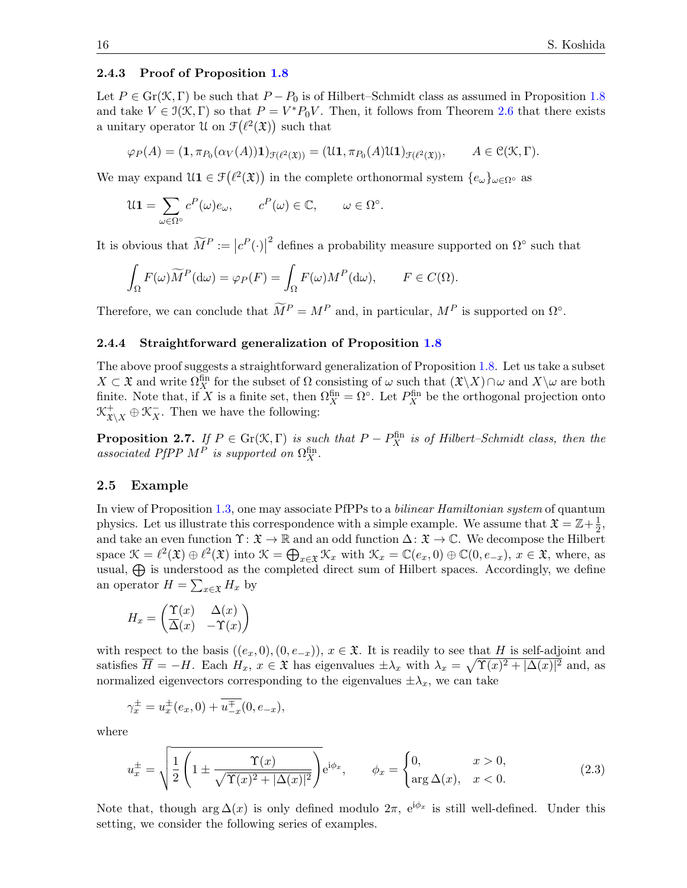#### 2.4.3 Proof of Proposition [1.8](#page-4-0)

Let  $P \in \text{Gr}(\mathcal{K}, \Gamma)$  be such that  $P - P_0$  is of Hilbert–Schmidt class as assumed in Proposition [1.8](#page-4-0) and take  $V \in \mathcal{I}(\mathcal{K}, \Gamma)$  so that  $P = V^*P_0V$ . Then, it follows from Theorem [2.6](#page-14-0) that there exists a unitary operator U on  $\mathcal{F}(\ell^2(\mathfrak{X}))$  such that

$$
\varphi_P(A) = (\mathbf{1}, \pi_{P_0}(\alpha_V(A))\mathbf{1})_{\mathcal{F}(\ell^2(\mathfrak{X}))} = (\mathfrak{U}\mathbf{1}, \pi_{P_0}(A)\mathfrak{U}\mathbf{1})_{\mathcal{F}(\ell^2(\mathfrak{X}))}, \qquad A \in \mathcal{C}(\mathfrak{X}, \Gamma).
$$

We may expand  $\mathfrak{U1} \in \mathfrak{F}(\ell^2(\mathfrak{X}))$  in the complete orthonormal system  $\{e_\omega\}_{\omega \in \Omega}$ <sup>°</sup> as

$$
\mathfrak{U}\mathbf{1} = \sum_{\omega \in \Omega^{\circ}} c^P(\omega) e_{\omega}, \qquad c^P(\omega) \in \mathbb{C}, \qquad \omega \in \Omega^{\circ}.
$$

It is obvious that  $\widetilde{M}^P := |c^P(\cdot)|$ <sup>2</sup> defines a probability measure supported on  $\Omega^{\circ}$  such that

$$
\int_{\Omega} F(\omega) \widetilde{M}^P(\mathrm{d}\omega) = \varphi_P(F) = \int_{\Omega} F(\omega) M^P(\mathrm{d}\omega), \qquad F \in C(\Omega).
$$

Therefore, we can conclude that  $\widetilde{M}^P = M^P$  and, in particular,  $M^P$  is supported on  $\Omega^{\circ}$ .

#### 2.4.4 Straightforward generalization of Proposition [1.8](#page-4-0)

The above proof suggests a straightforward generalization of Proposition [1.8.](#page-4-0) Let us take a subset  $X \subset \mathfrak{X}$  and write  $\Omega_X^{\text{fin}}$  for the subset of  $\Omega$  consisting of  $\omega$  such that  $(\mathfrak{X}\backslash X)\cap \omega$  and  $X\backslash \omega$  are both finite. Note that, if X is a finite set, then  $\Omega_X^{\text{fin}} = \Omega^{\circ}$ . Let  $P_X^{\text{fin}}$  be the orthogonal projection onto  $\mathfrak{K}^+_{\mathfrak{X}\setminus X} \oplus \mathfrak{K}^-_X$ . Then we have the following:

<span id="page-15-1"></span>**Proposition 2.7.** If  $P \in Gr(\mathcal{K}, \Gamma)$  is such that  $P - P_X^{\text{fin}}$  is of Hilbert–Schmidt class, then the associated PfPP  $M^P$  is supported on  $\Omega_X^{\text{fin}}$ .

#### 2.5 Example

In view of Proposition [1.3,](#page-2-0) one may associate PfPPs to a *bilinear Hamiltonian system* of quantum physics. Let us illustrate this correspondence with a simple example. We assume that  $\mathfrak{X} = \mathbb{Z} + \frac{1}{2}$  $\frac{1}{2}$ , and take an even function  $\Upsilon: \mathfrak{X} \to \mathbb{R}$  and an odd function  $\Delta: \mathfrak{X} \to \mathbb{C}$ . We decompose the Hilbert space  $\mathcal{K} = \ell^2(\mathfrak{X}) \oplus \ell^2(\mathfrak{X})$  into  $\mathcal{K} = \bigoplus_{x \in \mathfrak{X}} \mathcal{K}_x$  with  $\mathcal{K}_x = \mathbb{C}(e_x, 0) \oplus \mathbb{C}(0, e_{-x}), x \in \mathfrak{X}$ , where, as usual,  $\bigoplus$  is understood as the completed direct sum of Hilbert spaces. Accordingly, we define an operator  $H = \sum_{x \in \mathfrak{X}} H_x$  by

$$
H_x = \begin{pmatrix} \Upsilon(x) & \Delta(x) \\ \overline{\Delta}(x) & -\Upsilon(x) \end{pmatrix}
$$

with respect to the basis  $((e_x, 0), (0, e_{-x}))$ ,  $x \in \mathfrak{X}$ . It is readily to see that H is self-adjoint and satisfies  $\overline{H} = -H$ . Each  $H_x, x \in \mathfrak{X}$  has eigenvalues  $\pm \lambda_x$  with  $\lambda_x = \sqrt{\Upsilon(x)^2 + |\Delta(x)|^2}$  and, as normalized eigenvectors corresponding to the eigenvalues  $\pm \lambda_x$ , we can take

$$
\gamma_x^{\pm} = u_x^{\pm}(e_x, 0) + \overline{u_{-x}^{\mp}}(0, e_{-x}),
$$

where

<span id="page-15-0"></span>
$$
u_x^{\pm} = \sqrt{\frac{1}{2} \left( 1 \pm \frac{\Upsilon(x)}{\sqrt{\Upsilon(x)^2 + |\Delta(x)|^2}} \right)} e^{i\phi_x}, \qquad \phi_x = \begin{cases} 0, & x > 0, \\ \arg \Delta(x), & x < 0. \end{cases}
$$
 (2.3)

Note that, though  $\arg \Delta(x)$  is only defined modulo  $2\pi$ ,  $e^{i\phi_x}$  is still well-defined. Under this setting, we consider the following series of examples.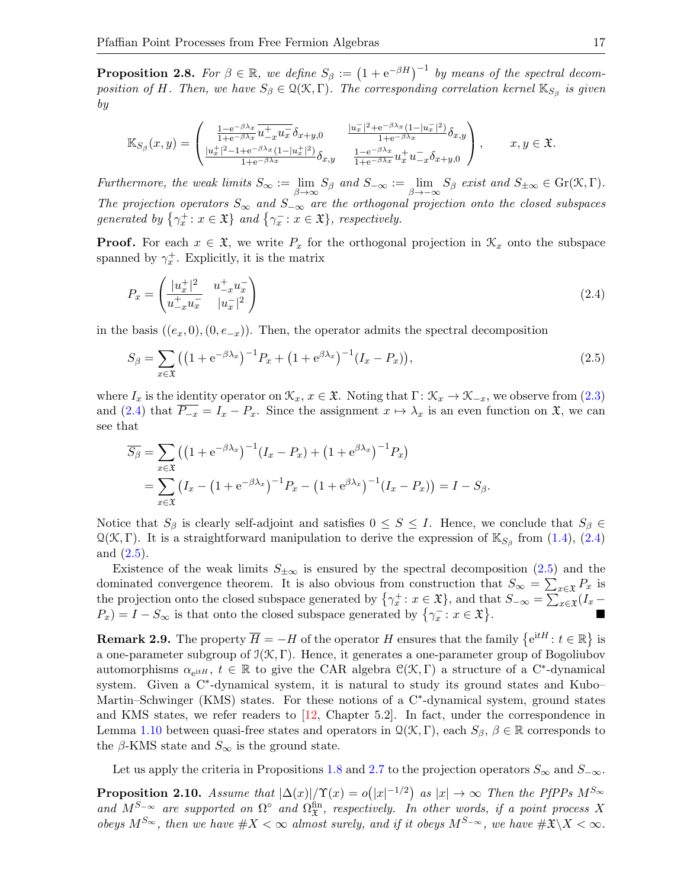**Proposition 2.8.** For  $\beta \in \mathbb{R}$ , we define  $S_{\beta} := (1 + e^{-\beta H})^{-1}$  by means of the spectral decomposition of H. Then, we have  $S_\beta \in \mathcal{Q}(\mathcal{K}, \Gamma)$ . The corresponding correlation kernel  $\mathbb{K}_{S_\beta}$  is given by

$$
\mathbb{K}_{S_{\beta}}(x,y) = \begin{pmatrix} \frac{1 - e^{-\beta \lambda_x}}{1 + e^{-\beta \lambda_x}} \overline{u_{-x}^+ u_x^-} \delta_{x+y,0} & \frac{|u_x^-|^2 + e^{-\beta \lambda_x} (1 - |u_x^-|^2)}{1 + e^{-\beta \lambda_x}} \delta_{x,y} \\ \frac{|u_x^+|^2 - 1 + e^{-\beta \lambda_x} (1 - |u_x^+|^2)}{1 + e^{-\beta \lambda_x}} \delta_{x,y} & \frac{1 - e^{-\beta \lambda_x}}{1 + e^{-\beta \lambda_x}} u_x^+ u_{-x}^- \delta_{x+y,0} \end{pmatrix}, \qquad x, y \in \mathfrak{X}.
$$

Furthermore, the weak limits  $S_{\infty} := \lim_{\beta \to \infty} S_{\beta}$  and  $S_{-\infty} := \lim_{\beta \to -\infty} S_{\beta}$  exist and  $S_{\pm \infty} \in \text{Gr}(\mathcal{K}, \Gamma)$ . The projection operators  $S_{\infty}$  and  $S_{-\infty}$  are the orthogonal projection onto the closed subspaces generated by  $\{\gamma_x^+: x \in \mathfrak{X}\}\$  and  $\{\gamma_x^-: x \in \mathfrak{X}\}\$ , respectively.

**Proof.** For each  $x \in \mathfrak{X}$ , we write  $P_x$  for the orthogonal projection in  $\mathcal{K}_x$  onto the subspace spanned by  $\gamma_x^+$ . Explicitly, it is the matrix

<span id="page-16-0"></span>
$$
P_x = \begin{pmatrix} \frac{|u_x^+|^2}{u_{-x}^+ u_x^-} & u_{-x}^+ u_x^- \\ u_{-x}^+ u_x^- & |u_x^-|^2 \end{pmatrix} \tag{2.4}
$$

in the basis  $((e_x, 0), (0, e_{-x}))$ . Then, the operator admits the spectral decomposition

<span id="page-16-1"></span>
$$
S_{\beta} = \sum_{x \in \mathfrak{X}} \left( \left( 1 + e^{-\beta \lambda_x} \right)^{-1} P_x + \left( 1 + e^{\beta \lambda_x} \right)^{-1} (I_x - P_x) \right),\tag{2.5}
$$

where  $I_x$  is the identity operator on  $\mathcal{K}_x, x \in \mathfrak{X}$ . Noting that  $\Gamma: \mathcal{K}_x \to \mathcal{K}_{-x}$ , we observe from [\(2.3\)](#page-15-0) and [\(2.4\)](#page-16-0) that  $P_{-x} = I_x - P_x$ . Since the assignment  $x \mapsto \lambda_x$  is an even function on  $\mathfrak{X}$ , we can see that

$$
\overline{S_{\beta}} = \sum_{x \in \mathfrak{X}} \left( \left( 1 + e^{-\beta \lambda_x} \right)^{-1} (I_x - P_x) + \left( 1 + e^{\beta \lambda_x} \right)^{-1} P_x \right)
$$
  
= 
$$
\sum_{x \in \mathfrak{X}} \left( I_x - \left( 1 + e^{-\beta \lambda_x} \right)^{-1} P_x - \left( 1 + e^{\beta \lambda_x} \right)^{-1} (I_x - P_x) \right) = I - S_{\beta}.
$$

Notice that  $S_\beta$  is clearly self-adjoint and satisfies  $0 \leq S \leq I$ . Hence, we conclude that  $S_\beta \in$  $\mathcal{Q}(\mathcal{K}, \Gamma)$ . It is a straightforward manipulation to derive the expression of  $\mathbb{K}_{S_{\beta}}$  from [\(1.4\)](#page-2-3), [\(2.4\)](#page-16-0) and [\(2.5\)](#page-16-1).

Existence of the weak limits  $S_{\pm\infty}$  is ensured by the spectral decomposition [\(2.5\)](#page-16-1) and the dominated convergence theorem. It is also obvious from construction that  $S_{\infty} = \sum_{x \in \mathfrak{X}} P_x$  is the projection onto the closed subspace generated by  $\{\gamma_x^+: x \in \mathfrak{X}\}\)$ , and that  $S_{-\infty} = \sum_{x \in \mathfrak{X}} (I_x - I_x)$  $P_x$ ) =  $I - S_{\infty}$  is that onto the closed subspace generated by  $\{\gamma_x^- : x \in \mathfrak{X}\}\$  $\overline{\phantom{a}}$ .

**Remark 2.9.** The property  $\overline{H} = -H$  of the operator H ensures that the family  $\{e^{itH}: t \in \mathbb{R}\}\$ is a one-parameter subgroup of  $\mathfrak{I}(\mathfrak{K},\Gamma)$ . Hence, it generates a one-parameter group of Bogoliubov automorphisms  $\alpha_{e^{itH}}$ ,  $t \in \mathbb{R}$  to give the CAR algebra  $\mathcal{C}(\mathcal{K}, \Gamma)$  a structure of a C<sup>\*</sup>-dynamical system. Given a C<sup>\*</sup>-dynamical system, it is natural to study its ground states and Kubo– Martin–Schwinger (KMS) states. For these notions of a C<sup>∗</sup> -dynamical system, ground states and KMS states, we refer readers to [\[12,](#page-32-9) Chapter 5.2]. In fact, under the correspondence in Lemma [1.10](#page-5-0) between quasi-free states and operators in  $\mathcal{Q}(\mathcal{K}, \Gamma)$ , each  $S_{\beta}, \beta \in \mathbb{R}$  corresponds to the  $\beta$ -KMS state and  $S_{\infty}$  is the ground state.

Let us apply the criteria in Propositions [1.8](#page-4-0) and [2.7](#page-15-1) to the projection operators  $S_{\infty}$  and  $S_{-\infty}$ .

**Proposition 2.10.** Assume that  $|\Delta(x)|/\Upsilon(x) = o(|x|^{-1/2})$  as  $|x| \to \infty$  Then the PfPPs  $M^{S_{\infty}}$ and  $M^{S-\infty}$  are supported on  $\Omega^{\circ}$  and  $\Omega^{\text{fin}}_{\mathfrak{X}}$ , respectively. In other words, if a point process X obeys  $M^{S_{\infty}}$ , then we have  $\#X < \infty$  almost surely, and if it obeys  $M^{S_{-\infty}}$ , we have  $\#\mathfrak{X}\setminus X < \infty$ .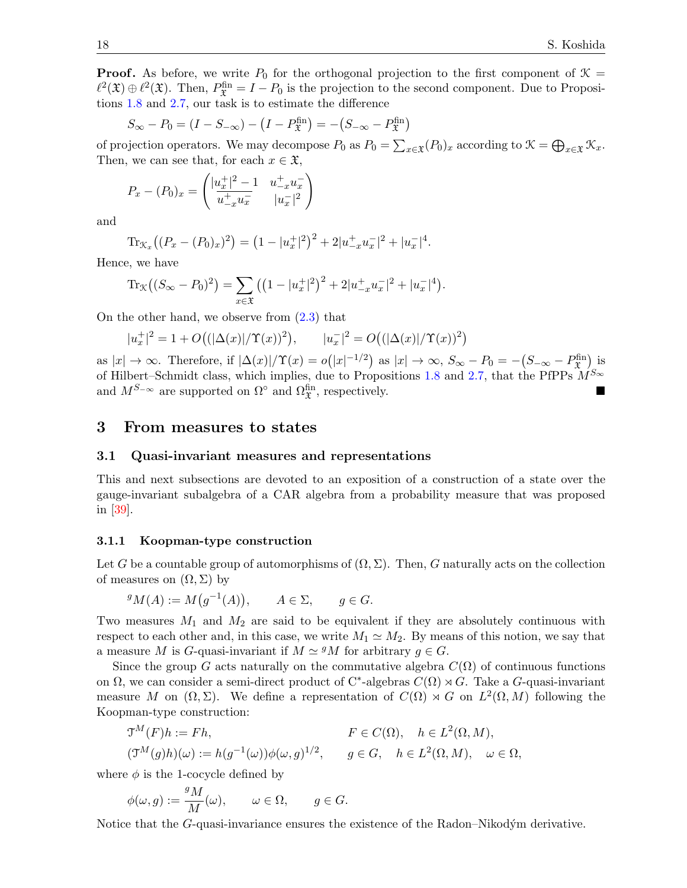**Proof.** As before, we write  $P_0$  for the orthogonal projection to the first component of  $\mathcal{K} =$  $\ell^2(\mathfrak{X}) \oplus \ell^2(\mathfrak{X})$ . Then,  $P_{\mathfrak{X}}^{\text{fin}} = I - P_0$  is the projection to the second component. Due to Propositions [1.8](#page-4-0) and [2.7,](#page-15-1) our task is to estimate the difference

$$
S_{\infty} - P_0 = (I - S_{-\infty}) - (I - P_{\mathfrak{X}}^{\text{fin}}) = -(S_{-\infty} - P_{\mathfrak{X}}^{\text{fin}})
$$

of projection operators. We may decompose  $P_0$  as  $P_0 = \sum_{x \in \mathfrak{X}} (P_0)_x$  according to  $\mathfrak{X} = \bigoplus_{x \in \mathfrak{X}} \mathfrak{X}_x$ . Then, we can see that, for each  $x \in \mathfrak{X}$ ,

$$
P_x - (P_0)_x = \begin{pmatrix} |u_x^+|^2 - 1 & u_{-x}^+ u_x^- \\ u_{-x}^+ u_x^- & |u_x^-|^2 \end{pmatrix}
$$

and

$$
\operatorname{Tr}_{\mathcal{K}_x} \left( (P_x - (P_0)_x)^2 \right) = \left( 1 - |u_x^+|^2 \right)^2 + 2|u_{-x}^+ u_x^-|^2 + |u_x^-|^4.
$$

Hence, we have

$$
\operatorname{Tr}_{\mathcal{K}}\big((S_{\infty} - P_0)^2\big) = \sum_{x \in \mathfrak{X}} \big(\big(1 - |u_x^+|^2\big)^2 + 2|u_{-x}^+ u_x^-|^2 + |u_x^-|^4\big).
$$

On the other hand, we observe from  $(2.3)$  that

$$
|u_x^+|^2 = 1 + O\big((|\Delta(x)|/\Upsilon(x))^2\big), \qquad |u_x^-|^2 = O\big((|\Delta(x)|/\Upsilon(x))^2\big)
$$

as  $|x| \to \infty$ . Therefore, if  $|\Delta(x)|/\Upsilon(x) = o(|x|^{-1/2})$  as  $|x| \to \infty$ ,  $S_{\infty} - P_0 = -(S_{-\infty} - P_{\mathfrak{X}}^{\text{fin}})$  is of Hilbert–Schmidt class, which implies, due to Propositions [1.8](#page-4-0) and [2.7,](#page-15-1) that the PfPPs  $\mathcal{M}^{S_{\infty}}$ and  $M^{S-\infty}$  are supported on  $\Omega^{\circ}$  and  $\Omega_{\mathfrak{X}}^{\text{fin}}$ , respectively.

# <span id="page-17-0"></span>3 From measures to states

#### 3.1 Quasi-invariant measures and representations

This and next subsections are devoted to an exposition of a construction of a state over the gauge-invariant subalgebra of a CAR algebra from a probability measure that was proposed in [\[39\]](#page-33-7).

#### 3.1.1 Koopman-type construction

Let G be a countable group of automorphisms of  $(\Omega, \Sigma)$ . Then, G naturally acts on the collection of measures on  $(\Omega, \Sigma)$  by

$$
{}^g M(A) := M(g^{-1}(A)), \qquad A \in \Sigma, \qquad g \in G.
$$

Two measures  $M_1$  and  $M_2$  are said to be equivalent if they are absolutely continuous with respect to each other and, in this case, we write  $M_1 \simeq M_2$ . By means of this notion, we say that a measure M is G-quasi-invariant if  $M \simeq {}^g M$  for arbitrary  $g \in G$ .

Since the group G acts naturally on the commutative algebra  $C(\Omega)$  of continuous functions on  $\Omega$ , we can consider a semi-direct product of C<sup>\*</sup>-algebras  $C(\Omega) \rtimes G$ . Take a G-quasi-invariant measure M on  $(\Omega, \Sigma)$ . We define a representation of  $C(\Omega) \rtimes G$  on  $L^2(\Omega, M)$  following the Koopman-type construction:

$$
\mathfrak{T}^M(F)h := Fh,
$$
  
\n
$$
F \in C(\Omega), \quad h \in L^2(\Omega, M),
$$
  
\n
$$
(\mathfrak{T}^M(g)h)(\omega) := h(g^{-1}(\omega))\phi(\omega, g)^{1/2}, \quad g \in G, \quad h \in L^2(\Omega, M), \quad \omega \in \Omega,
$$

where  $\phi$  is the 1-cocycle defined by

$$
\phi(\omega, g) := \frac{^g M}{M}(\omega), \qquad \omega \in \Omega, \qquad g \in G.
$$

Notice that the  $G$ -quasi-invariance ensures the existence of the Radon–Nikodým derivative.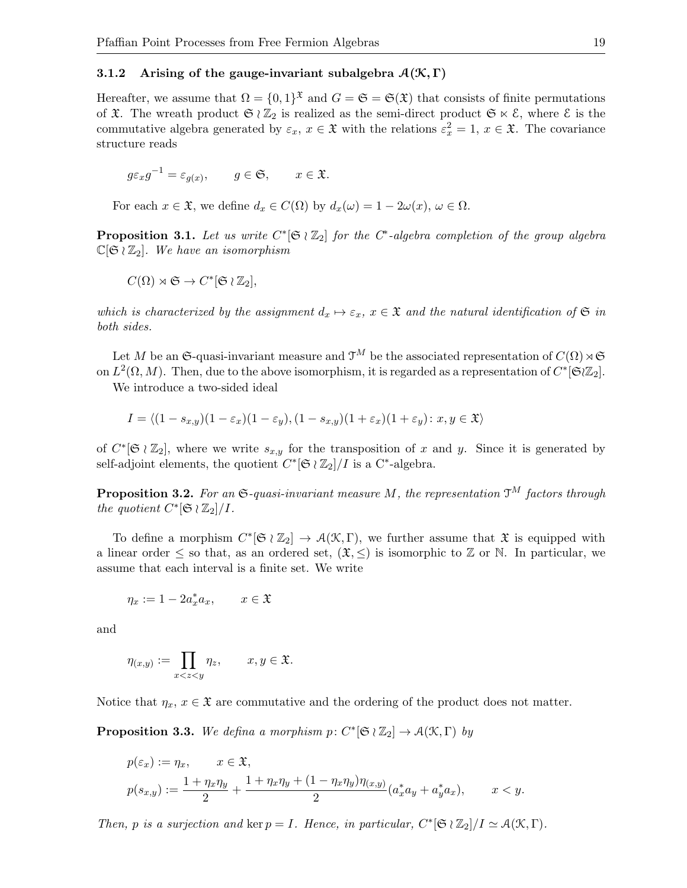#### 3.1.2 Arising of the gauge-invariant subalgebra  $\mathcal{A}(\mathcal{K}, \Gamma)$

Hereafter, we assume that  $\Omega = \{0,1\}^{\mathfrak{X}}$  and  $G = \mathfrak{S} = \mathfrak{S}(\mathfrak{X})$  that consists of finite permutations of  $\mathfrak{X}$ . The wreath product  $\mathfrak{S} \wr \mathbb{Z}_2$  is realized as the semi-direct product  $\mathfrak{S} \ltimes \mathcal{E}$ , where  $\mathcal{E}$  is the commutative algebra generated by  $\varepsilon_x$ ,  $x \in \mathfrak{X}$  with the relations  $\varepsilon_x^2 = 1$ ,  $x \in \mathfrak{X}$ . The covariance structure reads

$$
g\varepsilon_x g^{-1} = \varepsilon_{g(x)}, \qquad g \in \mathfrak{S}, \qquad x \in \mathfrak{X}.
$$

For each  $x \in \mathfrak{X}$ , we define  $d_x \in C(\Omega)$  by  $d_x(\omega) = 1 - 2\omega(x)$ ,  $\omega \in \Omega$ .

**Proposition 3.1.** Let us write  $C^*[\mathfrak{S} \wr \mathbb{Z}_2]$  for the  $C^*$ -algebra completion of the group algebra  $\mathbb{C}[\mathfrak{S} \wr \mathbb{Z}_2]$ . We have an isomorphism

$$
C(\Omega) \rtimes \mathfrak{S} \to C^*[\mathfrak{S} \wr \mathbb{Z}_2],
$$

which is characterized by the assignment  $d_x \mapsto \varepsilon_x$ ,  $x \in \mathfrak{X}$  and the natural identification of  $\mathfrak{S}$  in both sides.

Let M be an G-quasi-invariant measure and  $\mathcal{T}^M$  be the associated representation of  $C(\Omega) \rtimes \mathfrak{S}$ on  $L^2(\Omega, M)$ . Then, due to the above isomorphism, it is regarded as a representation of  $C^*[\mathfrak{S} \vert \mathbb{Z}_2]$ .

We introduce a two-sided ideal

$$
I = \langle (1 - s_{x,y})(1 - \varepsilon_x)(1 - \varepsilon_y), (1 - s_{x,y})(1 + \varepsilon_x)(1 + \varepsilon_y) : x, y \in \mathfrak{X} \rangle
$$

of  $C^*[\mathfrak{S} \wr \mathbb{Z}_2]$ , where we write  $s_{x,y}$  for the transposition of x and y. Since it is generated by self-adjoint elements, the quotient  $C^*[\mathfrak{S} \wr \mathbb{Z}_2]/I$  is a  $C^*$ -algebra.

**Proposition 3.2.** For an  $\mathfrak{S}\text{-quasi-invariant measure }M$ , the representation  $\mathfrak{T}^M$  factors through the quotient  $C^*[\mathfrak{S} \wr \mathbb{Z}_2]/I$ .

To define a morphism  $C^*[\mathfrak{S} \wr \mathbb{Z}_2] \to \mathcal{A}(\mathcal{K}, \Gamma)$ , we further assume that  $\mathfrak{X}$  is equipped with a linear order  $\leq$  so that, as an ordered set,  $(\mathfrak{X}, \leq)$  is isomorphic to  $\mathbb Z$  or N. In particular, we assume that each interval is a finite set. We write

$$
\eta_x := 1 - 2a_x^* a_x, \qquad x \in \mathfrak{X}
$$

and

$$
\eta_{(x,y)} := \prod_{x < z < y} \eta_z, \qquad x, y \in \mathfrak{X}.
$$

Notice that  $\eta_x, x \in \mathfrak{X}$  are commutative and the ordering of the product does not matter.

**Proposition 3.3.** We defina a morphism  $p: C^*[\mathfrak{S} \wr \mathbb{Z}_2] \to \mathcal{A}(\mathfrak{X}, \Gamma)$  by

$$
p(\varepsilon_x) := \eta_x, \qquad x \in \mathfrak{X},
$$
  

$$
p(s_{x,y}) := \frac{1 + \eta_x \eta_y}{2} + \frac{1 + \eta_x \eta_y + (1 - \eta_x \eta_y) \eta_{(x,y)}}{2} (a_x^* a_y + a_y^* a_x), \qquad x < y.
$$

Then, p is a surjection and ker  $p = I$ . Hence, in particular,  $C^*[\mathfrak{S} \wr \mathbb{Z}_2]/I \simeq \mathcal{A}(\mathfrak{K}, \Gamma)$ .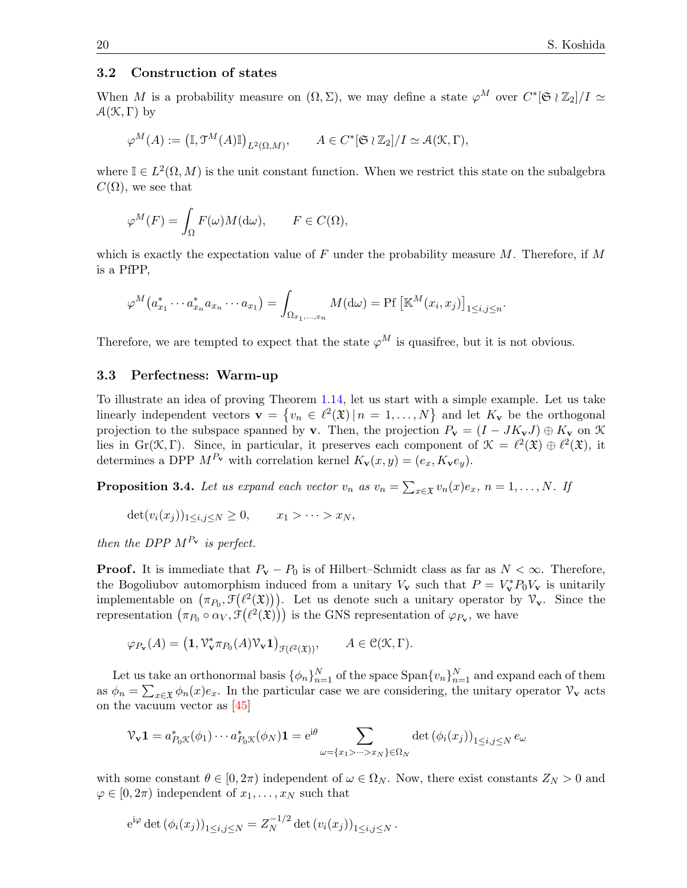#### 3.2 Construction of states

When M is a probability measure on  $(\Omega, \Sigma)$ , we may define a state  $\varphi^M$  over  $C^*[\mathfrak{S} \wr \mathbb{Z}_2]/I \simeq$  $\mathcal{A}(\mathcal{K}, \Gamma)$  by

$$
\varphi^M(A):=\left(\mathbb{I},\mathfrak{I}^M(A)\mathbb{I}\right)_{L^2(\Omega,M)},\qquad A\in C^*[\mathfrak{S}\wr \mathbb{Z}_2]/I\simeq \mathcal{A}(\mathfrak{X},\Gamma),
$$

where  $\mathbb{I} \in L^2(\Omega, M)$  is the unit constant function. When we restrict this state on the subalgebra  $C(\Omega)$ , we see that

$$
\varphi^M(F) = \int_{\Omega} F(\omega) M(\mathrm{d}\omega), \qquad F \in C(\Omega),
$$

which is exactly the expectation value of F under the probability measure  $M$ . Therefore, if M is a PfPP,

$$
\varphi^M\big(a_{x_1}^*\cdots a_{x_n}^*a_{x_n}\cdots a_{x_1}\big)=\int_{\Omega_{x_1,\ldots,x_n}}M(\mathrm{d}\omega)=\text{Pf}\left[\mathbb{K}^M(x_i,x_j)\right]_{1\leq i,j\leq n}.
$$

Therefore, we are tempted to expect that the state  $\varphi^M$  is quasifree, but it is not obvious.

#### 3.3 Perfectness: Warm-up

To illustrate an idea of proving Theorem [1.14,](#page-7-0) let us start with a simple example. Let us take linearly independent vectors  $\mathbf{v} = \{v_n \in \ell^2(\mathfrak{X}) | n = 1, ..., N\}$  and let  $K_{\mathbf{v}}$  be the orthogonal projection to the subspace spanned by v. Then, the projection  $P_v = (I - JK_vJ) \oplus K_v$  on K lies in Gr(K, Γ). Since, in particular, it preserves each component of  $\mathcal{K} = \ell^2(\mathfrak{X}) \oplus \ell^2(\mathfrak{X})$ , it determines a DPP  $M^{P_V}$  with correlation kernel  $K_v(x, y) = (e_x, K_v e_y)$ .

<span id="page-19-0"></span>**Proposition 3.4.** Let us expand each vector  $v_n$  as  $v_n = \sum_{x \in \mathfrak{X}} v_n(x) e_x$ ,  $n = 1, ..., N$ . If

$$
\det(v_i(x_j))_{1\leq i,j\leq N}\geq 0, \qquad x_1 > \cdots > x_N,
$$

then the DPP  $M^{P_{\mathbf{v}}}$  is perfect.

**Proof.** It is immediate that  $P_v - P_0$  is of Hilbert–Schmidt class as far as  $N < \infty$ . Therefore, the Bogoliubov automorphism induced from a unitary  $V_v$  such that  $P = V_v^* P_0 V_v$  is unitarily implementable on  $(\pi_{P_0}, \mathcal{F}(\ell^2(\mathfrak{X})))$ . Let us denote such a unitary operator by  $\mathcal{V}_{\mathbf{v}}$ . Since the representation  $(\pi_{P_0} \circ \alpha_V, \mathcal{F}(\ell^2(\mathfrak{X})))$  is the GNS representation of  $\varphi_{P_v}$ , we have

$$
\varphi_{P_{\mathbf{v}}}(A) = \left(\mathbf{1}, \mathcal{V}_{\mathbf{v}}^* \pi_{P_0}(A) \mathcal{V}_{\mathbf{v}} \mathbf{1}\right)_{\mathcal{F}(\ell^2(\mathfrak{X}))}, \qquad A \in \mathcal{C}(\mathcal{K}, \Gamma).
$$

Let us take an orthonormal basis  $\{\phi_n\}_{n=1}^N$  of the space  $\text{Span}\{v_n\}_{n=1}^N$  and expand each of them as  $\phi_n = \sum_{x \in \mathfrak{X}} \phi_n(x) e_x$ . In the particular case we are considering, the unitary operator  $\mathcal{V}_{\mathbf{v}}$  acts on the vacuum vector as [\[45\]](#page-34-8)

$$
\mathcal{V}_{\mathbf{v}}\mathbf{1} = a_{P_0\mathcal{K}}^*(\phi_1)\cdots a_{P_0\mathcal{K}}^*(\phi_N)\mathbf{1} = e^{i\theta} \sum_{\omega = \{x_1 > \dots > x_N\} \in \Omega_N} \det\left(\phi_i(x_j)\right)_{1 \le i,j \le N} e_{\omega}
$$

with some constant  $\theta \in [0, 2\pi)$  independent of  $\omega \in \Omega_N$ . Now, there exist constants  $Z_N > 0$  and  $\varphi \in [0, 2\pi)$  independent of  $x_1, \ldots, x_N$  such that

$$
e^{i\varphi} \det (\phi_i(x_j))_{1 \le i,j \le N} = Z_N^{-1/2} \det (v_i(x_j))_{1 \le i,j \le N}.
$$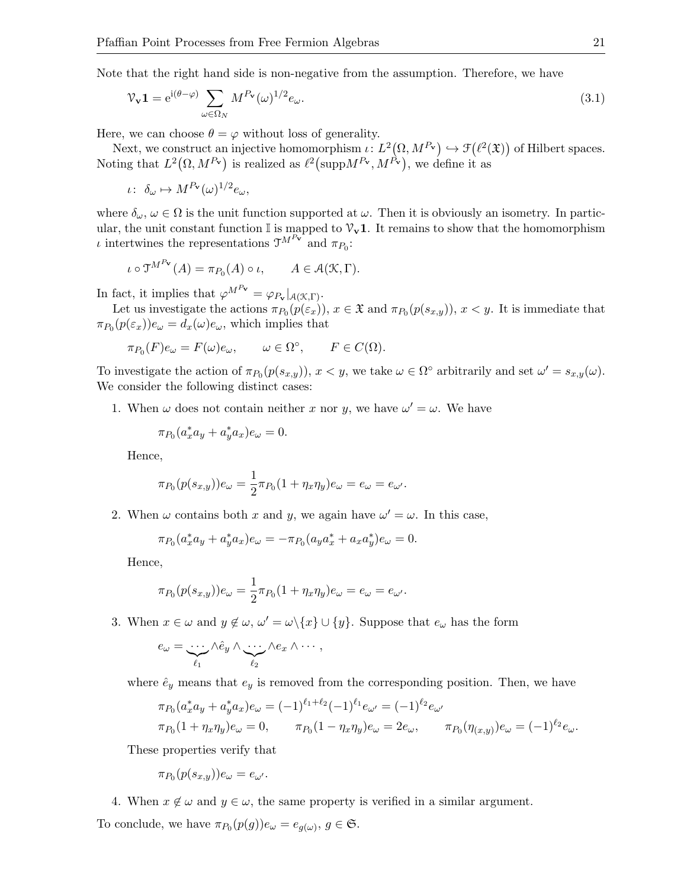Note that the right hand side is non-negative from the assumption. Therefore, we have

<span id="page-20-0"></span>
$$
\mathcal{V}_{\mathbf{v}} \mathbf{1} = e^{i(\theta - \varphi)} \sum_{\omega \in \Omega_N} M^{P_{\mathbf{v}}}(\omega)^{1/2} e_{\omega}.
$$
\n(3.1)

Here, we can choose  $\theta = \varphi$  without loss of generality.

Next, we construct an injective homomorphism  $\iota: L^2(\Omega, M^{P_v}) \hookrightarrow \mathcal{F}(\ell^2(\mathfrak{X}))$  of Hilbert spaces. Noting that  $L^2(\Omega, M^{P_v})$  is realized as  $\ell^2$  (supp $M^{P_v}, M^{P_v}$ ), we define it as

$$
\iota\colon\ \delta_{\omega}\mapsto M^{P_{\mathbf{v}}}(\omega)^{1/2}e_{\omega},
$$

where  $\delta_{\omega}$ ,  $\omega \in \Omega$  is the unit function supported at  $\omega$ . Then it is obviously an isometry. In particular, the unit constant function  $\mathbb I$  is mapped to  $\mathcal V_{\mathbf v} \mathbf 1$ . It remains to show that the homomorphism *ι* intertwines the representations  $\mathfrak{T}^{M^{P_{\mathbf{v}}}}$  and  $\pi_{P_0}$ :

$$
\iota \circ \mathfrak{T}^{M^{P_{\mathbf{v}}}}(A) = \pi_{P_0}(A) \circ \iota, \qquad A \in \mathcal{A}(\mathcal{K}, \Gamma).
$$

In fact, it implies that  $\varphi^{M^{P_{\mathbf{v}}}} = \varphi_{P_{\mathbf{v}}}|_{\mathcal{A}(\mathcal{K},\Gamma)}$ .

Let us investigate the actions  $\pi_{P_0}(p(\varepsilon_x))$ ,  $x \in \mathfrak{X}$  and  $\pi_{P_0}(p(s_{x,y}))$ ,  $x < y$ . It is immediate that  $\pi_{P_0}(p(\varepsilon_x))e_\omega = d_x(\omega)e_\omega$ , which implies that

$$
\pi_{P_0}(F)e_\omega = F(\omega)e_\omega, \qquad \omega \in \Omega^\circ, \qquad F \in C(\Omega).
$$

To investigate the action of  $\pi_{P_0}(p(s_{x,y}))$ ,  $x < y$ , we take  $\omega \in \Omega^{\circ}$  arbitrarily and set  $\omega' = s_{x,y}(\omega)$ . We consider the following distinct cases:

1. When  $\omega$  does not contain neither x nor y, we have  $\omega' = \omega$ . We have

$$
\pi_{P_0}(a_x^* a_y + a_y^* a_x)e_\omega = 0.
$$

Hence,

$$
\pi_{P_0}(p(s_{x,y}))e_{\omega} = \frac{1}{2}\pi_{P_0}(1 + \eta_x \eta_y)e_{\omega} = e_{\omega} = e_{\omega'}.
$$

2. When  $\omega$  contains both x and y, we again have  $\omega' = \omega$ . In this case,

$$
\pi_{P_0}(a_x^* a_y + a_y^* a_x)e_\omega = -\pi_{P_0}(a_y a_x^* + a_x a_y^*)e_\omega = 0.
$$

Hence,

$$
\pi_{P_0}(p(s_{x,y}))e_\omega = \frac{1}{2}\pi_{P_0}(1+\eta_x\eta_y)e_\omega = e_\omega = e_{\omega'}.
$$

3. When  $x \in \omega$  and  $y \notin \omega$ ,  $\omega' = \omega \setminus \{x\} \cup \{y\}$ . Suppose that  $e_{\omega}$  has the form

$$
e_{\omega} = \underbrace{\cdots}_{\ell_1} \wedge \hat{e}_y \wedge \underbrace{\cdots}_{\ell_2} \wedge e_x \wedge \cdots,
$$

where  $\hat{e}_y$  means that  $e_y$  is removed from the corresponding position. Then, we have

$$
\pi_{P_0}(a_x^* a_y + a_y^* a_x) e_\omega = (-1)^{\ell_1 + \ell_2} (-1)^{\ell_1} e_{\omega'} = (-1)^{\ell_2} e_{\omega'}
$$
  

$$
\pi_{P_0}(1 + \eta_x \eta_y) e_\omega = 0, \qquad \pi_{P_0}(1 - \eta_x \eta_y) e_\omega = 2e_\omega, \qquad \pi_{P_0}(\eta_{(x,y)}) e_\omega = (-1)^{\ell_2} e_\omega.
$$

These properties verify that

$$
\pi_{P_0}(p(s_{x,y}))e_\omega=e_{\omega'}.
$$

4. When  $x \notin \omega$  and  $y \in \omega$ , the same property is verified in a similar argument. To conclude, we have  $\pi_{P_0}(p(g))e_{\omega} = e_{g(\omega)}, g \in \mathfrak{S}$ .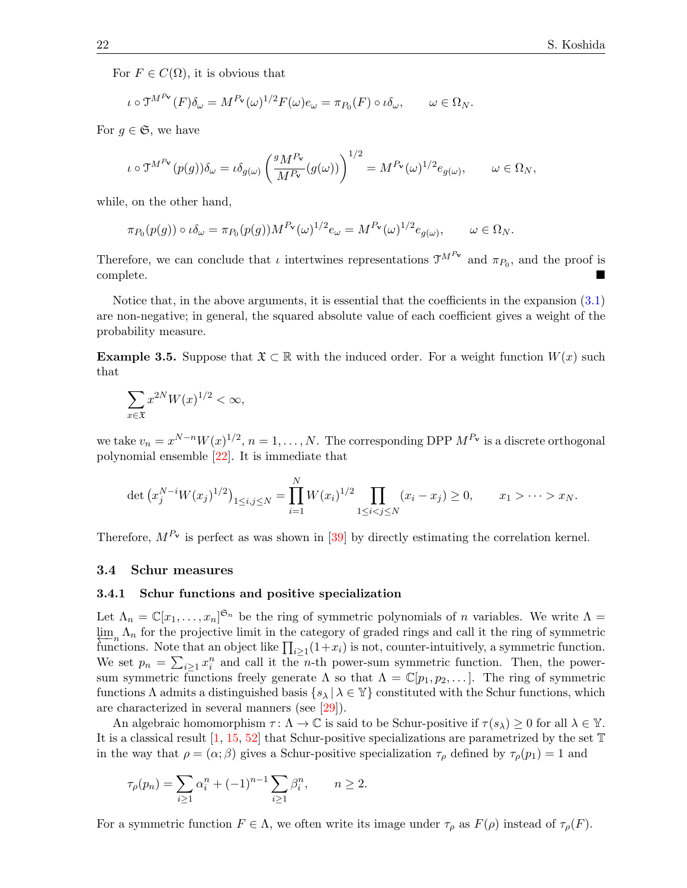For  $F \in C(\Omega)$ , it is obvious that

$$
\iota \circ \mathfrak{I}^{M^{P_{\mathbf{v}}}}(F)\delta_{\omega} = M^{P_{\mathbf{v}}}(\omega)^{1/2}F(\omega)e_{\omega} = \pi_{P_0}(F) \circ \iota \delta_{\omega}, \qquad \omega \in \Omega_N.
$$

For  $g \in \mathfrak{S}$ , we have

$$
\iota \circ \mathfrak{I}^{M^{P_{\mathbf{v}}}}(p(g))\delta_{\omega} = \iota \delta_{g(\omega)} \left(\frac{g_{M}P_{\mathbf{v}}}{M^{P_{\mathbf{v}}}}(g(\omega))\right)^{1/2} = M^{P_{\mathbf{v}}}(\omega)^{1/2}e_{g(\omega)}, \qquad \omega \in \Omega_N,
$$

while, on the other hand,

$$
\pi_{P_0}(p(g)) \circ \iota \delta_\omega = \pi_{P_0}(p(g)) M^{P_\mathbf{v}}(\omega)^{1/2} e_\omega = M^{P_\mathbf{v}}(\omega)^{1/2} e_{g(\omega)}, \qquad \omega \in \Omega_N.
$$

Therefore, we can conclude that  $\iota$  intertwines representations  $\mathfrak{I}^{M^{P_{\mathbf{v}}}}$  and  $\pi_{P_0}$ , and the proof is complete.

Notice that, in the above arguments, it is essential that the coefficients in the expansion [\(3.1\)](#page-20-0) are non-negative; in general, the squared absolute value of each coefficient gives a weight of the probability measure.

**Example 3.5.** Suppose that  $\mathfrak{X} \subset \mathbb{R}$  with the induced order. For a weight function  $W(x)$  such that

$$
\sum_{x \in \mathfrak{X}} x^{2N} W(x)^{1/2} < \infty,
$$

we take  $v_n = x^{N-n} W(x)^{1/2}, n = 1, ..., N$ . The corresponding DPP  $M^{P_v}$  is a discrete orthogonal polynomial ensemble [\[22\]](#page-33-21). It is immediate that

$$
\det \left( x_j^{N-i} W(x_j)^{1/2} \right)_{1 \le i,j \le N} = \prod_{i=1}^N W(x_i)^{1/2} \prod_{1 \le i < j \le N} (x_i - x_j) \ge 0, \qquad x_1 > \cdots > x_N.
$$

Therefore,  $M^{P_V}$  is perfect as was shown in [\[39\]](#page-33-7) by directly estimating the correlation kernel.

#### <span id="page-21-0"></span>3.4 Schur measures

#### 3.4.1 Schur functions and positive specialization

Let  $\Lambda_n = \mathbb{C}[x_1,\ldots,x_n]^{\mathfrak{S}_n}$  be the ring of symmetric polynomials of n variables. We write  $\Lambda$  $\lim_{\Delta n} \Lambda_n$  for the projective limit in the category of graded rings and call it the ring of symmetric functions. Note that an object like  $\prod_{i\geq 1}(1+x_i)$  is not, counter-intuitively, a symmetric function. We set  $p_n = \sum_{i\geq 1} x_i^n$  and call it the n-th power-sum symmetric function. Then, the powersum symmetric functions freely generate  $\Lambda$  so that  $\Lambda = \mathbb{C}[p_1, p_2, \dots]$ . The ring of symmetric functions  $\Lambda$  admits a distinguished basis  $\{s_\lambda | \lambda \in \mathbb{Y}\}\)$  constituted with the Schur functions, which are characterized in several manners (see [\[29\]](#page-33-22)).

An algebraic homomorphism  $\tau : \Lambda \to \mathbb{C}$  is said to be Schur-positive if  $\tau(s_\lambda) \geq 0$  for all  $\lambda \in \mathbb{Y}$ . It is a classical result  $[1, 15, 52]$  $[1, 15, 52]$  $[1, 15, 52]$  $[1, 15, 52]$  that Schur-positive specializations are parametrized by the set  $\mathbb T$ in the way that  $\rho = (\alpha; \beta)$  gives a Schur-positive specialization  $\tau_{\rho}$  defined by  $\tau_{\rho}(p_1) = 1$  and

$$
\tau_{\rho}(p_n) = \sum_{i \ge 1} \alpha_i^n + (-1)^{n-1} \sum_{i \ge 1} \beta_i^n, \qquad n \ge 2.
$$

For a symmetric function  $F \in \Lambda$ , we often write its image under  $\tau_{\rho}$  as  $F(\rho)$  instead of  $\tau_{\rho}(F)$ .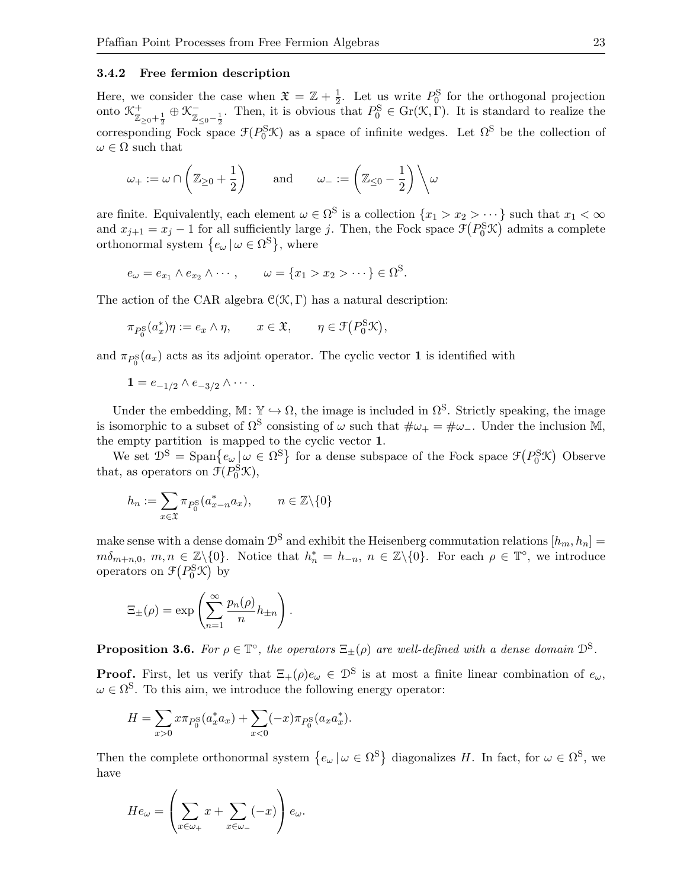#### 3.4.2 Free fermion description

Here, we consider the case when  $\mathfrak{X} = \mathbb{Z} + \frac{1}{2}$  $\frac{1}{2}$ . Let us write  $P_0^{\rm S}$  for the orthogonal projection onto  $\mathcal{K}^+_{\mathbb{Z}_{\geq 0} + \frac{1}{2}} \oplus \mathcal{K}^-_{\mathbb{Z}_{\geq 0}}$ corresponding Fock space  $\mathcal{F}(P_0^S\mathcal{K})$  as a space of infinite wedges. Let  $\Omega^S$  be the collection of  $\overline{Z}_{\leq 0-\frac{1}{2}}$ . Then, it is obvious that  $P_0^{\rm S} \in$  Gr( $\mathcal{K}, \Gamma$ ). It is standard to realize the  $\omega \in \Omega$  such that

$$
\omega_+ := \omega \cap \left( \mathbb{Z}_{\geq 0} + \frac{1}{2} \right) \quad \text{and} \quad \omega_- := \left( \mathbb{Z}_{\leq 0} - \frac{1}{2} \right) \Big\backslash \omega
$$

are finite. Equivalently, each element  $\omega \in \Omega^S$  is a collection  $\{x_1 > x_2 > \cdots\}$  such that  $x_1 < \infty$ and  $x_{j+1} = x_j - 1$  for all sufficiently large j. Then, the Fock space  $\mathcal{F}(P_0^S \mathcal{K})$  admits a complete orthonormal system  $\{e_{\omega} | \omega \in \Omega^{\rm S}\},\$  where

$$
e_{\omega}=e_{x_1}\wedge e_{x_2}\wedge\cdots, \qquad \omega=\{x_1>x_2>\cdots\}\in\Omega^S.
$$

The action of the CAR algebra  $\mathcal{C}(\mathcal{K}, \Gamma)$  has a natural description:

$$
\pi_{P_0^{\mathcal{S}}}(a_x^*)\eta := e_x \wedge \eta, \qquad x \in \mathfrak{X}, \qquad \eta \in \mathfrak{F}\big(P_0^{\mathcal{S}}\mathcal{K}\big),
$$

and  $\pi_{P_0^{\rm S}}(a_x)$  acts as its adjoint operator. The cyclic vector **1** is identified with

$$
\mathbf{1} = e_{-1/2} \wedge e_{-3/2} \wedge \cdots.
$$

Under the embedding,  $\mathbb{M}: \mathbb{Y} \hookrightarrow \Omega$ , the image is included in  $\Omega^S$ . Strictly speaking, the image is isomorphic to a subset of  $\Omega^S$  consisting of  $\omega$  such that  $\#\omega_+ = \#\omega_-$ . Under the inclusion M, the empty partition is mapped to the cyclic vector 1.

We set  $\mathcal{D}^S = \text{Span} \{e_\omega | \omega \in \Omega^S \}$  for a dense subspace of the Fock space  $\mathcal{F}(P_0^S \mathcal{K})$  Observe that, as operators on  $\mathcal{F}(P_0^{\text{S}}\mathcal{K}),$ 

$$
h_n:=\sum_{x\in\mathfrak{X}}\pi_{P_0^{\mathcal{S}}}(a_{x-n}^*a_x),\qquad n\in\mathbb{Z}\backslash\{0\}
$$

make sense with a dense domain  $\mathcal{D}^S$  and exhibit the Heisenberg commutation relations  $[h_m, h_n] =$  $m\delta_{m+n,0}, m, n \in \mathbb{Z}\setminus\{0\}$ . Notice that  $h_n^* = h_{-n}, n \in \mathbb{Z}\setminus\{0\}$ . For each  $\rho \in \mathbb{T}^{\circ}$ , we introduce operators on  $\mathcal{F}(P_0^{\text{S}}\mathcal{K})$  by

$$
\Xi_{\pm}(\rho) = \exp\left(\sum_{n=1}^{\infty} \frac{p_n(\rho)}{n} h_{\pm n}\right).
$$

**Proposition 3.6.** For  $\rho \in \mathbb{T}^{\circ}$ , the operators  $\Xi_{\pm}(\rho)$  are well-defined with a dense domain  $\mathcal{D}^{\mathcal{S}}$ .

**Proof.** First, let us verify that  $\Xi_+(\rho)e_\omega \in \mathcal{D}^S$  is at most a finite linear combination of  $e_\omega$ ,  $\omega \in \Omega^S$ . To this aim, we introduce the following energy operator:

$$
H = \sum_{x>0} x \pi_{P_0^{\mathcal{S}}}(a_x^* a_x) + \sum_{x<0} (-x) \pi_{P_0^{\mathcal{S}}}(a_x a_x^*).
$$

Then the complete orthonormal system  $\{e_\omega \mid \omega \in \Omega^S\}$  diagonalizes H. In fact, for  $\omega \in \Omega^S$ , we have

$$
He_{\omega} = \left(\sum_{x \in \omega_+} x + \sum_{x \in \omega_-} (-x)\right) e_{\omega}.
$$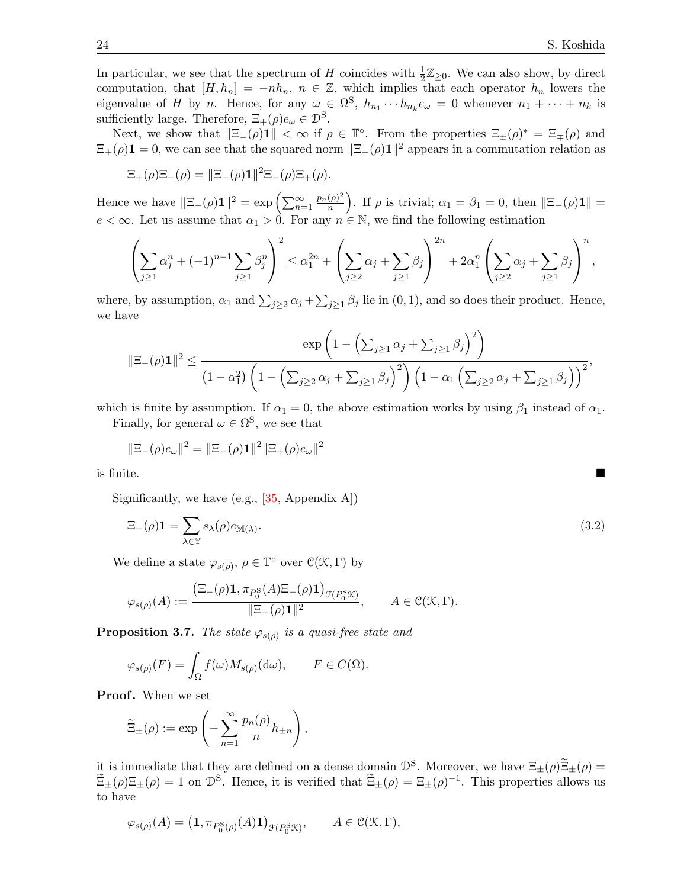In particular, we see that the spectrum of H coincides with  $\frac{1}{2}\mathbb{Z}_{\geq 0}$ . We can also show, by direct computation, that  $[H, h_n] = -nh_n$ ,  $n \in \mathbb{Z}$ , which implies that each operator  $h_n$  lowers the eigenvalue of H by n. Hence, for any  $\omega \in \Omega^S$ ,  $h_{n_1} \cdots h_{n_k} e_{\omega} = 0$  whenever  $n_1 + \cdots + n_k$  is sufficiently large. Therefore,  $\Xi_+(\rho)e_\omega \in \mathcal{D}^S$ .

Next, we show that  $\|\Xi_-(\rho)\mathbf{1}\| < \infty$  if  $\rho \in \mathbb{T}^{\circ}$ . From the properties  $\Xi_{\pm}(\rho)^* = \Xi_{\mp}(\rho)$  and  $\Xi_+(\rho)$ **1** = 0, we can see that the squared norm  $\|\Xi_-(\rho)\mathbf{1}\|^2$  appears in a commutation relation as

$$
\Xi_{+}(\rho)\Xi_{-}(\rho) = \|\Xi_{-}(\rho)\mathbf{1}\|^2 \Xi_{-}(\rho)\Xi_{+}(\rho).
$$

Hence we have  $\|\Xi_-(\rho)\mathbf{1}\|^2 = \exp\left(\sum_{n=1}^{\infty} \mathbf{1}\right)$  $p_n(\rho)^2$  $\binom{(\rho)^2}{n}$ . If  $\rho$  is trivial;  $\alpha_1 = \beta_1 = 0$ , then  $\|\Xi_-(\rho)\mathbf{1}\| =$  $e < \infty$ . Let us assume that  $\alpha_1 > 0$ . For any  $n \in \mathbb{N}$ , we find the following estimation

$$
\left(\sum_{j\geq 1} \alpha_j^n + (-1)^{n-1} \sum_{j\geq 1} \beta_j^n \right)^2 \leq \alpha_1^{2n} + \left(\sum_{j\geq 2} \alpha_j + \sum_{j\geq 1} \beta_j \right)^{2n} + 2\alpha_1^n \left(\sum_{j\geq 2} \alpha_j + \sum_{j\geq 1} \beta_j \right)^n,
$$

where, by assumption,  $\alpha_1$  and  $\sum_{j\geq 2} \alpha_j + \sum_{j\geq 1} \beta_j$  lie in  $(0, 1)$ , and so does their product. Hence, we have

$$
\|\Xi_{-}(\rho)\mathbf{1}\|^2 \leq \frac{\exp\left(1-\left(\sum_{j\geq 1}\alpha_j + \sum_{j\geq 1}\beta_j\right)^2\right)}{\left(1-\alpha_1^2\right)\left(1-\left(\sum_{j\geq 2}\alpha_j + \sum_{j\geq 1}\beta_j\right)^2\right)\left(1-\alpha_1\left(\sum_{j\geq 2}\alpha_j + \sum_{j\geq 1}\beta_j\right)\right)^2},
$$

which is finite by assumption. If  $\alpha_1 = 0$ , the above estimation works by using  $\beta_1$  instead of  $\alpha_1$ .

Finally, for general  $\omega \in \Omega^{\mathcal{S}}$ , we see that

$$
\|\Xi_{-}(\rho)e_{\omega}\|^2 = \|\Xi_{-}(\rho)\mathbf{1}\|^2 \|\Xi_{+}(\rho)e_{\omega}\|^2
$$

is finite.

Significantly, we have  $(e.g., [35, Appendix A])$  $(e.g., [35, Appendix A])$  $(e.g., [35, Appendix A])$ 

$$
\Xi_{-}(\rho)\mathbf{1} = \sum_{\lambda \in \mathbb{Y}} s_{\lambda}(\rho) e_{\mathbb{M}(\lambda)}.
$$
\n(3.2)

We define a state  $\varphi_{s(\rho)}, \rho \in \mathbb{T}^{\circ}$  over  $\mathcal{C}(\mathcal{K}, \Gamma)$  by

$$
\varphi_{s(\rho)}(A) := \frac{\left(\Xi_{-}(\rho)\mathbf{1}, \pi_{P_0^{\mathrm{S}}}(A)\Xi_{-}(\rho)\mathbf{1}\right)_{\mathcal{F}(P_0^{\mathrm{S}}\mathcal{K})}}{||\Xi_{-}(\rho)\mathbf{1}||^2}, \qquad A \in \mathcal{C}(\mathcal{K}, \Gamma).
$$

<span id="page-23-1"></span>**Proposition 3.7.** The state  $\varphi_{s(\rho)}$  is a quasi-free state and

$$
\varphi_{s(\rho)}(F) = \int_{\Omega} f(\omega) M_{s(\rho)}(\mathrm{d}\omega), \qquad F \in C(\Omega).
$$

**Proof.** When we set

$$
\widetilde{\Xi}_{\pm}(\rho) := \exp\left(-\sum_{n=1}^{\infty} \frac{p_n(\rho)}{n} h_{\pm n}\right),\,
$$

it is immediate that they are defined on a dense domain  $\mathcal{D}^S$ . Moreover, we have  $\Xi_{\pm}(\rho)\Xi_{\pm}(\rho) = \widetilde{\Xi}_{\pm}(\rho)\Xi_{\pm}(\rho)$  $\widetilde{\Xi}_{\pm}(\rho)\Xi_{\pm}(\rho)=1$  on  $\mathcal{D}^{\rm S}$ . Hence, it is verified that  $\widetilde{\Xi}_{\pm}(\rho)=\Xi_{\pm}(\rho)^{-1}$ . This properties allows us to have

$$
\varphi_{s(\rho)}(A) = \left(\mathbf{1}, \pi_{P_0^{\mathcal{S}}(\rho)}(A)\mathbf{1}\right)_{\mathcal{F}(P_0^{\mathcal{S}}\mathcal{K})}, \qquad A \in \mathcal{C}(\mathcal{K}, \Gamma),
$$

<span id="page-23-0"></span>
$$
\mathcal{L}_{\mathcal{A}}
$$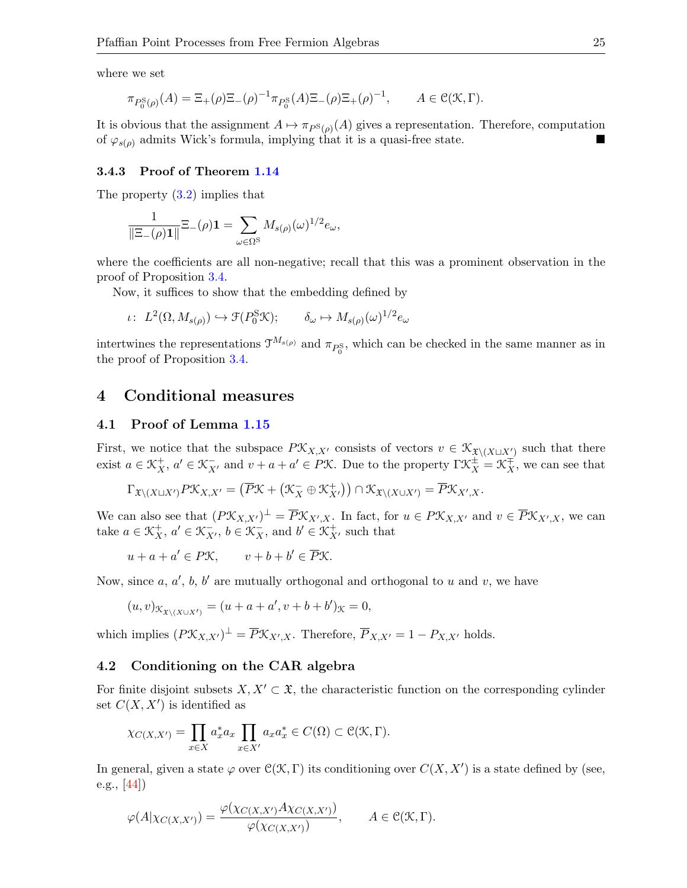where we set

$$
\pi_{P_0^{\rm S}(\rho)}(A) = \Xi_+(\rho)\Xi_-(\rho)^{-1}\pi_{P_0^{\rm S}}(A)\Xi_-(\rho)\Xi_+(\rho)^{-1}, \qquad A \in \mathcal{C}(\mathcal{K},\Gamma).
$$

It is obvious that the assignment  $A \mapsto \pi_{P^{\rm S}(\rho)}(A)$  gives a representation. Therefore, computation of  $\varphi_{s(\rho)}$  admits Wick's formula, implying that it is a quasi-free state.

#### 3.4.3 Proof of Theorem [1.14](#page-7-0)

The property [\(3.2\)](#page-23-0) implies that

$$
\frac{1}{\|\Xi_{-}(\rho)\mathbf{1}\|}\Xi_{-}(\rho)\mathbf{1}=\sum_{\omega\in\Omega^{\mathcal{S}}}M_{s(\rho)}(\omega)^{1/2}e_{\omega},
$$

where the coefficients are all non-negative; recall that this was a prominent observation in the proof of Proposition [3.4.](#page-19-0)

Now, it suffices to show that the embedding defined by

$$
\iota: L^2(\Omega, M_{s(\rho)}) \hookrightarrow \mathfrak{F}(P_0^{\mathcal{S}} \mathcal{K}); \qquad \delta_\omega \mapsto M_{s(\rho)}(\omega)^{1/2} e_\omega
$$

intertwines the representations  $\mathcal{T}^{M_{s(\rho)}}$  and  $\pi_{P_0^S}$ , which can be checked in the same manner as in the proof of Proposition [3.4.](#page-19-0)

# <span id="page-24-0"></span>4 Conditional measures

#### 4.1 Proof of Lemma [1.15](#page-8-1)

First, we notice that the subspace  $P\mathfrak{X}_{X,X'}$  consists of vectors  $v \in \mathfrak{X}_{\mathfrak{X}\setminus (X\sqcup X')}$  such that there exist  $a \in \mathcal{K}_X^+$ ,  $a' \in \mathcal{K}_{X'}^-$  and  $v + a + a' \in P\mathcal{K}$ . Due to the property  $\Gamma \mathcal{K}_X^{\pm} = \mathcal{K}_X^{\mp}$ , we can see that

$$
\Gamma_{\mathfrak{X}\setminus (X\sqcup X')}P\mathfrak{X}_{X,X'}=\left(\overline{P}\mathfrak{X} + \left(\mathfrak{X}_X^-\oplus \mathfrak{X}_{X'}^+\right)\right)\cap \mathfrak{X}_{\mathfrak{X}\setminus (X\cup X')}=\overline{P}\mathfrak{X}_{X',X}.
$$

We can also see that  $(P\mathfrak{K}_{X,X'})^{\perp} = \overline{P}\mathfrak{K}_{X',X}$ . In fact, for  $u \in P\mathfrak{K}_{X,X'}$  and  $v \in \overline{P}\mathfrak{K}_{X',X}$ , we can take  $a \in \mathcal{K}_X^+$ ,  $a' \in \mathcal{K}_{X'}^-$ ,  $b \in \mathcal{K}_X^-$ , and  $b' \in \mathcal{K}_{X'}^+$ , such that

 $u + a + a' \in P\mathcal{K}, \qquad v + b + b' \in \overline{P}\mathcal{K}.$ 

Now, since  $a, a', b, b'$  are mutually orthogonal and orthogonal to u and v, we have

$$
(u, v)_{\mathcal{K}_{\mathfrak{X}\setminus (X\cup X')}} = (u + a + a', v + b + b')_{\mathcal{K}} = 0,
$$

which implies  $(P\mathfrak{X}_{X,X'})^{\perp} = \overline{P}\mathfrak{X}_{X',X}$ . Therefore,  $\overline{P}_{X,X'} = 1 - P_{X,X'}$  holds.

#### <span id="page-24-1"></span>4.2 Conditioning on the CAR algebra

For finite disjoint subsets  $X, X' \subset \mathfrak{X}$ , the characteristic function on the corresponding cylinder set  $C(X, X')$  is identified as

$$
\chi_{C(X,X')} = \prod_{x \in X} a_x^* a_x \prod_{x \in X'} a_x a_x^* \in C(\Omega) \subset C(\mathcal{K}, \Gamma).
$$

In general, given a state  $\varphi$  over  $\mathcal{C}(\mathcal{K}, \Gamma)$  its conditioning over  $C(X, X')$  is a state defined by (see, e.g., [\[44\]](#page-34-10))

$$
\varphi(A|\chi_{C(X,X')}) = \frac{\varphi(\chi_{C(X,X')}\Lambda \chi_{C(X,X')})}{\varphi(\chi_{C(X,X')})}, \qquad A \in \mathcal{C}(\mathcal{K},\Gamma).
$$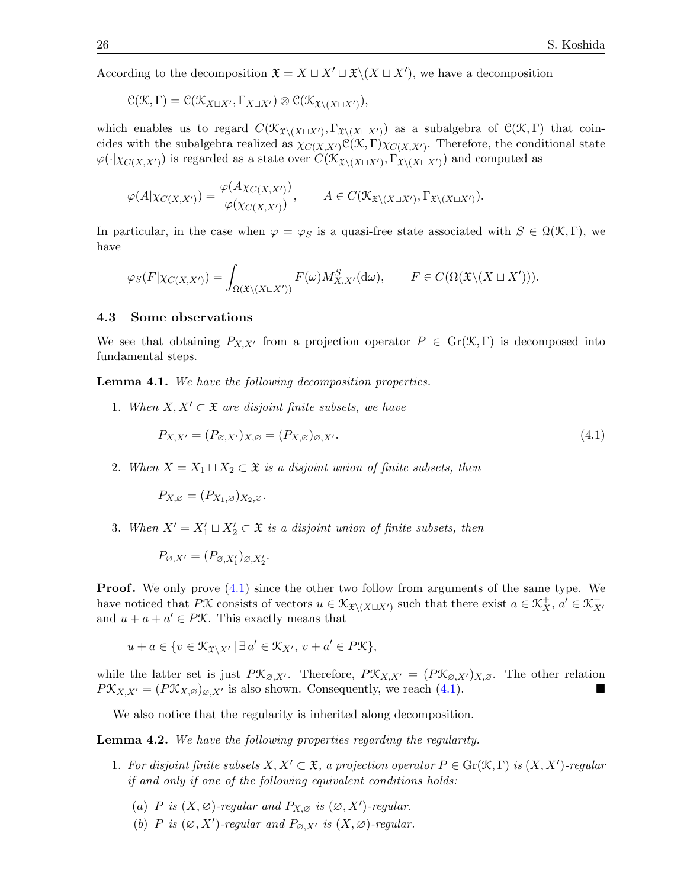According to the decomposition  $\mathfrak{X} = X \sqcup X' \sqcup \mathfrak{X}\setminus (X \sqcup X')$ , we have a decomposition

$$
\mathcal{C}(\mathcal{K},\Gamma)=\mathcal{C}(\mathcal{K}_{X\sqcup X'},\Gamma_{X\sqcup X'})\otimes\mathcal{C}(\mathcal{K}_{\mathfrak{X}\setminus (X\sqcup X')}),
$$

which enables us to regard  $C(\mathfrak{X}_{\mathfrak{X}\setminus (X\sqcup X')}, \Gamma_{\mathfrak{X}\setminus (X\sqcup X')})$  as a subalgebra of  $C(\mathfrak{X}, \Gamma)$  that coincides with the subalgebra realized as  $\chi_{C(X,X')}C(X,\Gamma)\chi_{C(X,X')}$ . Therefore, the conditional state  $\varphi(\cdot|\chi_{C(X,X')})$  is regarded as a state over  $C(\mathfrak{X}_{\mathfrak{X}\setminus (X\sqcup X')}, \Gamma_{\mathfrak{X}\setminus (X\sqcup X')})$  and computed as

$$
\varphi(A|\chi_{C(X,X')}) = \frac{\varphi(A\chi_{C(X,X')})}{\varphi(\chi_{C(X,X')})}, \qquad A \in C(\mathfrak{K}_{\mathfrak{X}\backslash (X \sqcup X')}, \Gamma_{\mathfrak{X}\backslash (X \sqcup X')}).
$$

In particular, in the case when  $\varphi = \varphi_S$  is a quasi-free state associated with  $S \in \mathcal{Q}(\mathcal{K}, \Gamma)$ , we have

$$
\varphi_S(F|\chi_{C(X,X')}) = \int_{\Omega(\mathfrak{X}\backslash (X \sqcup X'))} F(\omega)M_{X,X'}^S(\mathrm{d}\omega), \qquad F \in C(\Omega(\mathfrak{X}\backslash (X \sqcup X'))).
$$

#### 4.3 Some observations

We see that obtaining  $P_{X,X'}$  from a projection operator  $P \in Gr(\mathcal{K}, \Gamma)$  is decomposed into fundamental steps.

<span id="page-25-1"></span>Lemma 4.1. We have the following decomposition properties.

1. When  $X, X' \subset \mathfrak{X}$  are disjoint finite subsets, we have

<span id="page-25-0"></span>
$$
P_{X,X'} = (P_{\varnothing,X'})_{X,\varnothing} = (P_{X,\varnothing})_{\varnothing,X'}.\tag{4.1}
$$

2. When  $X = X_1 \sqcup X_2 \subset \mathfrak{X}$  is a disjoint union of finite subsets, then

$$
P_{X,\varnothing} = (P_{X_1,\varnothing})_{X_2,\varnothing}.
$$

3. When  $X' = X'_1 \sqcup X'_2 \subset \mathfrak{X}$  is a disjoint union of finite subsets, then

$$
P_{\varnothing,X'}=(P_{\varnothing,X'_1})_{\varnothing,X'_2}.
$$

**Proof.** We only prove  $(4.1)$  since the other two follow from arguments of the same type. We have noticed that PX consists of vectors  $u \in \mathcal{K}_{\mathfrak{X}\setminus (X\sqcup X')}$  such that there exist  $a \in \mathcal{K}_X^+$ ,  $a' \in \mathcal{K}_{X'}^$ and  $u + a + a' \in P\mathcal{K}$ . This exactly means that

$$
u + a \in \{v \in \mathcal{K}_{\mathfrak{X} \setminus X'} \mid \exists a' \in \mathcal{K}_{X'}, v + a' \in P\mathcal{K}\},\
$$

while the latter set is just  $P\mathfrak{X}_{\varnothing,X'}$ . Therefore,  $P\mathfrak{X}_{X,X'}=(P\mathfrak{X}_{\varnothing,X'})_{X,\varnothing}$ . The other relation  $P\mathfrak{X}_{X,X'} = (P\mathfrak{X}_{X,\varnothing})_{\varnothing,X'}$  is also shown. Consequently, we reach [\(4.1\)](#page-25-0).

We also notice that the regularity is inherited along decomposition.

<span id="page-25-2"></span>Lemma 4.2. We have the following properties regarding the regularity.

- 1. For disjoint finite subsets  $X, X' \subset \mathfrak{X}$ , a projection operator  $P \in \mathrm{Gr}(\mathfrak{X},\Gamma)$  is  $(X,X')$ -regular if and only if one of the following equivalent conditions holds:
	- (a) P is  $(X, \emptyset)$ -regular and  $P_{X, \emptyset}$  is  $(\emptyset, X')$ -regular.
	- (b) P is  $(\emptyset, X')$ -regular and  $P_{\emptyset, X'}$  is  $(X, \emptyset)$ -regular.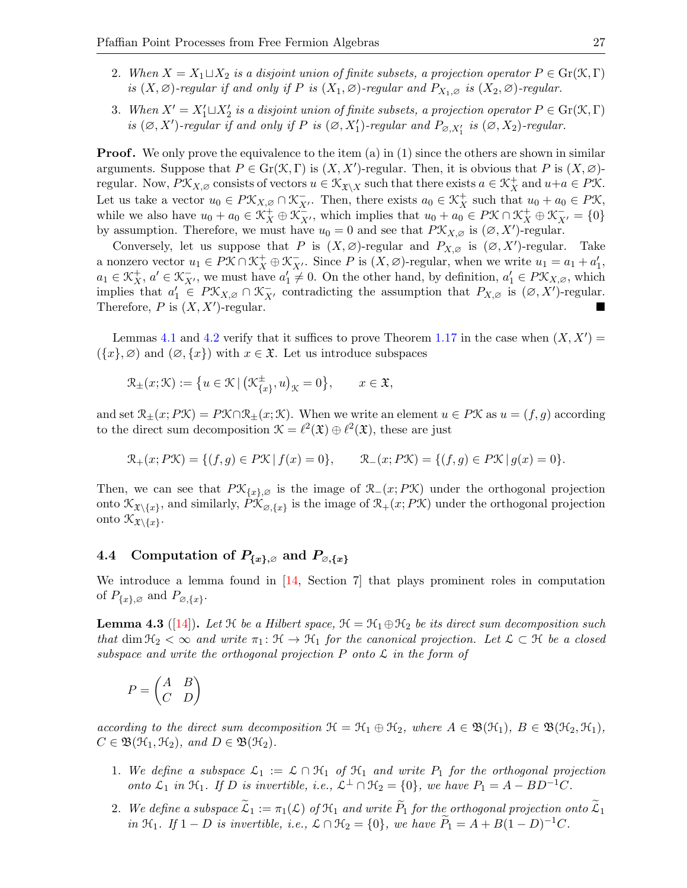- 2. When  $X = X_1 \sqcup X_2$  is a disjoint union of finite subsets, a projection operator  $P \in Gr(\mathcal{K}, \Gamma)$ is  $(X, \varnothing)$ -regular if and only if P is  $(X_1, \varnothing)$ -regular and  $P_{X_1, \varnothing}$  is  $(X_2, \varnothing)$ -regular.
- 3. When  $X' = X_1' \sqcup X_2'$  is a disjoint union of finite subsets, a projection operator  $P \in Gr(\mathcal{K}, \Gamma)$ is  $(\emptyset, X')$ -regular if and only if P is  $(\emptyset, X'_1)$ -regular and  $P_{\emptyset, X'_1}$  is  $(\emptyset, X_2)$ -regular.

**Proof.** We only prove the equivalence to the item (a) in  $(1)$  since the others are shown in similar arguments. Suppose that  $P \in \mathrm{Gr}(\mathcal{K}, \Gamma)$  is  $(X, X')$ -regular. Then, it is obvious that P is  $(X, \varnothing)$ regular. Now,  $P\mathfrak{X}_{X,\varnothing}$  consists of vectors  $u \in \mathfrak{X}_{\mathfrak{X}\setminus X}$  such that there exists  $a \in \mathfrak{X}_X^+$  and  $u+a \in P\mathfrak{X}$ . Let us take a vector  $u_0 \in P\mathfrak{X}_{X,\varnothing} \cap \mathfrak{X}_{X'}^-$ . Then, there exists  $a_0 \in \mathfrak{X}_X^+$  such that  $u_0 + a_0 \in P\mathfrak{X}$ , while we also have  $u_0 + a_0 \in \mathcal{K}_X^+ \oplus \mathcal{K}_{X'}^-$ , which implies that  $u_0 + a_0 \in P\mathcal{K} \cap \mathcal{K}_X^+ \oplus \mathcal{K}_{X'}^- = \{0\}$ by assumption. Therefore, we must have  $u_0 = 0$  and see that  $P\mathfrak{K}_{X,\varnothing}$  is  $(\varnothing,X')$ -regular.

Conversely, let us suppose that P is  $(X, \varnothing)$ -regular and  $P_{X, \varnothing}$  is  $(\varnothing, X')$ -regular. Take a nonzero vector  $u_1 \in P\mathcal{K} \cap \mathcal{K}_X^+ \oplus \mathcal{K}_{X'}^-$ . Since P is  $(X, \varnothing)$ -regular, when we write  $u_1 = a_1 + a'_1$ ,  $a_1 \in \mathcal{K}_X^+$ ,  $a' \in \mathcal{K}_{X'}^-$ , we must have  $a'_1 \neq 0$ . On the other hand, by definition,  $a'_1 \in P\mathcal{K}_{X,\varnothing}$ , which implies that  $a'_1 \in P\mathfrak{K}_{X,\varnothing} \cap \mathfrak{K}_{X'}^-$  contradicting the assumption that  $P_{X,\varnothing}$  is  $(\varnothing, X')$ -regular. Therefore, P is  $(X, X')$ -regular. )-regular.

Lemmas [4.1](#page-25-1) and [4.2](#page-25-2) verify that it suffices to prove Theorem [1.17](#page-8-0) in the case when  $(X, X') =$  $(\{x\}, \varnothing)$  and  $(\varnothing, \{x\})$  with  $x \in \mathfrak{X}$ . Let us introduce subspaces

$$
\mathcal{R}_{\pm}(x;\mathcal{K}) := \big\{ u \in \mathcal{K} \, | \, \big(\mathcal{K}_{\{x\}}^{\pm}, u\big)_{\mathcal{K}} = 0 \big\}, \qquad x \in \mathfrak{X},
$$

and set  $\mathcal{R}_{\pm}(x; P\mathcal{K}) = P\mathcal{K} \cap \mathcal{R}_{\pm}(x; \mathcal{K})$ . When we write an element  $u \in P\mathcal{K}$  as  $u = (f, g)$  according to the direct sum decomposition  $\mathcal{K} = \ell^2(\mathfrak{X}) \oplus \ell^2(\mathfrak{X})$ , these are just

$$
\mathcal{R}_+(x;P\mathcal{K}) = \{ (f,g) \in P\mathcal{K} \, | \, f(x) = 0 \}, \qquad \mathcal{R}_-(x;P\mathcal{K}) = \{ (f,g) \in P\mathcal{K} \, | \, g(x) = 0 \}.
$$

Then, we can see that  $P\mathcal{K}_{\{x\},\varnothing}$  is the image of  $\mathcal{R}_-(x;P\mathcal{K})$  under the orthogonal projection onto  $\mathcal{K}_{\mathfrak{X}\setminus\{x\}}$ , and similarly,  $P\mathcal{K}_{\varnothing,\{x\}}$  is the image of  $\mathcal{R}_+(x;P\mathcal{K})$  under the orthogonal projection onto  $\mathcal{K}_{\mathfrak{X}\setminus\{x\}}$ .

## 4.4 Computation of  $P_{\{x\},\varnothing}$  and  $P_{\varnothing,\{x\}}$

We introduce a lemma found in [\[14,](#page-32-11) Section 7] that plays prominent roles in computation of  $P_{\{x\},\varnothing}$  and  $P_{\varnothing,\{x\}}$ .

<span id="page-26-0"></span>**Lemma 4.3** ([\[14\]](#page-32-11)). Let H be a Hilbert space,  $H = H_1 \oplus H_2$  be its direct sum decomposition such that dim  $\mathfrak{H}_2 < \infty$  and write  $\pi_1 : \mathfrak{H} \to \mathfrak{H}_1$  for the canonical projection. Let  $\mathcal{L} \subset \mathfrak{H}$  be a closed subspace and write the orthogonal projection  $P$  onto  $\mathcal L$  in the form of

$$
P = \begin{pmatrix} A & B \\ C & D \end{pmatrix}
$$

according to the direct sum decomposition  $\mathcal{H} = \mathcal{H}_1 \oplus \mathcal{H}_2$ , where  $A \in \mathfrak{B}(\mathcal{H}_1)$ ,  $B \in \mathfrak{B}(\mathcal{H}_2, \mathcal{H}_1)$ ,  $C \in \mathfrak{B}(\mathfrak{H}_1, \mathfrak{H}_2)$ , and  $D \in \mathfrak{B}(\mathfrak{H}_2)$ .

- 1. We define a subspace  $\mathcal{L}_1 := \mathcal{L} \cap \mathcal{H}_1$  of  $\mathcal{H}_1$  and write  $P_1$  for the orthogonal projection onto  $\mathcal{L}_1$  in  $\mathcal{H}_1$ . If D is invertible, i.e.,  $\mathcal{L}^{\perp} \cap \mathcal{H}_2 = \{0\}$ , we have  $P_1 = A - BD^{-1}C$ .
- 2. We define a subspace  $\mathcal{L}_1 := \pi_1(\mathcal{L})$  of  $\mathcal{H}_1$  and write  $P_1$  for the orthogonal projection onto  $\mathcal{L}_1$ in  $\mathfrak{H}_1$ . If  $1 - D$  is invertible, i.e.,  $\mathcal{L} \cap \mathcal{H}_2 = \{0\}$ , we have  $\widetilde{P}_1 = A + B(1 - D)^{-1}C$ .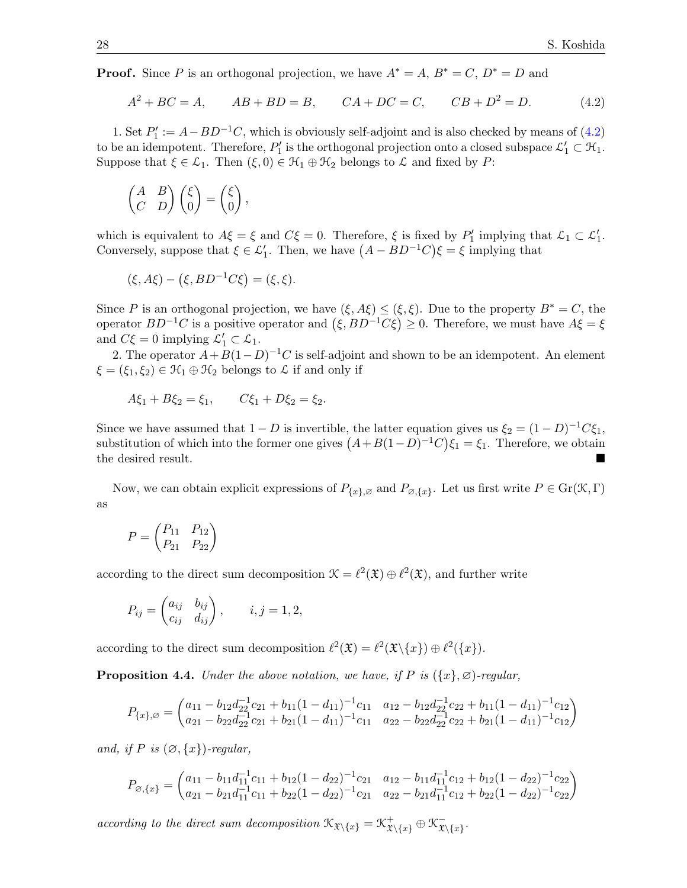**Proof.** Since P is an orthogonal projection, we have  $A^* = A$ ,  $B^* = C$ ,  $D^* = D$  and

<span id="page-27-0"></span>
$$
A^{2} + BC = A, \qquad AB + BD = B, \qquad CA + DC = C, \qquad CB + D^{2} = D. \tag{4.2}
$$

1. Set  $P'_1 := A - BD^{-1}C$ , which is obviously self-adjoint and is also checked by means of [\(4.2\)](#page-27-0) to be an idempotent. Therefore,  $P'_1$  is the orthogonal projection onto a closed subspace  $\mathcal{L}'_1 \subset \mathcal{H}_1$ . Suppose that  $\xi \in \mathcal{L}_1$ . Then  $(\xi, 0) \in \mathcal{H}_1 \oplus \mathcal{H}_2$  belongs to  $\mathcal L$  and fixed by P:

$$
\begin{pmatrix} A & B \\ C & D \end{pmatrix} \begin{pmatrix} \xi \\ 0 \end{pmatrix} = \begin{pmatrix} \xi \\ 0 \end{pmatrix},
$$

which is equivalent to  $A\xi = \xi$  and  $C\xi = 0$ . Therefore,  $\xi$  is fixed by  $P'_1$  implying that  $\mathcal{L}_1 \subset \mathcal{L}'_1$ . Conversely, suppose that  $\xi \in \mathcal{L}'_1$ . Then, we have  $(A - BD^{-1}C)\xi = \xi$  implying that

$$
(\xi, A\xi) - (\xi, BD^{-1}C\xi) = (\xi, \xi).
$$

Since P is an orthogonal projection, we have  $(\xi, A\xi) \leq (\xi, \xi)$ . Due to the property  $B^* = C$ , the operator  $BD^{-1}C$  is a positive operator and  $(\xi, BD^{-1}C\xi) \geq 0$ . Therefore, we must have  $A\xi = \xi$ and  $C\xi = 0$  implying  $\mathcal{L}'_1 \subset \mathcal{L}_1$ .

2. The operator  $A + B(1-D)^{-1}C$  is self-adjoint and shown to be an idempotent. An element  $\xi = (\xi_1, \xi_2) \in \mathcal{H}_1 \oplus \mathcal{H}_2$  belongs to  $\mathcal L$  if and only if

$$
A\xi_1 + B\xi_2 = \xi_1, \qquad C\xi_1 + D\xi_2 = \xi_2.
$$

Since we have assumed that  $1 - D$  is invertible, the latter equation gives us  $\xi_2 = (1 - D)^{-1}C\xi_1$ , substitution of which into the former one gives  $(A+B(1-D)^{-1}C)\xi_1 = \xi_1$ . Therefore, we obtain the desired result.

Now, we can obtain explicit expressions of  $P_{\{x\},\varnothing}$  and  $P_{\varnothing,\{x\}}$ . Let us first write  $P \in \mathrm{Gr}(\mathfrak{K},\Gamma)$ as

$$
P = \begin{pmatrix} P_{11} & P_{12} \\ P_{21} & P_{22} \end{pmatrix}
$$

according to the direct sum decomposition  $\mathcal{K} = \ell^2(\mathfrak{X}) \oplus \ell^2(\mathfrak{X})$ , and further write

$$
P_{ij} = \begin{pmatrix} a_{ij} & b_{ij} \\ c_{ij} & d_{ij} \end{pmatrix}, \qquad i, j = 1, 2,
$$

according to the direct sum decomposition  $\ell^2(\mathfrak{X}) = \ell^2(\mathfrak{X}\setminus\{x\}) \oplus \ell^2(\{x\}).$ 

<span id="page-27-1"></span>**Proposition 4.4.** Under the above notation, we have, if P is  $({x}, \emptyset)$ -regular,

$$
P_{\{x\},\varnothing} = \begin{pmatrix} a_{11} - b_{12}d_{22}^{-1}c_{21} + b_{11}(1 - d_{11})^{-1}c_{11} & a_{12} - b_{12}d_{22}^{-1}c_{22} + b_{11}(1 - d_{11})^{-1}c_{12} \\ a_{21} - b_{22}d_{22}^{-1}c_{21} + b_{21}(1 - d_{11})^{-1}c_{11} & a_{22} - b_{22}d_{22}^{-1}c_{22} + b_{21}(1 - d_{11})^{-1}c_{12} \end{pmatrix}
$$

and, if P is  $(\emptyset, \{x\})$ -regular,

$$
P_{\varnothing,\{x\}} = \begin{pmatrix} a_{11} - b_{11}d_{11}^{-1}c_{11} + b_{12}(1 - d_{22})^{-1}c_{21} & a_{12} - b_{11}d_{11}^{-1}c_{12} + b_{12}(1 - d_{22})^{-1}c_{22} \\ a_{21} - b_{21}d_{11}^{-1}c_{11} + b_{22}(1 - d_{22})^{-1}c_{21} & a_{22} - b_{21}d_{11}^{-1}c_{12} + b_{22}(1 - d_{22})^{-1}c_{22} \end{pmatrix}
$$

according to the direct sum decomposition  $\mathcal{K}_{\mathfrak{X}\setminus\{x\}} = \mathcal{K}^+_{\mathfrak{X}\setminus\{x\}} \oplus \mathcal{K}^-_{\mathfrak{X}}$  $\bar{\mathfrak{X}}\backslash\{x\}$  .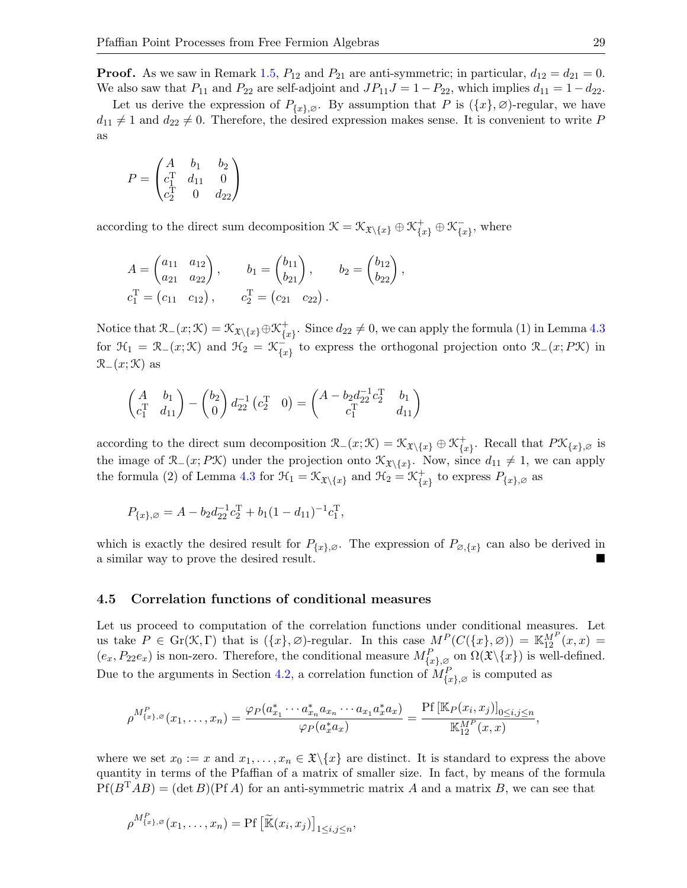**Proof.** As we saw in Remark [1.5,](#page-2-4)  $P_{12}$  and  $P_{21}$  are anti-symmetric; in particular,  $d_{12} = d_{21} = 0$ . We also saw that  $P_{11}$  and  $P_{22}$  are self-adjoint and  $JP_{11}J = 1 - P_{22}$ , which implies  $d_{11} = 1 - d_{22}$ .

Let us derive the expression of  $P_{\{x\},\varnothing}$ . By assumption that P is  $(\{x\},\varnothing)$ -regular, we have  $d_{11} \neq 1$  and  $d_{22} \neq 0$ . Therefore, the desired expression makes sense. It is convenient to write P as

$$
P = \begin{pmatrix} A & b_1 & b_2 \\ c_1^T & d_{11} & 0 \\ c_2^T & 0 & d_{22} \end{pmatrix}
$$

according to the direct sum decomposition  $\mathcal{K} = \mathcal{K}_{\mathfrak{X}\setminus\{x\}} \oplus \mathcal{K}_{\{x\}}^+ \oplus \mathcal{K}_{\{x\}}^ \bar{x}$ , where

$$
A = \begin{pmatrix} a_{11} & a_{12} \\ a_{21} & a_{22} \end{pmatrix}, \t b_1 = \begin{pmatrix} b_{11} \\ b_{21} \end{pmatrix}, \t b_2 = \begin{pmatrix} b_{12} \\ b_{22} \end{pmatrix},
$$
  

$$
c_1^T = (c_{11} \ c_{12}), \t c_2^T = (c_{21} \ c_{22}).
$$

Notice that  $\mathcal{R}_{-}(x;\mathcal{K}) = \mathcal{K}_{\mathfrak{X}\setminus\{x\}} \oplus \mathcal{K}_{\{x\}}^+$  ${+}_{\{x\}}$ . Since  $d_{22}\neq 0$ , we can apply the formula (1) in Lemma [4.3](#page-26-0) for  $\mathfrak{H}_1 = \mathfrak{R}_-(x;\mathfrak{K})$  and  $\mathfrak{H}_2 = \mathfrak{K}_{\ell_1}^ \begin{bmatrix} \mathcal{L} \\ \{x\} \end{bmatrix}$  to express the orthogonal projection onto  $\mathcal{R}_-(x; P\mathcal{K})$  in  $\mathcal{R}_-(x;\mathcal{K})$  as

$$
\begin{pmatrix} A & b_1 \ c_1^T & d_{11} \end{pmatrix} - \begin{pmatrix} b_2 \ 0 \end{pmatrix} d_{22}^{-1} (c_2^T & 0) = \begin{pmatrix} A - b_2 d_{22}^{-1} c_2^T & b_1 \ c_1^T & d_{11} \end{pmatrix}
$$

according to the direct sum decomposition  $\mathcal{R}_-(x;\mathcal{K}) = \mathcal{K}_{\mathfrak{X}\setminus\{x\}} \oplus \mathcal{K}_{\{x\}}^+$  $\{x\}$ . Recall that  $P\mathcal{K}_{\{x\},\varnothing}$  is the image of  $\mathcal{R}_{-}(x; P\mathcal{K})$  under the projection onto  $\mathcal{K}_{\mathcal{X}\setminus\{x\}}$ . Now, since  $d_{11} \neq 1$ , we can apply the formula (2) of Lemma [4.3](#page-26-0) for  $\mathcal{H}_1 = \mathcal{K}_{\mathfrak{X}\setminus\{x\}}$  and  $\mathcal{H}_2 = \mathcal{K}_{\{x\}}^+$  $\begin{bmatrix} + \{x\} & \text{to express } P_{\{x\},\varnothing} & \text{as} \end{bmatrix}$ 

$$
P_{\{x\},\varnothing} = A - b_2 d_{22}^{-1} c_2^{\mathrm{T}} + b_1 (1 - d_{11})^{-1} c_1^{\mathrm{T}},
$$

which is exactly the desired result for  $P_{\{x\},\varnothing}$ . The expression of  $P_{\varnothing,\{x\}}$  can also be derived in a similar way to prove the desired result.

#### 4.5 Correlation functions of conditional measures

Let us proceed to computation of the correlation functions under conditional measures. Let us take  $P \in \mathrm{Gr}(\mathcal{K}, \Gamma)$  that is  $(\{x\}, \varnothing)$ -regular. In this case  $M^P(C(\{x\}, \varnothing)) = \mathbb{K}_{12}^{M^P}(x, x) =$  $(e_x, P_{22}e_x)$  is non-zero. Therefore, the conditional measure  $M_{\{x\},\varnothing}^P$  on  $\Omega(\mathfrak{X}\backslash\{x\})$  is well-defined. Due to the arguments in Section [4.2,](#page-24-1) a correlation function of  $M_{\{x\},\varnothing}^P$  is computed as

$$
\rho^{M^P_{\{x\},\varnothing}}(x_1,\ldots,x_n) = \frac{\varphi_P(a^*_{x_1}\cdots a^*_{x_n}a_{x_n}\cdots a_{x_1}a^*_{x}a_x)}{\varphi_P(a^*_{x}a_x)} = \frac{\Pr\left[\mathbb{K}_P(x_i,x_j)\right]_{0\leq i,j\leq n}}{\mathbb{K}_{12}^{M^P}(x,x)},
$$

where we set  $x_0 := x$  and  $x_1, \ldots, x_n \in \mathfrak{X} \backslash \{x\}$  are distinct. It is standard to express the above quantity in terms of the Pfaffian of a matrix of smaller size. In fact, by means of the formula  $Pf(B<sup>T</sup>AB) = (\det B)(PfA)$  for an anti-symmetric matrix A and a matrix B, we can see that

$$
\rho^{M^P_{\{x\},\varnothing}}(x_1,\ldots,x_n)=\mathrm{Pf}\left[\widetilde{\mathbb{K}}(x_i,x_j)\right]_{1\leq i,j\leq n},
$$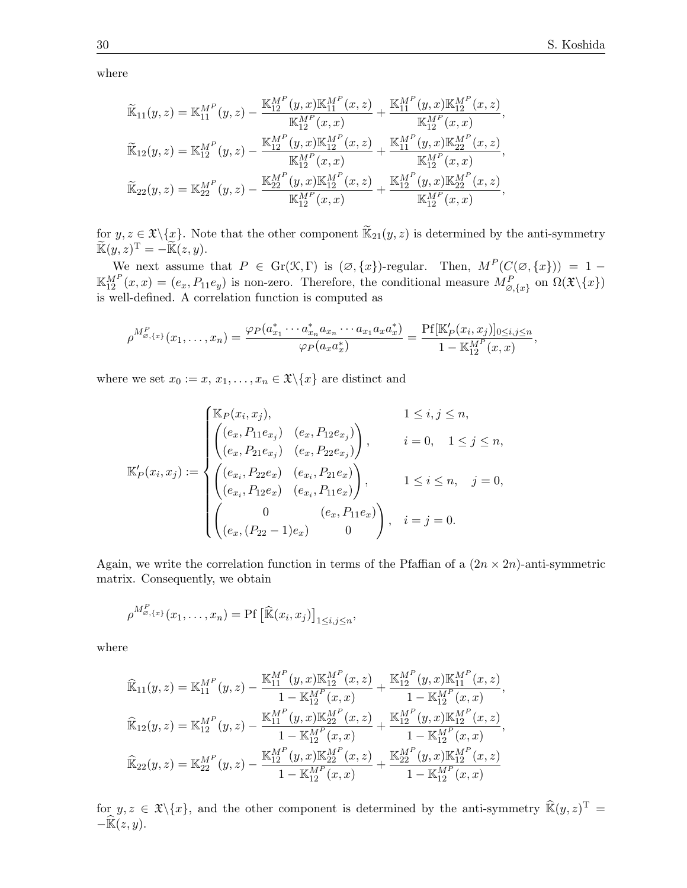where

$$
\widetilde{\mathbb{K}}_{11}(y,z) = \mathbb{K}_{11}^{M^P}(y,z) - \frac{\mathbb{K}_{12}^{M^P}(y,x)\mathbb{K}_{11}^{M^P}(x,z)}{\mathbb{K}_{12}^{M^P}(x,x)} + \frac{\mathbb{K}_{11}^{M^P}(y,x)\mathbb{K}_{12}^{M^P}(x,z)}{\mathbb{K}_{12}^{M^P}(x,x)}, \n\widetilde{\mathbb{K}}_{12}(y,z) = \mathbb{K}_{12}^{M^P}(y,z) - \frac{\mathbb{K}_{12}^{M^P}(y,x)\mathbb{K}_{12}^{M^P}(x,z)}{\mathbb{K}_{12}^{M^P}(x,x)} + \frac{\mathbb{K}_{11}^{M^P}(y,x)\mathbb{K}_{22}^{M^P}(x,z)}{\mathbb{K}_{12}^{M^P}(x,x)}, \n\widetilde{\mathbb{K}}_{22}(y,z) = \mathbb{K}_{22}^{M^P}(y,z) - \frac{\mathbb{K}_{22}^{M^P}(y,x)\mathbb{K}_{12}^{M^P}(x,z)}{\mathbb{K}_{12}^{M^P}(x,x)} + \frac{\mathbb{K}_{12}^{M^P}(y,x)\mathbb{K}_{22}^{M^P}(x,z)}{\mathbb{K}_{12}^{M^P}(x,x)},
$$

for  $y, z \in \mathfrak{X}\backslash\{x\}$ . Note that the other component  $\widetilde{\mathbb{K}}_{21}(y, z)$  is determined by the anti-symmetry  $\widetilde{\mathbb{K}}(y, z)^{\mathrm{T}} = -\widetilde{\mathbb{K}}(z, y).$ 

We next assume that  $P \in \text{Gr}(\mathcal{K}, \Gamma)$  is  $(\emptyset, \{x\})$ -regular. Then,  $M^P(C(\emptyset, \{x\})) = 1 \mathbb{K}_{12}^{M^P}(x,x) = (e_x, P_{11}e_y)$  is non-zero. Therefore, the conditional measure  $M_{\varnothing,\{x\}}^P$  on  $\Omega(\mathfrak{X}\setminus\{x\})$ is well-defined. A correlation function is computed as

$$
\rho^{M_{\varnothing,\{x\}}^P}(x_1,\ldots,x_n)=\frac{\varphi_P(a_{x_1}^*\cdots a_{x_n}^*a_{x_n}\cdots a_{x_1}a_xa_x^*)}{\varphi_P(a_xa_x^*)}=\frac{\Pr[\mathbb{K}_P'(x_i,x_j)]_{0\leq i,j\leq n}}{1-\mathbb{K}_{12}^{M^P}(x,x)},
$$

where we set  $x_0 := x, x_1, \ldots, x_n \in \mathfrak{X} \backslash \{x\}$  are distinct and

$$
\mathbb{K}'_P(x_i, x_j) := \begin{cases} \mathbb{K}_P(x_i, x_j), & 1 \le i, j \le n, \\ \begin{pmatrix} (e_x, P_{11}e_{x_j}) & (e_x, P_{12}e_{x_j}) \\ (e_x, P_{21}e_{x_j}) & (e_x, P_{22}e_{x_j}) \end{pmatrix}, & i = 0, 1 \le j \le n, \\ \begin{pmatrix} (e_{x_i}, P_{22}e_x) & (e_{x_i}, P_{21}e_x) \\ (e_{x_i}, P_{12}e_x) & (e_{x_i}, P_{11}e_x) \end{pmatrix}, & 1 \le i \le n, j = 0, \\ \begin{pmatrix} 0 & (e_x, P_{11}e_x) \\ (e_x, (P_{22} - 1)e_x) & 0 \end{pmatrix}, & i = j = 0. \end{cases}
$$

Again, we write the correlation function in terms of the Pfaffian of a  $(2n \times 2n)$ -anti-symmetric matrix. Consequently, we obtain

$$
\rho^{M^P_{\varnothing,\{x\}}}(x_1,\ldots,x_n)=\Pr\left[\widehat{\mathbb{K}}(x_i,x_j)\right]_{1\leq i,j\leq n},
$$

where

$$
\widehat{\mathbb{K}}_{11}(y,z) = \mathbb{K}_{11}^{M^P}(y,z) - \frac{\mathbb{K}_{11}^{M^P}(y,x)\mathbb{K}_{12}^{M^P}(x,z)}{1 - \mathbb{K}_{12}^{M^P}(x,x)} + \frac{\mathbb{K}_{12}^{M^P}(y,x)\mathbb{K}_{11}^{M^P}(x,z)}{1 - \mathbb{K}_{12}^{M^P}(x,x)},
$$
\n
$$
\widehat{\mathbb{K}}_{12}(y,z) = \mathbb{K}_{12}^{M^P}(y,z) - \frac{\mathbb{K}_{11}^{M^P}(y,x)\mathbb{K}_{22}^{M^P}(x,z)}{1 - \mathbb{K}_{12}^{M^P}(x,x)} + \frac{\mathbb{K}_{12}^{M^P}(y,x)\mathbb{K}_{12}^{M^P}(x,z)}{1 - \mathbb{K}_{12}^{M^P}(x,x)},
$$
\n
$$
\widehat{\mathbb{K}}_{22}(y,z) = \mathbb{K}_{22}^{M^P}(y,z) - \frac{\mathbb{K}_{12}^{M^P}(y,x)\mathbb{K}_{22}^{M^P}(x,z)}{1 - \mathbb{K}_{12}^{M^P}(x,x)} + \frac{\mathbb{K}_{22}^{M^P}(y,x)\mathbb{K}_{12}^{M^P}(x,z)}{1 - \mathbb{K}_{12}^{M^P}(x,x)}
$$

for  $y, z \in \mathfrak{X}\backslash\{x\}$ , and the other component is determined by the anti-symmetry  $\widehat{\mathbb{R}}(y, z)^{\mathrm{T}} =$  $-\widehat{\mathbb{K}}(z, y)$ .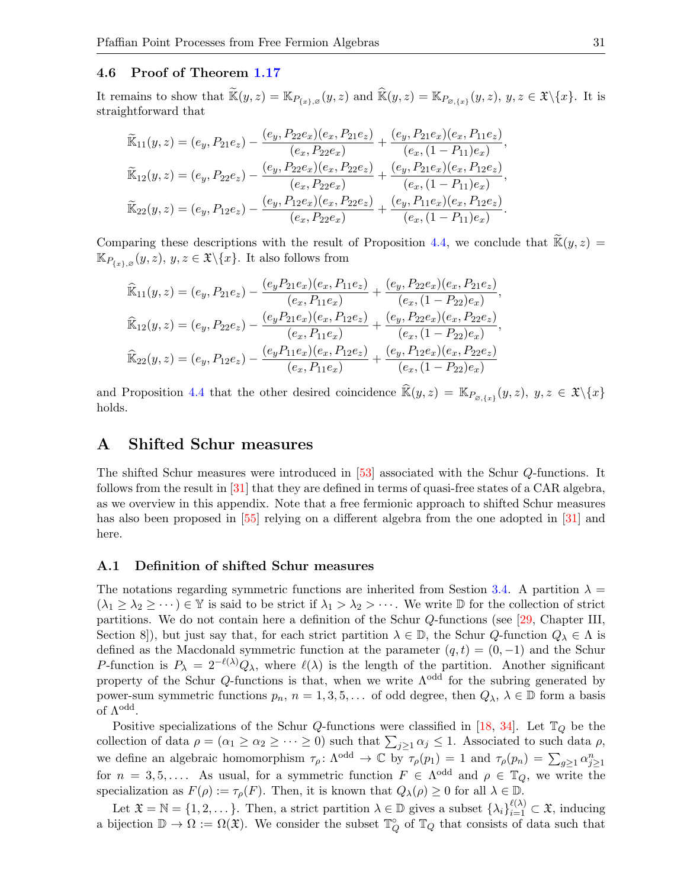#### 4.6 Proof of Theorem [1.17](#page-8-0)

It remains to show that  $\widetilde{\mathbb{K}}(y, z) = \mathbb{K}_{P_{\{x\}, \varnothing}}(y, z)$  and  $\widehat{\mathbb{K}}(y, z) = \mathbb{K}_{P_{\varnothing, \{x\}}}(y, z), y, z \in \mathfrak{X}\backslash\{x\}$ . It is straightforward that

$$
\widetilde{\mathbb{K}}_{11}(y,z) = (e_y, P_{21}e_z) - \frac{(e_y, P_{22}e_x)(e_x, P_{21}e_z)}{(e_x, P_{22}e_x)} + \frac{(e_y, P_{21}e_x)(e_x, P_{11}e_z)}{(e_x, (1 - P_{11})e_x)},
$$
\n
$$
\widetilde{\mathbb{K}}_{12}(y,z) = (e_y, P_{22}e_z) - \frac{(e_y, P_{22}e_x)(e_x, P_{22}e_z)}{(e_x, P_{22}e_x)} + \frac{(e_y, P_{21}e_x)(e_x, P_{12}e_z)}{(e_x, (1 - P_{11})e_x)},
$$
\n
$$
\widetilde{\mathbb{K}}_{22}(y,z) = (e_y, P_{12}e_z) - \frac{(e_y, P_{12}e_x)(e_x, P_{22}e_z)}{(e_x, P_{22}e_x)} + \frac{(e_y, P_{11}e_x)(e_x, P_{12}e_z)}{(e_x, (1 - P_{11})e_x)}.
$$

Comparing these descriptions with the result of Proposition [4.4,](#page-27-1) we conclude that  $\mathbb{K}(y, z) =$  $\mathbb{K}_{P_{\{x\},\varnothing}}(y,z),\,y,z\in \mathfrak{X}\backslash\{x\}.$  It also follows from

$$
\widehat{\mathbb{K}}_{11}(y,z) = (e_y, P_{21}e_z) - \frac{(e_y P_{21}e_x)(e_x, P_{11}e_z)}{(e_x, P_{11}e_x)} + \frac{(e_y, P_{22}e_x)(e_x, P_{21}e_z)}{(e_x, (1 - P_{22})e_x)},
$$
\n
$$
\widehat{\mathbb{K}}_{12}(y,z) = (e_y, P_{22}e_z) - \frac{(e_y P_{21}e_x)(e_x, P_{12}e_z)}{(e_x, P_{11}e_x)} + \frac{(e_y, P_{22}e_x)(e_x, P_{22}e_z)}{(e_x, (1 - P_{22})e_x)},
$$
\n
$$
\widehat{\mathbb{K}}_{22}(y,z) = (e_y, P_{12}e_z) - \frac{(e_y P_{11}e_x)(e_x, P_{12}e_z)}{(e_x, P_{11}e_x)} + \frac{(e_y, P_{12}e_x)(e_x, P_{22}e_z)}{(e_x, (1 - P_{22})e_x)}
$$

and Proposition [4.4](#page-27-1) that the other desired coincidence  $\widehat{\mathbb{K}}(y, z) = \mathbb{K}_{P_{\varnothing, \{x\}}}(y, z), y, z \in \mathfrak{X}\backslash\{x\}$ holds.

# <span id="page-30-0"></span>A Shifted Schur measures

The shifted Schur measures were introduced in [\[53\]](#page-34-11) associated with the Schur Q-functions. It follows from the result in [\[31\]](#page-33-9) that they are defined in terms of quasi-free states of a CAR algebra, as we overview in this appendix. Note that a free fermionic approach to shifted Schur measures has also been proposed in [\[55\]](#page-34-5) relying on a different algebra from the one adopted in [\[31\]](#page-33-9) and here.

#### A.1 Definition of shifted Schur measures

The notations regarding symmetric functions are inherited from Sestion [3.4.](#page-21-0) A partition  $\lambda =$  $(\lambda_1 \geq \lambda_2 \geq \cdots) \in \mathbb{Y}$  is said to be strict if  $\lambda_1 > \lambda_2 > \cdots$ . We write  $\mathbb D$  for the collection of strict partitions. We do not contain here a definition of the Schur Q-functions (see [\[29,](#page-33-22) Chapter III, Section 8]), but just say that, for each strict partition  $\lambda \in \mathbb{D}$ , the Schur  $Q$ -function  $Q_{\lambda} \in \Lambda$  is defined as the Macdonald symmetric function at the parameter  $(q, t) = (0, -1)$  and the Schur P-function is  $P_{\lambda} = 2^{-\ell(\lambda)}Q_{\lambda}$ , where  $\ell(\lambda)$  is the length of the partition. Another significant property of the Schur Q-functions is that, when we write  $\Lambda^{\text{odd}}$  for the subring generated by power-sum symmetric functions  $p_n$ ,  $n = 1, 3, 5, \ldots$  of odd degree, then  $Q_\lambda$ ,  $\lambda \in \mathbb{D}$  form a basis of  $Λ$ <sup>odd</sup>.

Positive specializations of the Schur Q-functions were classified in [\[18,](#page-33-23) [34\]](#page-33-24). Let  $\mathbb{T}_Q$  be the collection of data  $\rho = (\alpha_1 \geq \alpha_2 \geq \cdots \geq 0)$  such that  $\sum_{j\geq 1} \alpha_j \leq 1$ . Associated to such data  $\rho$ , we define an algebraic homomorphism  $\tau_{\rho} \colon \Lambda^{odd} \to \mathbb{C}$  by  $\tau_{\rho}(p_1) = 1$  and  $\tau_{\rho}(p_n) = \sum_{g \geq 1} \alpha_{j \geq 1}^n$ for  $n = 3, 5, \ldots$ . As usual, for a symmetric function  $F \in \Lambda^{\text{odd}}$  and  $\rho \in \mathbb{T}_Q$ , we write the specialization as  $F(\rho) := \tau_\rho(F)$ . Then, it is known that  $Q_\lambda(\rho) \geq 0$  for all  $\lambda \in \mathbb{D}$ .

Let  $\mathfrak{X} = \mathbb{N} = \{1, 2, \dots\}$ . Then, a strict partition  $\lambda \in \mathbb{D}$  gives a subset  $\{\lambda_i\}_{i=1}^{\ell(\lambda)} \subset \mathfrak{X}$ , inducing a bijection  $\mathbb{D} \to \Omega := \Omega(\mathfrak{X})$ . We consider the subset  $\mathbb{T}_Q^{\circ}$  of  $\mathbb{T}_Q$  that consists of data such that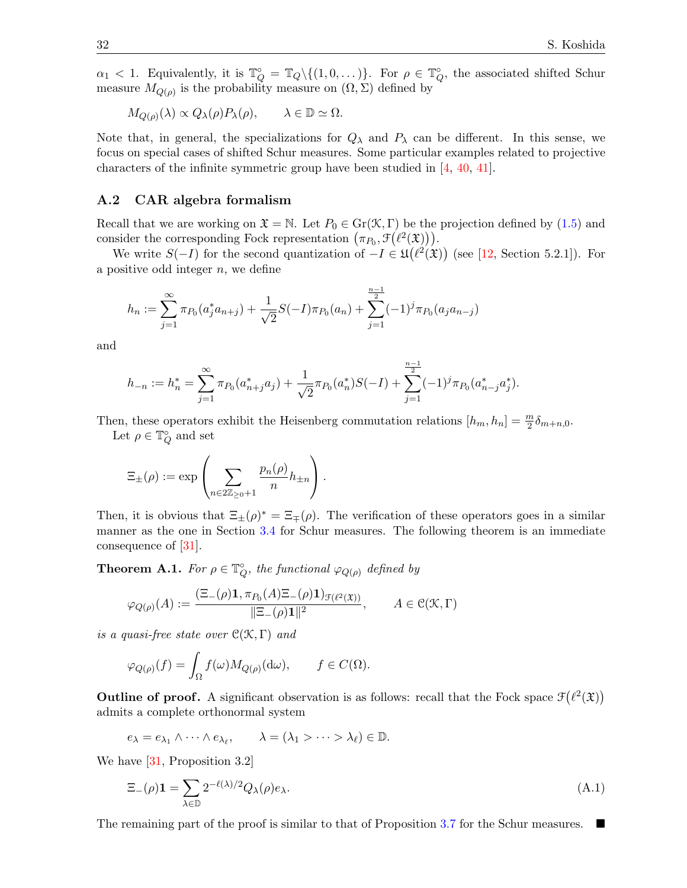$\alpha_1$  < 1. Equivalently, it is  $\mathbb{T}_Q^{\circ} = \mathbb{T}_Q \setminus \{(1, 0, \dots)\}.$  For  $\rho \in \mathbb{T}_Q^{\circ}$ , the associated shifted Schur measure  $M_{Q(\rho)}$  is the probability measure on  $(\Omega, \Sigma)$  defined by

$$
M_{Q(\rho)}(\lambda) \propto Q_{\lambda}(\rho) P_{\lambda}(\rho), \qquad \lambda \in \mathbb{D} \simeq \Omega.
$$

Note that, in general, the specializations for  $Q_{\lambda}$  and  $P_{\lambda}$  can be different. In this sense, we focus on special cases of shifted Schur measures. Some particular examples related to projective characters of the infinite symmetric group have been studied in [\[4,](#page-32-15) [40,](#page-33-25) [41\]](#page-33-26).

#### A.2 CAR algebra formalism

Recall that we are working on  $\mathfrak{X} = \mathbb{N}$ . Let  $P_0 \in \text{Gr}(\mathfrak{K}, \Gamma)$  be the projection defined by  $(1.5)$  and consider the corresponding Fock representation  $(\pi_{P_0}, \mathcal{F}(\ell^2(\mathfrak{X}))).$ 

We write  $S(-I)$  for the second quantization of  $-I \in \mathfrak{U}(\ell^2(\mathfrak{X}))$  (see [\[12,](#page-32-9) Section 5.2.1]). For a positive odd integer  $n$ , we define

$$
h_n := \sum_{j=1}^{\infty} \pi_{P_0}(a_j^* a_{n+j}) + \frac{1}{\sqrt{2}} S(-I) \pi_{P_0}(a_n) + \sum_{j=1}^{\frac{n-1}{2}} (-1)^j \pi_{P_0}(a_j a_{n-j})
$$

and

$$
h_{-n} := h_n^* = \sum_{j=1}^{\infty} \pi_{P_0}(a_{n+j}^* a_j) + \frac{1}{\sqrt{2}} \pi_{P_0}(a_n^*) S(-I) + \sum_{j=1}^{\frac{n-1}{2}} (-1)^j \pi_{P_0}(a_{n-j}^* a_j^*).
$$

Then, these operators exhibit the Heisenberg commutation relations  $[h_m, h_n] = \frac{m}{2} \delta_{m+n,0}$ .

Let  $\rho \in \mathbb{T}_Q^{\circ}$  and set

$$
\Xi_{\pm}(\rho) := \exp \left( \sum_{n \in 2\mathbb{Z}_{\geq 0}+1} \frac{p_n(\rho)}{n} h_{\pm n} \right).
$$

Then, it is obvious that  $\Xi_{\pm}(\rho)^* = \Xi_{\mp}(\rho)$ . The verification of these operators goes in a similar manner as the one in Section [3.4](#page-21-0) for Schur measures. The following theorem is an immediate consequence of [\[31\]](#page-33-9).

**Theorem A.1.** For  $\rho \in \mathbb{T}_Q^{\circ}$ , the functional  $\varphi_{Q(\rho)}$  defined by

$$
\varphi_{Q(\rho)}(A) := \frac{(\Xi_{-}(\rho)\mathbf{1}, \pi_{P_0}(A)\Xi_{-}(\rho)\mathbf{1})_{\mathcal{F}(\ell^2(\mathfrak{X}))}}{||\Xi_{-}(\rho)\mathbf{1}||^2}, \qquad A \in \mathcal{C}(\mathcal{K}, \Gamma)
$$

is a quasi-free state over  $\mathcal{C}(\mathcal{K}, \Gamma)$  and

$$
\varphi_{Q(\rho)}(f) = \int_{\Omega} f(\omega) M_{Q(\rho)}(\mathrm{d}\omega), \qquad f \in C(\Omega).
$$

Outline of proof. A significant observation is as follows: recall that the Fock space  $\mathcal{F}(\ell^2(\mathfrak{X}))$ admits a complete orthonormal system

$$
e_{\lambda} = e_{\lambda_1} \wedge \cdots \wedge e_{\lambda_{\ell}}, \qquad \lambda = (\lambda_1 > \cdots > \lambda_{\ell}) \in \mathbb{D}.
$$

We have [\[31,](#page-33-9) Proposition 3.2]

<span id="page-31-0"></span>
$$
\Xi_{-}(\rho)\mathbf{1} = \sum_{\lambda \in \mathbb{D}} 2^{-\ell(\lambda)/2} Q_{\lambda}(\rho) e_{\lambda}.\tag{A.1}
$$

The remaining part of the proof is similar to that of Proposition [3.7](#page-23-1) for the Schur measures.  $\blacksquare$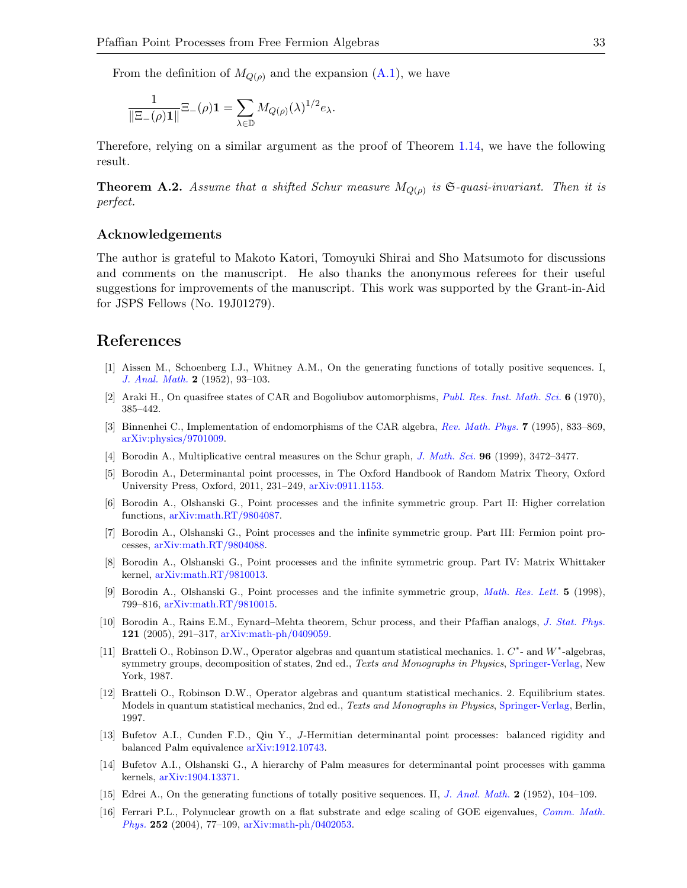From the definition of  $M_{Q(\rho)}$  and the expansion [\(A.1\)](#page-31-0), we have

$$
\frac{1}{\|\Xi_-(\rho)\mathbf{1}\|}\Xi_-(\rho)\mathbf{1}=\sum_{\lambda\in\mathbb{D}}M_{Q(\rho)}(\lambda)^{1/2}e_\lambda.
$$

Therefore, relying on a similar argument as the proof of Theorem [1.14,](#page-7-0) we have the following result.

**Theorem A.2.** Assume that a shifted Schur measure  $M_{Q(\rho)}$  is  $\mathfrak{S}\text{-quasi-invariant}$ . Then it is perfect.

#### Acknowledgements

The author is grateful to Makoto Katori, Tomoyuki Shirai and Sho Matsumoto for discussions and comments on the manuscript. He also thanks the anonymous referees for their useful suggestions for improvements of the manuscript. This work was supported by the Grant-in-Aid for JSPS Fellows (No. 19J01279).

# References

- <span id="page-32-13"></span>[1] Aissen M., Schoenberg I.J., Whitney A.M., On the generating functions of totally positive sequences. I, [J. Anal. Math.](https://doi.org/10.1007/BF02786970) 2 (1952), 93–103.
- <span id="page-32-7"></span>[2] Araki H., On quasifree states of CAR and Bogoliubov automorphisms, [Publ. Res. Inst. Math. Sci.](https://doi.org/10.2977/prims/1195193913) 6 (1970), 385–442.
- <span id="page-32-8"></span>[3] Binnenhei C., Implementation of endomorphisms of the CAR algebra, [Rev. Math. Phys.](https://doi.org/10.1142/S0129055X95000323) 7 (1995), 833–869, [arXiv:physics/9701009.](https://arxiv.org/abs/physics/9701009)
- <span id="page-32-15"></span>[4] Borodin A., Multiplicative central measures on the Schur graph, [J. Math. Sci.](https://doi.org/10.1007/BF02175824) 96 (1999), 3472–3477.
- <span id="page-32-4"></span>[5] Borodin A., Determinantal point processes, in The Oxford Handbook of Random Matrix Theory, Oxford University Press, Oxford, 2011, 231–249, [arXiv:0911.1153.](https://arxiv.org/abs/0911.1153)
- <span id="page-32-0"></span>[6] Borodin A., Olshanski G., Point processes and the infinite symmetric group. Part II: Higher correlation functions, [arXiv:math.RT/9804087.](https://arxiv.org/abs/math.RT/9804087)
- <span id="page-32-1"></span>[7] Borodin A., Olshanski G., Point processes and the infinite symmetric group. Part III: Fermion point processes, [arXiv:math.RT/9804088.](https://arxiv.org/abs/math.RT/9804088)
- <span id="page-32-2"></span>[8] Borodin A., Olshanski G., Point processes and the infinite symmetric group. Part IV: Matrix Whittaker kernel, [arXiv:math.RT/9810013.](https://arxiv.org/abs/math.RT/9810013)
- <span id="page-32-3"></span>[9] Borodin A., Olshanski G., Point processes and the infinite symmetric group, [Math. Res. Lett.](https://doi.org/10.4310/MRL.1998.v5.n6.a9) 5 (1998), 799–816, [arXiv:math.RT/9810015.](https://arxiv.org/abs/math.RT/9810015)
- <span id="page-32-5"></span>[10] Borodin A., Rains E.M., Eynard–Mehta theorem, Schur process, and their Pfaffian analogs, [J. Stat. Phys.](https://doi.org/10.1007/s10955-005-7583-z) 121 (2005), 291–317, [arXiv:math-ph/0409059.](https://arxiv.org/abs/math-ph/0409059)
- <span id="page-32-12"></span>[11] Bratteli O., Robinson D.W., Operator algebras and quantum statistical mechanics. 1. C\*- and W\*-algebras, symmetry groups, decomposition of states, 2nd ed., Texts and Monographs in Physics, [Springer-Verlag,](https://doi.org/10.1007/978-3-662-02520-8) New York, 1987.
- <span id="page-32-9"></span>[12] Bratteli O., Robinson D.W., Operator algebras and quantum statistical mechanics. 2. Equilibrium states. Models in quantum statistical mechanics, 2nd ed., Texts and Monographs in Physics, [Springer-Verlag,](https://doi.org/10.1007/978-3-662-03444-6) Berlin, 1997.
- <span id="page-32-10"></span>[13] Bufetov A.I., Cunden F.D., Qiu Y., J-Hermitian determinantal point processes: balanced rigidity and balanced Palm equivalence [arXiv:1912.10743.](https://arxiv.org/abs/1912.10743)
- <span id="page-32-11"></span>[14] Bufetov A.I., Olshanski G., A hierarchy of Palm measures for determinantal point processes with gamma kernels, [arXiv:1904.13371.](https://arxiv.org/abs/1904.13371)
- <span id="page-32-14"></span>[15] Edrei A., On the generating functions of totally positive sequences. II, [J. Anal. Math.](https://doi.org/10.1007/BF02786971) 2 (1952), 104–109.
- <span id="page-32-6"></span>[16] Ferrari P.L., Polynuclear growth on a flat substrate and edge scaling of GOE eigenvalues, [Comm. Math.](https://doi.org/10.1007/s00220-004-1204-6) [Phys.](https://doi.org/10.1007/s00220-004-1204-6) 252 (2004), 77–109, [arXiv:math-ph/0402053.](https://arxiv.org/abs/math-ph/0402053)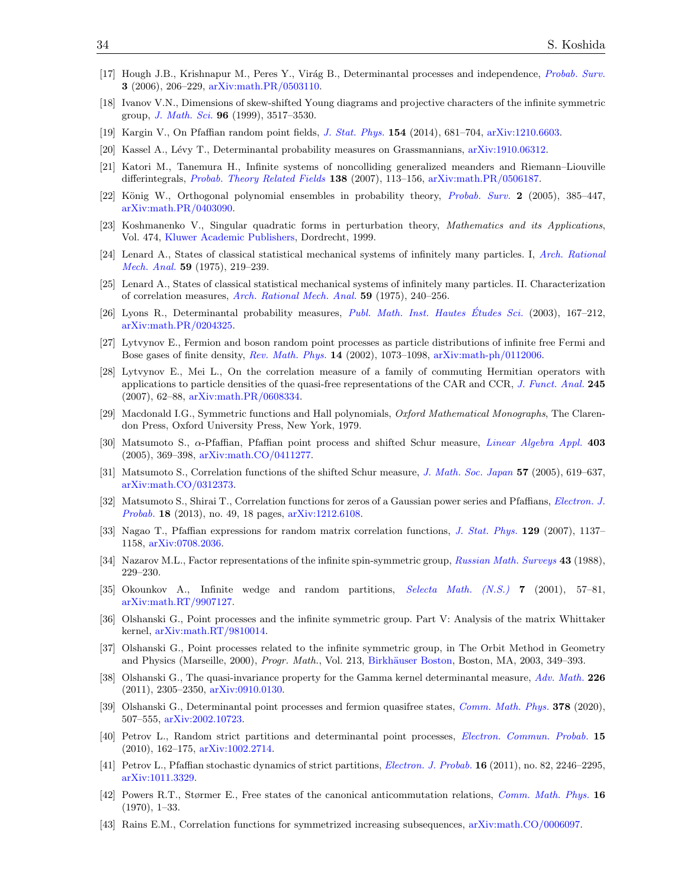- <span id="page-33-3"></span>[17] Hough J.B., Krishnapur M., Peres Y., Virág B., Determinantal processes and independence, [Probab. Surv.](https://doi.org/10.1214/154957806000000078) 3 (2006), 206–229, [arXiv:math.PR/0503110.](https://arxiv.org/abs/math.PR/0503110)
- <span id="page-33-23"></span>[18] Ivanov V.N., Dimensions of skew-shifted Young diagrams and projective characters of the infinite symmetric group, [J. Math. Sci.](https://doi.org/10.1007/BF02175830) 96 (1999), 3517–3530.
- <span id="page-33-15"></span><span id="page-33-14"></span>[19] Kargin V., On Pfaffian random point fields, [J. Stat. Phys.](https://doi.org/10.1007/s10955-013-0900-z) 154 (2014), 681–704, [arXiv:1210.6603.](https://arxiv.org/abs/1210.6603)
- [20] Kassel A., L´evy T., Determinantal probability measures on Grassmannians, [arXiv:1910.06312.](https://arxiv.org/abs/1910.06312)
- <span id="page-33-8"></span>[21] Katori M., Tanemura H., Infinite systems of noncolliding generalized meanders and Riemann–Liouville differintegrals, [Probab. Theory Related Fields](https://doi.org/10.1007/s00440-006-0015-4) 138 (2007), 113–156, [arXiv:math.PR/0506187.](https://arxiv.org/abs/math.PR/0506187)
- <span id="page-33-21"></span>[22] König W., Orthogonal polynomial ensembles in probability theory, [Probab. Surv.](https://doi.org/10.1214/154957805100000177) 2 (2005), 385–447, [arXiv:math.PR/0403090.](https://arxiv.org/abs/math.PR/0403090)
- <span id="page-33-17"></span>[23] Koshmanenko V., Singular quadratic forms in perturbation theory, Mathematics and its Applications, Vol. 474, [Kluwer Academic Publishers,](https://doi.org/10.1007/978-94-011-4619-7) Dordrecht, 1999.
- <span id="page-33-18"></span>[24] Lenard A., States of classical statistical mechanical systems of infinitely many particles. I, [Arch. Rational](https://doi.org/10.1007/BF00251601) [Mech. Anal.](https://doi.org/10.1007/BF00251601) 59 (1975), 219–239.
- <span id="page-33-19"></span>[25] Lenard A., States of classical statistical mechanical systems of infinitely many particles. II. Characterization of correlation measures, [Arch. Rational Mech. Anal.](https://doi.org/10.1007/BF00251602) 59 (1975), 240–256.
- <span id="page-33-4"></span>[26] Lyons R., Determinantal probability measures, *[Publ. Math. Inst. Hautes](https://doi.org/10.1007/s10240-003-0016-0) Études Sci.* (2003), 167–212, [arXiv:math.PR/0204325.](https://arxiv.org/abs/math.PR/0204325)
- <span id="page-33-5"></span>[27] Lytvynov E., Fermion and boson random point processes as particle distributions of infinite free Fermi and Bose gases of finite density, [Rev. Math. Phys.](https://doi.org/10.1142/S0129055X02001533) 14 (2002), 1073–1098, [arXiv:math-ph/0112006.](https://arxiv.org/abs/math-ph/0112006)
- <span id="page-33-6"></span>[28] Lytvynov E., Mei L., On the correlation measure of a family of commuting Hermitian operators with applications to particle densities of the quasi-free representations of the CAR and CCR, [J. Funct. Anal.](https://doi.org/10.1016/j.jfa.2006.12.017) 245 (2007), 62–88, [arXiv:math.PR/0608334.](https://arxiv.org/abs/math.PR/0608334)
- <span id="page-33-22"></span>[29] Macdonald I.G., Symmetric functions and Hall polynomials, Oxford Mathematical Monographs, The Clarendon Press, Oxford University Press, New York, 1979.
- <span id="page-33-13"></span>[30] Matsumoto S., α-Pfaffian, Pfaffian point process and shifted Schur measure, [Linear Algebra Appl.](https://doi.org/10.1016/j.laa.2005.02.005) 403 (2005), 369–398, [arXiv:math.CO/0411277.](https://arxiv.org/abs/math.CO/0411277)
- <span id="page-33-9"></span>[31] Matsumoto S., Correlation functions of the shifted Schur measure, [J. Math. Soc. Japan](https://doi.org/10.2969/jmsj/1158241925) 57 (2005), 619–637, [arXiv:math.CO/0312373.](https://arxiv.org/abs/math.CO/0312373)
- <span id="page-33-10"></span>[32] Matsumoto S., Shirai T., Correlation functions for zeros of a Gaussian power series and Pfaffians, [Electron. J.](https://doi.org/10.1214/EJP.v18-2545) [Probab.](https://doi.org/10.1214/EJP.v18-2545) 18 (2013), no. 49, 18 pages, [arXiv:1212.6108.](https://arxiv.org/abs/1212.6108)
- <span id="page-33-11"></span>[33] Nagao T., Pfaffian expressions for random matrix correlation functions, [J. Stat. Phys.](https://doi.org/10.1007/s10955-007-9415-9) 129 (2007), 1137– 1158, [arXiv:0708.2036.](https://arxiv.org/abs/0708.2036)
- <span id="page-33-24"></span>[34] Nazarov M.L., Factor representations of the infinite spin-symmetric group, [Russian Math. Surveys](https://doi.org/10.1070/RM1988v043n04ABEH001912) 43 (1988), 229–230.
- <span id="page-33-0"></span>[35] Okounkov A., Infinite wedge and random partitions, [Selecta Math. \(N.S.\)](https://doi.org/10.1007/PL00001398) 7 (2001), 57–81, [arXiv:math.RT/9907127.](https://arxiv.org/abs/math.RT/9907127)
- <span id="page-33-1"></span>[36] Olshanski G., Point processes and the infinite symmetric group. Part V: Analysis of the matrix Whittaker kernel, [arXiv:math.RT/9810014.](https://arxiv.org/abs/math.RT/9810014)
- <span id="page-33-2"></span>[37] Olshanski G., Point processes related to the infinite symmetric group, in The Orbit Method in Geometry and Physics (Marseille, 2000), Progr. Math., Vol. 213, Birkhäuser Boston, Boston, MA, 2003, 349–393.
- <span id="page-33-16"></span>[38] Olshanski G., The quasi-invariance property for the Gamma kernel determinantal measure, [Adv. Math.](https://doi.org/10.1016/j.aim.2010.09.015) 226 (2011), 2305–2350, [arXiv:0910.0130.](https://arxiv.org/abs/0910.0130)
- <span id="page-33-7"></span>[39] Olshanski G., Determinantal point processes and fermion quasifree states, [Comm. Math. Phys.](https://doi.org/10.1007/s00220-020-03716-1) 378 (2020), 507–555, [arXiv:2002.10723.](https://arxiv.org/abs/2002.10723)
- <span id="page-33-25"></span>[40] Petrov L., Random strict partitions and determinantal point processes, [Electron. Commun. Probab.](https://doi.org/10.1214/ECP.v15-1542) 15 (2010), 162–175, [arXiv:1002.2714.](https://arxiv.org/abs/1002.2714)
- <span id="page-33-26"></span>[41] Petrov L., Pfaffian stochastic dynamics of strict partitions, [Electron. J. Probab.](https://doi.org/10.1214/EJP.v16-956) 16 (2011), no. 82, 2246–2295, [arXiv:1011.3329.](https://arxiv.org/abs/1011.3329)
- <span id="page-33-20"></span>[42] Powers R.T., Størmer E., Free states of the canonical anticommutation relations, [Comm. Math. Phys.](https://doi.org/10.1007/BF01645492) 16 (1970), 1–33.
- <span id="page-33-12"></span>[43] Rains E.M., Correlation functions for symmetrized increasing subsequences, [arXiv:math.CO/0006097.](https://arxiv.org/abs/math.CO/0006097)